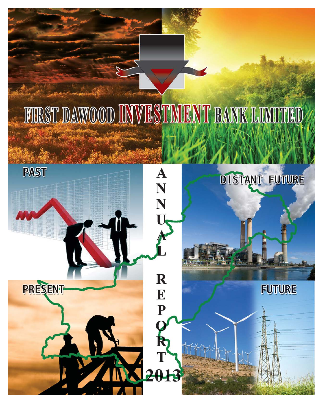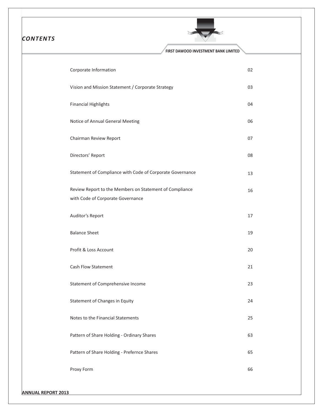| <b>CONTENTS</b> |                                                                                              |    |
|-----------------|----------------------------------------------------------------------------------------------|----|
|                 | FIRST DAWOOD INVESTMENT BANK LIMITED                                                         |    |
|                 | Corporate Information                                                                        | 02 |
|                 | Vision and Mission Statement / Corporate Strategy                                            | 03 |
|                 | <b>Financial Highlights</b>                                                                  | 04 |
|                 | Notice of Annual General Meeting                                                             | 06 |
|                 | Chairman Review Report                                                                       | 07 |
|                 | Directors' Report                                                                            | 08 |
|                 | Statement of Compliance with Code of Corporate Governance                                    | 13 |
|                 | Review Report to the Members on Statement of Compliance<br>with Code of Corporate Governance | 16 |
|                 | Auditor's Report                                                                             | 17 |
|                 | <b>Balance Sheet</b>                                                                         | 19 |
|                 | Profit & Loss Account                                                                        | 20 |
|                 | Cash Flow Statement                                                                          | 21 |
|                 | Statement of Comprehensive Income                                                            | 23 |
|                 | Statement of Changes in Equity                                                               | 24 |
|                 | Notes to the Financial Statements                                                            | 25 |
|                 | Pattern of Share Holding - Ordinary Shares                                                   | 63 |
|                 | Pattern of Share Holding - Prefernce Shares                                                  | 65 |
|                 | Proxy Form                                                                                   | 66 |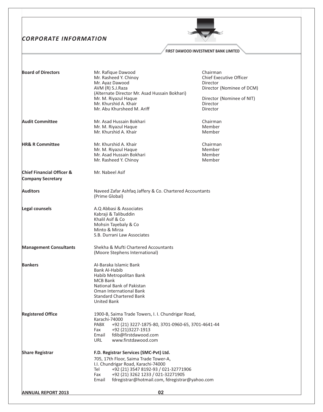# **CORPORATE INFORMATION**



## FIRST DAWOOD INVESTMENT BANK LIMITED

| <b>Board of Directors</b>                                        | Mr. Rafique Dawood<br>Mr. Rasheed Y. Chinoy<br>Mr. Ayaz Dawood<br>AVM (R) S.J.Raza<br>(Alternate Director Mr. Asad Hussain Bokhari)<br>Mr. M. Riyazul Haque<br>Mr. Khurshid A. Khair                                                                                         | Chairman<br><b>Chief Executive Officer</b><br>Director<br>Director (Nominee of DCM)<br>Director (Nominee of NIT)<br>Director |
|------------------------------------------------------------------|------------------------------------------------------------------------------------------------------------------------------------------------------------------------------------------------------------------------------------------------------------------------------|------------------------------------------------------------------------------------------------------------------------------|
| <b>Audit Committee</b>                                           | Mr. Abu Khursheed M. Ariff<br>Mr. Asad Hussain Bokhari<br>Mr. M. Riyazul Haque<br>Mr. Khurshid A. Khair                                                                                                                                                                      | Director<br>Chairman<br>Member<br>Member                                                                                     |
| <b>HR&amp; R Committee</b>                                       | Mr. Khurshid A. Khair<br>Mr. M. Riyazul Haque<br>Mr. Asad Hussain Bokhari<br>Mr. Rasheed Y. Chinoy                                                                                                                                                                           | Chairman<br>Member<br>Member<br>Member                                                                                       |
| <b>Chief Financial Officer &amp;</b><br><b>Company Secretary</b> | Mr. Nabeel Asif                                                                                                                                                                                                                                                              |                                                                                                                              |
| <b>Auditors</b>                                                  | Naveed Zafar Ashfaq Jaffery & Co. Chartered Accountants<br>(Prime Global)                                                                                                                                                                                                    |                                                                                                                              |
| Legal counsels                                                   | A.Q Abbasi & Associates<br>Kabraji & Talibuddin<br>Khalil Asif & Co<br>Mohsin Tayebaly & Co<br>Minto & Mirza<br>S.B. Durrani Law Associates                                                                                                                                  |                                                                                                                              |
| <b>Management Consultants</b>                                    | Shekha & Mufti Chartered Accountants<br>(Moore Stephens International)                                                                                                                                                                                                       |                                                                                                                              |
| <b>Bankers</b>                                                   | Al-Baraka Islamic Bank<br>Bank Al-Habib<br>Habib Metropolitan Bank<br><b>MCB Bank</b><br>National Bank of Pakistan<br>Oman International Bank<br><b>Standard Chartered Bank</b><br><b>United Bank</b>                                                                        |                                                                                                                              |
| <b>Registered Office</b>                                         | 1900-B, Saima Trade Towers, I. I. Chundrigar Road,<br>Karachi-74000<br>PABX<br>+92 (21) 3227-1875-80, 3701-0960-65, 3701-4641-44<br>Fax<br>+92 (21)3227-1913<br>fdib@firstdawood.com<br>Email<br>www.firstdawood.com<br>URL                                                  |                                                                                                                              |
| <b>Share Registrar</b>                                           | F.D. Registrar Services (SMC-Pvt) Ltd.<br>705, 17th Floor, Saima Trade Tower-A,<br>I.I. Chundrigar Road, Karachi-74000<br>+92 (21} 3547 8192-93 / 021-32771906<br>Tel<br>+92 (21) 3262 1233 / 021-32271905<br>Fax<br>fdregistrar@hotmail.com, fdregistrar@yahoo.com<br>Email |                                                                                                                              |
| <b>ANNUAL REPORT 2013</b>                                        | 02                                                                                                                                                                                                                                                                           |                                                                                                                              |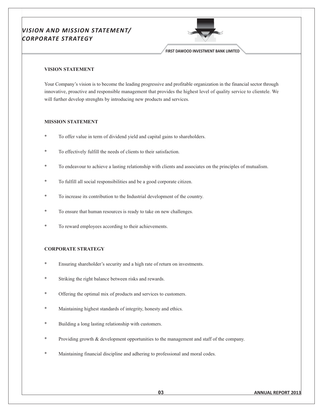# VISION AND MISSION STATEMENT/ **CORPORATE STRATEGY**



FIRST DAWOOD INVESTMENT BANK LIMITED

## **VISION STATEMENT**

Your Company's vision is to become the leading progressive and profitable organization in the financial sector through innovative, proactive and responsible management that provides the highest level of quality service to clientele. We will further develop strenghts by introducing new products and services.

## **MISSION STATEMENT**

- To offer value in term of dividend yield and capital gains to shareholders.
- To effectively fulfill the needs of clients to their satisfaction.
- To endeavour to achieve a lasting relationship with clients and associates on the principles of mutualism.
- To fulfill all social responsibilities and be a good corporate citizen.
- To increase its contribution to the Industrial development of the country.
- To ensure that human resources is ready to take on new challenges.
- To reward employees according to their achievements.

# **CORPORATE STRATEGY**

- Ensuring shareholder's security and a high rate of return on investments.
- Striking the right balance between risks and rewards.
- Offering the optimal mix of products and services to customers.
- Maintaining highest standards of integrity, honesty and ethics.
- Building a long lasting relationship with customers.
- Providing growth & development opportunities to the management and staff of the company.
- Maintaining financial discipline and adhering to professional and moral codes.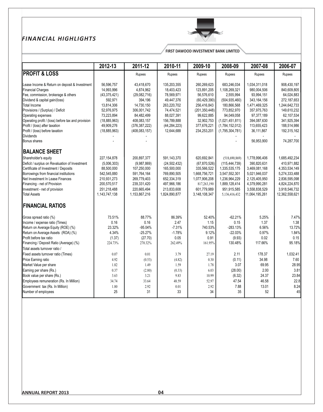# FINANCIAL HIGHLIGHTS



FIRST DAWOOD INVESTMENT BANK LIMITED

|                                                    | $2012 - 13$    | 2011-12         | 2010-11        | 2009-10         | 2008-09         | 2007-08        | 2006-07        |
|----------------------------------------------------|----------------|-----------------|----------------|-----------------|-----------------|----------------|----------------|
| <b>PROFIT &amp; LOSS</b>                           |                | Rupees          | Rupees         | Rupees          | Rupees          | Rupees         | Rupees         |
| Lease Income & Return on deposit & Investment      | 56,596,757     | 43,418,670      | 135,203,355    | 260,269,623     | 683,246,034     | 1,034,311,018  | 908,430,197    |
| <b>Financial Charges</b>                           | 14,993,996     | 4,874,962       | 18,403,423     | 123,891,205     | 1,108,269,321   | 980,004,506    | 840,609,805    |
| Fee, commission, brokerage & others                | (43, 375, 421) | (29,082,716)    | 78,569,971     | 56,576,610      | 2,555,994       | 93,994,151     | 64,024,883     |
| Dividend & capital gain/(loss)                     | 592.971        | 394,196         | 49,447,376     | (60, 429, 390)  | (504.935.460)   | 343, 164, 156  | 272,187,653    |
| <b>Total Income</b>                                | 13,814,306     | 14,730,150      | 263,220,702    | 256,416,843     | 180,866,568     | 1,471,469,325  | 1,244,642,733  |
| Provisions / (Surplus) / Deficit                   | 52,976,975     | 306,001,742     | 74,474,521     | (201, 350, 448) | 773,852,970     | 357,975,763    | 149,610,232    |
| Operating expenses                                 | 73,223,894     | 84,482,499      | 88,027,391     | 99,622,885      | 94,049,058      | 97,377,189     | 62,107,534     |
| Operating profit / (loss) before tax and provision | (18, 885, 963) | 408,083,157     | 156,789,888    | 32,902,753      | (1,021,451,811) | 394,087,630    | 341,925,394    |
| Profit / (loss) after taxation                     | 49,909,276     | (376, 387, 222) | (44, 284, 223) | 377,676,221     | (1,784,152,012) | 113,655,423    | 188,514,986    |
| Profit / (loss) before taxation                    | (18, 885, 963) | (408, 083, 157) | 12,644,688     | 234,253,201     | (1,795,304,781) | 36,111,867     | 192,315,162    |
| <b>Dividends</b>                                   |                |                 |                |                 |                 |                |                |
| Bonus shares                                       |                |                 |                |                 |                 | 56,953,900     | 74,287,700     |
| <b>BALANCE SHEET</b>                               |                |                 |                |                 |                 |                |                |
| Shareholder's equity                               | 227, 154, 878  | 200,897,377     | 591,143,370    | 620,692,841     | (518,690,869)   | 1,778,996,406  | 1,685,492,234  |
| Deficit / surplus on Revaluation of Investment     | (5,006,303)    | (9,987,869)     | (24, 502, 432) | (67, 870, 526)  | (115, 444, 739) | 390,820,631    | 410,971,882    |
| Certificate of Investment / Deposits               | 88,500,000     | 107,250,000     | 165,500,000    | 335,566,522     | 1,335,535,175   | 3,469,081,168  | 4,353,534,149  |
| Borrowings from financial institutions             | 542,545,880    | 591,764,164     | 769,890,505    | 1,668,756,721   | 3,547,552,301   | 5,021,946,037  | 5,274,333,488  |
| Net Investment In Lease Finances                   | 210,931,273    | 269,779,403     | 652,334,319    | 1,077,906,208   | 1,236,964,229   | 2,125,405,950  | 2,836,595,098  |
| Financing - net of Provision                       | 200,570,517    | 239,331,420     | 497,966,186    | 817,263,190     | 1,889,128,414   | 4,379,990,281  | 4,824,224,870  |
| Investment - net of provision                      | 251,218,488    | 220,665,494     | 213,833,608    | 601,779,989     | 951,915,585     | 3,558,838,529  | 3,918,546,732  |
| <b>Total Assets</b>                                | 1,143,747,138  | 1,153,867,216   | 1,824,890,877  | 3,148,108,347   | 5,136,416,432   | 11,064,195,261 | 12,362,558,621 |
| <b>FINANCIAL RATIOS</b>                            |                |                 |                |                 |                 |                |                |
| Gross spread ratio (%)                             | 73.51%         | 88.77%          | 86.39%         | 52.40%          | $-62.21%$       | 5.25%          | 7.47%          |
| Income / expense ratio (Times)                     | 0.16           | 0.16            | 2.47           | 1.15            | 0.15            | 1.37           | 1.38           |
| Return on Average Equity (ROE) (%)                 | 23.32%         | $-95.04%$       | $-7.31%$       | 740.53%         | $-283.13%$      | 6.56%          | 13.72%         |
| Return on Average Assets (ROA) (%)                 | 4.34%          | $-25.27%$       | $-1.78%$       | 9.12%           | $-22.03%$       | 0.97%          | 1.84%          |
| Profit before tax ratio                            | (1.37)         | (27.70)         | 0.05           | 0.91            | (9.93)          | 0.02           | 0.15           |
| Financing / Deposit Ratio (Average) (%)            | 224.73%        | 270.32%         | 262.49%        | 161.95%         | 130.48%         | 117.66%        | 95.18%         |
| Total assets turnover ratio /                      |                |                 |                |                 |                 |                |                |
| Fixed assets turnover ratio (Times)                | 0.07           | 0.01            | 3.79           | 27.19           | 2.11            | 178.37         | 1,032.41       |
| Price Earning ratio                                | 4.92           | (0.53)          | (4.82)         | 0.30            | (0.11)          | 34.98          | 7.60           |
| Market Value per share                             | 1.82           | 1.49            | 1.59           | 1.78            | 3.07            | 69.95          | 28.95          |
| Earning per share (Rs.)                            | 0.37           | (2.80)          | (0.33)         | 6.03            | (28.00)         | 2.00           | 3.81           |
| Book value per share (Rs.)                         | 3.63           | 3.21            | 9.83           | 10.99           | (6.32)          | 24.37          | 23.84          |
| Employees remuneration (Rs. In Million)            | 34.74          | 33.64           | 48.59          | 52.97           | 47.54           | 46.58          | 22.8           |
| Government tax (Rs. In Million)                    | 1.80           | 2.92            | 0.01           | 2.92            | 7.88            | 13.01          | 8.24           |
| Number of employees                                | 25             | 31              | 33             | 34              | 35              | 52             | 45             |
|                                                    |                |                 |                |                 |                 |                |                |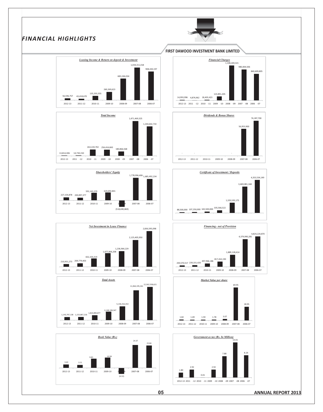# FINANCIAL HIGHLIGHTS













## **FIRST DAWOOD INVESTMENT BANK LIMITED**













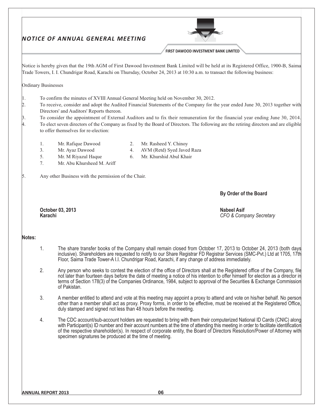|                                     |                            |                                                                                                                                                                        |                | FIRST DAWOOD INVESTMENT BANK LIMITED                                                                                                                                                                                                                                                                                                                                                                  |
|-------------------------------------|----------------------------|------------------------------------------------------------------------------------------------------------------------------------------------------------------------|----------------|-------------------------------------------------------------------------------------------------------------------------------------------------------------------------------------------------------------------------------------------------------------------------------------------------------------------------------------------------------------------------------------------------------|
|                                     |                            |                                                                                                                                                                        |                | Notice is hereby given that the 19th AGM of First Dawood Investment Bank Limited will be held at its Registered Office, 1900-B, Saima<br>Trade Towers, I. I. Chundrigar Road, Karachi on Thursday, October 24, 2013 at 10:30 a.m. to transact the following business:                                                                                                                                 |
|                                     | <b>Ordinary Businesses</b> |                                                                                                                                                                        |                |                                                                                                                                                                                                                                                                                                                                                                                                       |
| $\vert 1.$<br>2.<br>$\beta$ .<br>4. |                            | To confirm the minutes of XVIII Annual General Meeting held on November 30, 2012.<br>Directors' and Auditors' Reports thereon.<br>to offer themselves for re-election: |                | To receive, consider and adopt the Audited Financial Statements of the Company for the year ended June 30, 2013 together with<br>To consider the appointment of External Auditors and to fix their remuneration for the financial year ending June 30, 2014.<br>To elect seven directors of the Company as fixed by the Board of Directors. The following are the retiring directors and are eligible |
|                                     | 1.<br>3.<br>5.<br>7.       | Mr. Rafique Dawood<br>Mr. Ayaz Dawood<br>Mr. M Riyazul Haque<br>Mr. Abu Khursheed M. Ariff                                                                             | 2.<br>4.<br>6. | Mr. Rasheed Y. Chinoy<br>AVM (Retd) Syed Javed Raza<br>Mr. Khurshid Abul Khair                                                                                                                                                                                                                                                                                                                        |
| 15.                                 |                            | Any other Business with the permission of the Chair.                                                                                                                   |                |                                                                                                                                                                                                                                                                                                                                                                                                       |
|                                     |                            |                                                                                                                                                                        |                | By Order of the Board                                                                                                                                                                                                                                                                                                                                                                                 |
|                                     | <b>Karachi</b>             | October 03, 2013                                                                                                                                                       |                | <b>Nabeel Asif</b><br>CFO & Company Secretary                                                                                                                                                                                                                                                                                                                                                         |
| Notes:                              |                            |                                                                                                                                                                        |                |                                                                                                                                                                                                                                                                                                                                                                                                       |
|                                     | 1.                         |                                                                                                                                                                        |                | The share transfer books of the Company shall remain closed from October 17, 2013 to October 24, 2013 (both days<br>inclusive). Shareholders are requested to notify to our Share Registrar FD Registrar Services (SMC-Pvt.) Ltd at 1705, 17th<br>Floor, Saima Trade Tower-A I.I. Chundrigar Road, Karachi, if any change of address immediately.                                                     |
|                                     | 2.                         | of Pakistan.                                                                                                                                                           |                | Any person who seeks to contest the election of the office of Directors shall at the Registered office of the Company, file<br>not later than fourteen days before the date of meeting a notice of his intention to offer himself for election as a director in<br>terms of Section 178(3) of the Companies Ordinance, 1984, subject to approval of the Securities & Exchange Commission              |
|                                     | 3.                         | duly stamped and signed not less than 48 hours before the meeting.                                                                                                     |                | A member entitled to attend and vote at this meeting may appoint a proxy to attend and vote on his/her behalf. No person<br>other than a member shall act as proxy. Proxy forms, in order to be effective, must be received at the Registered Office,                                                                                                                                                 |
|                                     | 4.                         | specimen signatures be produced at the time of meeting.                                                                                                                |                | The CDC account/sub-account holders are requested to bring with them their computerized National ID Cards (CNIC) along<br>with Participant(s) ID number and their account numbers at the time of attending this meeting in order to facilitate identification<br>of the respective shareholder(s). In respect of corporate entity, the Board of Directors Resolution/Power of Attorney with           |
|                                     |                            |                                                                                                                                                                        |                |                                                                                                                                                                                                                                                                                                                                                                                                       |
|                                     |                            |                                                                                                                                                                        |                |                                                                                                                                                                                                                                                                                                                                                                                                       |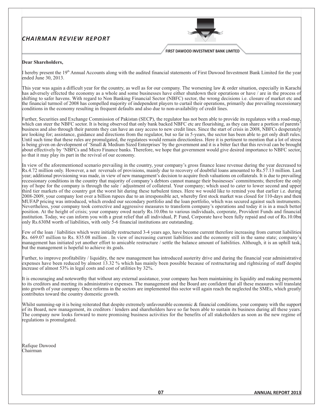# **CHAIRMAN REVIEW REPORT**



**FIRST DAWOOD INVESTMENT BANK LIMITED** 

## Dear Shareholders,

I hereby present the  $19<sup>th</sup>$  Annual Accounts along with the audited financial statements of First Dawood Investment Bank Limited for the year ended June 30, 2013.

This year was again a difficult year for the country, as well as for our company. The worsening law  $\&$  order situation, especially in Karachi has adversely effected the economy as a whole and some businesses have either shutdown their operations or have / are in the process of shifting to safer havens. With regard to Non Banking Financial Sector (NBFC) sector, the wrong decisions i.e. closure of market etc and the financial turmoil of 2008 has compelled majority of independent players to curtail their operations, primarily due prevailing recessionary conditions in the economy resulting in frequent defaults and also due to non-availability of credit lines.

Further, Securities and Exchange Commission of Pakistan (SECP), the regulator has not been able to provide its regulatees with a road-map, which can steer the NBFC sector. It is being observed that only bank backed NBFC etc are flourishing, as they can share a portion of parents' business and also through their parents they can have an easy access to new credit lines. Since the start of crisis in 2008, NBFCs desperately are looking for; assistance, guidance and directions from the regulator, but so far in 5-years, the sector has been able to get only draft rules Until such time that these rules are promulgated, the regulatees would remain directionless. Here it is pertinent to mention that a lot of stress is being given on development of 'Small & Medium Sized Enterprises' by the government and it is a bitter fact that this revival can be brought about effectively by 'NBFCs and Micro Finance banks. Therefore, we hope that government would give desired importance to NBFC sector, so that it may play its part in the revival of our economy.

In view of the aforementioned scenario prevailing in the country, your company's gross finance lease revenue during the year decreased to Rs.4.72 million only. However, a net reversals of provisions, mainly due to recovery of doubtful loans amounted to Rs.57.13 million. Last year; additional provisioning was made, in view of new management's decision to acquire fresh valuations on collaterals. It is due to prevailing recessionary conditions in the country that majority of company's debtors cannot manage their businesses' commitments; therefore the only ray of hope for the company is through the sale / adjustment of collateral. Your company; which used to cater to lower second and upper third tier markets of the country got the worst hit during these turbulent times. Here we would like to remind you that earlier i.e. during 2008-2009, your company lost over a billion rupees due to an irresponsible act, whereby first stock market was closed for 110-days and then MUFAP pricing was introduced, which eroded our secondary portfolio and the loan portfolio, which was secured against such instruments. Nevertheless, your company took corrective and aggressive measures to transform company's operations and today it is in a much better position. At the height of crisis; your company owed nearly Rs.10.0bn to various individuals, corporate, Provident Funds and financial institution. Today, we can inform you with a great relief that all individual, P. Fund, Corporate have been fully repaid and out of Rs.10.0bn only Rs.630M worth of liabilities, with only  $\overline{5}$ -6 financial institutions are outstanding.

Few of the loan / liabilities which were initially restructured 3-4 years ago, have become current therefore increasing from current liabilities Rs. 669.07 million to Rs. 835.08 million. In view of increasing current liabilities and the economy still in the same state; company's management has initiated yet another effort to amicable restructure / settle the balance amount of liabilities. Although, it is an uphill task, but the management is hopeful to achieve its goals.

Further, to improve profitability / liquidity, the new management has introduced austerity drive and during the financial year administrative expenses have been reduced by almost 13.32 % which has mainly been possible because of restructuring and rightsizing of staff despite increase of almost 53% in legal costs and cost of utilities by 32%.

It is encouraging and noteworthy that without any external assistance, your company has been maintaining its liquidity and making payments to its creditors and meeting its administrative expenses. The management and the Board are confident that all these measures will translate into growth of your company. Once reforms in the sectors are implemented this sector will again reach the neglected the SMEs, which greatly contributes toward the country domestic growth.

Whilst summing-up it is being reiterated that despite extremely unfavourable economic & financial conditions, your company with the support of its Board, new management, its creditors / lenders and shareholders have so far been able to sustain its business during all these years. The company now looks forward to more promising business activities for the benefits of all stakeholders as soon as the new regime of regulations is promulgated.

Rafique Dawood Chairman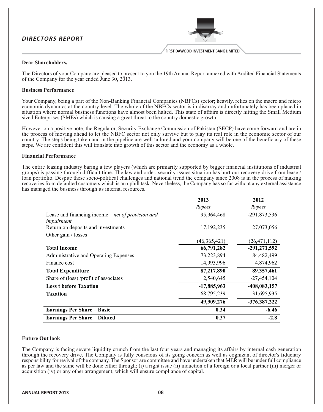# **DIRECTORS REPORT**



FIRST DAWOOD INVESTMENT BANK LIMITED

## Dear Shareholders,

The Directors of your Company are pleased to present to you the 19th Annual Report annexed with Audited Financial Statements of the Company for the year ended June 30, 2013.

## **Business Performance**

Your Company, being a part of the Non-Banking Financial Companies (NBFCs) sector; heavily, relies on the macro and micro economic dynamics at the country level. The whole of the NBFCs sector is in disarray and unfortunately has been placed in situation where normal business functions have almost been halted. This state of affairs is directly hitting the Small Medium sized Enterprises (SMEs) which is causing a great threat to the country domestic growth.

However on a positive note, the Regulator, Security Exchange Commission of Pakistan (SECP) have come forward and are in the process of moving ahead to let the NBFC sector not only survive but to play its real role in the economic sector of our country. The steps being taken and in the pipeline are well tailored and your company will be one of the beneficiary of these steps. We are confident this will translate into growth of this sector and the economy as a whole.

## **Financial Performance**

The entire leasing industry baring a few players (which are primarily supported by bigger financial institutions of industrial groups) is passing through difficult time. The law and order, security issues situation has hurt our recovery drive from lease. loan portfolio. Despite these socio-political challenges and national trend the company since 2008 is in the process of making recoveries from defaulted customers which is an uphill task. Nevertheless, the Company has so far without any external assistance has managed the business through its internal resources.

|                                                            | 2013          | 2012           |
|------------------------------------------------------------|---------------|----------------|
|                                                            | Rupees        | Rupees         |
| Lease and financing income $-$ <i>net of provision and</i> | 95,964,468    | -291,873,536   |
| impairment                                                 |               |                |
| Return on deposits and investments                         | 17,192,235    | 27,073,056     |
| Other gain / losses                                        |               |                |
|                                                            | (46,365,421)  | (26, 471, 112) |
| <b>Total Income</b>                                        | 66,791,282    | $-291,271,592$ |
| Administrative and Operating Expenses                      | 73,223,894    | 84,482,499     |
| Finance cost                                               | 14,993,996    | 4,874,962      |
| <b>Total Expenditure</b>                                   | 87,217,890    | 89, 357, 461   |
| Share of (loss) /profit of associates                      | 2,540,645     | $-27,454,104$  |
| <b>Loss t before Taxation</b>                              | $-17,885,963$ | -408,083,157   |
| <b>Taxation</b>                                            | 68,795,239    | 31,695,935     |
|                                                            | 49,909,276    | $-376,387,222$ |
| <b>Earnings Per Share - Basic</b>                          | 0.34          | $-6.46$        |
| <b>Earnings Per Share - Diluted</b>                        | 0.37          | $-2.8$         |

# **Future Out look**

The Company is facing severe liquidity crunch from the last four years and managing its affairs by internal cash generation through the recovery drive. The Company is fully conscious of its going concern as well as cognizant of director's fiduciary responsibility for revival of the company. The Sponsor are committee and have undertaken that MER will be under full compliance as per law and the same will be done either through; (i) a right issue (ii) induction of a foreign or a local partner (iii) merger or acquisition (iv) or any other arrangement, which will ensure compliance of capital.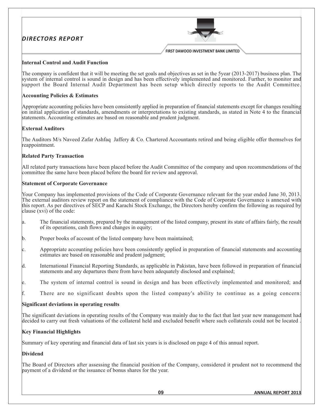

## **Internal Control and Audit Function**

The company is confident that it will be meeting the set goals and objectives as set in the 5year (2013-2017) business plan. The system of internal control is sound in design and has been effectively implemented and monitored. Further, to monitor and support the Board Internal Audit Department has been setup which directly reports to the Audit Committee.

## **Accounting Policies & Estimates**

Appropriate accounting policies have been consistently applied in preparation of financial statements except for changes resulting on initial application of standards, amendments or interpretations to existing standards, as stated in Note 4 to the financial statements. Accounting estimates are based on reasonable and prudent judgment.

## **External Auditors**

The Auditors M/s Naveed Zafar Ashfaq Jaffery & Co. Chartered Accountants retired and being eligible offer themselves for reappointment.

## **Related Party Transaction**

All related party transactions have been placed before the Audit Committee of the company and upon recommendations of the committee the same have been placed before the board for review and approval.

## **Statement of Corporate Governance**

Your Company has implemented provisions of the Code of Corporate Governance relevant for the year ended June 30, 2013. The external auditors review report on the statement of compliance with the Code of Corporate Governance is annexed with this report. As per directives of SECP and Karachi Stock Exchange, the Directors hereby confirm the following as required by clause (xvi) of the code:

- The financial statements, prepared by the management of the listed company, present its state of affairs fairly, the result a. of its operations, cash flows and changes in equity;
- b. Proper books of account of the listed company have been maintained;
- Appropriate accounting policies have been consistently applied in preparation of financial statements and accounting c. estimates are based on reasonable and prudent judgment;
- d. International Financial Reporting Standards, as applicable in Pakistan, have been followed in preparation of financial statements and any departures there from have been adequately disclosed and explained;
- The system of internal control is sound in design and has been effectively implemented and monitored; and le.
- f. There are no significant doubts upon the listed company's ability to continue as a going concern:

## Significant deviations in operating results

The significant deviations in operating results of the Company was mainly due to the fact that last year new management had decided to carry out fresh valuations of the collateral held and excluded benefit where such collaterals could not be located.

## **Key Financial Highlights**

Summary of key operating and financial data of last six years is is disclosed on page 4 of this annual report.

# **Dividend**

The Board of Directors after assessing the financial position of the Company, considered it prudent not to recommend the payment of a dividend or the issuance of bonus shares for the year.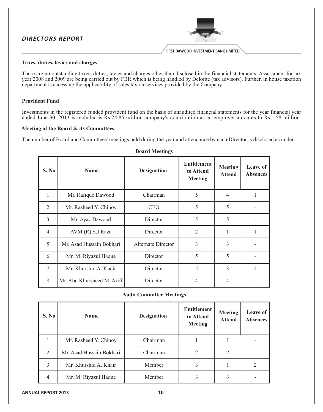

## Taxes, duties, levies and charges

There are no outstanding taxes, duties, levies and charges other than disclosed in the financial statements. Assessment for tax year 2008 and 2009 are being carried out by FBR which is being handled by Deloitte (tax advisors). Further, in house taxation department is accessing the applicability of sales tax on services provided by the Company.

## **Provident Fund**

Investments in the registered funded provident fund on the basis of unaudited financial statements for the year financial year ended June 30, 2013 is included is  $Rs.24.85$  million company's contribution as an employer amounts to  $Rs.1.58$  million.

## Meeting of the Board & its Committees

The number of Board and Committees' meetings held during the year and attendance by each Director is disclosed as under:

| S. No          | <b>Name</b>                | <b>Designation</b> | <b>Entitlement</b><br>to Attend<br><b>Meeting</b> | <b>Meeting</b><br><b>Attend</b> | Leave of<br><b>Absences</b> |
|----------------|----------------------------|--------------------|---------------------------------------------------|---------------------------------|-----------------------------|
| 1              | Mr. Rafique Dawood         | Chairman           | 5                                                 | 4                               | 1                           |
| $\overline{2}$ | Mr. Rasheed Y. Chinoy      | <b>CEO</b>         | 5                                                 | 5                               |                             |
| 3              | Mr. Ayaz Dawood            | Director           | 5                                                 | 5                               |                             |
| $\overline{4}$ | AVM (R) S.J.Raza           | Director           | $\overline{2}$                                    |                                 |                             |
| 5              | Mr. Asad Hussain Bokhari   | Alternate Director | 3                                                 | 3                               |                             |
| 6              | Mr. M. Riyazul Haque       | Director           | 5                                                 | 5                               |                             |
| 7              | Mr. Khurshid A. Khair      | Director           | 5                                                 | 3                               | $\overline{2}$              |
| 8              | Mr. Abu Khursheed M. Ariff | Director           | 4                                                 | 4                               |                             |

## **Board Meetings**

## **Audit Committee Meetings**

| S. No          | <b>Name</b>              | <b>Designation</b> | <b>Entitlement</b><br>to Attend<br><b>Meeting</b> | <b>Meeting</b><br><b>Attend</b> | Leave of<br><b>Absences</b> |
|----------------|--------------------------|--------------------|---------------------------------------------------|---------------------------------|-----------------------------|
|                | Mr. Rasheed Y. Chinoy    | Chairman           |                                                   |                                 |                             |
| 2              | Mr. Asad Hussain Bokhari | Chairman           | 2                                                 | $\overline{2}$                  |                             |
| 3              | Mr. Khurshid A. Khair    | Member             | 3                                                 |                                 | ∍                           |
| $\overline{4}$ | Mr. M. Riyazul Haque     | Member             |                                                   |                                 |                             |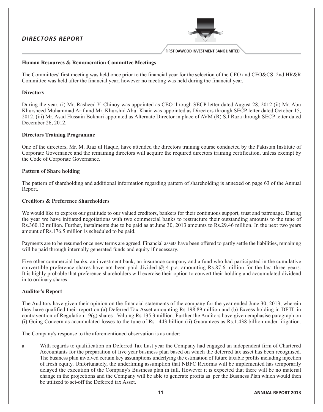

## Human Resources & Remuneration Committee Meetings

The Committees' first meeting was held once prior to the financial year for the selection of the CEO and CFO&CS. 2nd HR&R Committee was held after the financial year; however no meeting was held during the financial year.

# **Directors**

During the year, (i) Mr. Rasheed Y. Chinoy was appointed as CEO through SECP letter dated August 28, 2012 (ii) Mr. Abu Khursheed Muhammad Arif and Mr. Khurshid Abul Khair was appointed as Directors through SECP letter dated October 15, 2012. (iii) Mr. Asad Hussain Bokhari appointed as Alternate Director in place of AVM (R) S.J Raza through SECP letter dated December 26, 2012.

## **Directors Training Programme**

One of the directors, Mr. M. Riaz ul Haque, have attended the directors training course conducted by the Pakistan Institute of Corporate Governance and the remaining directors will acquire the required directors training certification, unless exempt by the Code of Corporate Governance.

## **Pattern of Share holding**

The pattern of shareholding and additional information regarding pattern of shareholding is annexed on page 63 of the Annual Report.

## **Creditors & Preference Shareholders**

We would like to express our gratitude to our valued creditors, bankers for their continuous support, trust and patronage. During the year we have initiated negotiations with two commercial banks to restructure their outstanding amounts to the tune of Rs.360.12 million. Further, instalments due to be paid as at June 30, 2013 amounts to Rs.29.46 million. In the next two years amount of Rs.176.5 million is scheduled to be paid.

Payments are to be resumed once new terms are agreed. Financial assets have been offered to partly settle the liabilities, remaining will be paid through internally generated funds and equity if necessary.

Five other commercial banks, an investment bank, an insurance company and a fund who had participated in the cumulative convertible preference shares have not been paid divided  $\omega$  4 p.a. amounting Rs.87.6 million for the last three years. It is highly probable that preference shareholders will exercise their option to convert their holding and accumulated dividend in to ordinary shares

# **Auditor's Report**

The Auditors have given their opinion on the financial statements of the company for the year ended June 30, 2013, wherein they have qualified their report on (a) Deferred Tax Asset amounting Rs.198.89 million and (b) Excess holding in DFTL in contravention of Regulation 19(g) shares. Valuing Rs.135.3 million. Further the Auditors have given emphasise paragraph on (i) Going Concern as accumulated losses to the tune of Rs1.443 billion (ii) Guarantees as Rs.1.438 billion under litigation.

The Company's response to the aforementioned observation is as under:

With regards to qualification on Deferred Tax Last year the Company had engaged an independent firm of Chartered a. Accountants for the preparation of five year business plan based on which the deferred tax asset has been recognised. The business plan involved certain key assumptions underlying the estimation of future taxable profits including injection of fresh equity. Unfortunately, the underlining assumption that NBFC Reforms will be implemented has temporarily delayed the execution of the Company's Business plan in full. However it is expected that there will be no material change in the projections and the Company will be able to generate profits as per the Business Plan which would then be utilized to set-off the Deferred tax Asset.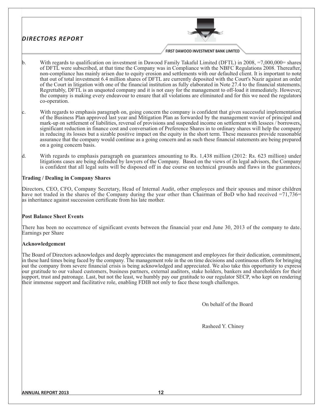# **DIRECTORS REPORT**



- With regards to qualification on investment in Dawood Family Takaful Limited (DFTL) in 2008, =7,000,000= shares  $\mathbf{b}$ . of DFTL were subscribed, at that time the Company was in Compliance with the NBFC Regulations 2008. Thereafter, non-compliance has mainly arisen due to equity erosion and settlements with our defaulted client. It is important to note that out of total investment 6.4 million shares of DFTL are currently deposited with the Court's Nazir against an order of the Court in litigation with one of the financial institution as fully elaborated in Note 27.4 to the financial statements. Regrettably, DFTL is an unquoted company and it is not easy for the management to off-load it immediately. However, the company is making every endeavour to ensure that all violations are eliminated and for this we need the regulators co-operation.
- With regards to emphasis paragraph on, going concern the company is confident that given successful implementation of the Business Plan approved last year and Mitigation Plan as forwarded by the management wavier of principal and mark-up on settlement of liabilities, reversal of provisions and suspended income on settlement with lessees / borrowers, significant reduction in finance cost and conversation of Preference Shares in to ordinary shares will help the company in reducing its losses but a sizable positive impact on the equity in the short term. These measures provide reasonable assurance that the company would continue as a going concern and as such these financial statements are being prepared on a going concern basis.
- d. With regards to emphasis paragraph on guarantees amounting to Rs. 1,438 million (2012: Rs. 623 million) under litigations cases are being defended by lawyers of the Company. Based on the views of its legal advisors, the Company is confident that all legal suits will be disposed off in due course on technical grounds and flaws in the guarantees.

# **Trading / Dealing in Company Shares**

Directors, CEO, CFO, Company Secretary, Head of Internal Audit, other employees and their spouses and minor children have not traded in the shares of the Company during the year other than Chairman of BoD who had received =71,736= as inheritance against succession certificate from his late mother.

## **Post Balance Sheet Events**

There has been no occurrence of significant events between the financial year end June 30, 2013 of the company to date. Earnings per Share

# Acknowledgement

The Board of Directors acknowledges and deeply appreciates the management and employees for their dedication, commitment, in these hard times being faced by the company. The management role in the on time decisions and continuous efforts for bringing out the company from severe financial crisis is being acknowledged and appreciated. We also take this opportunity to express our gratitude to our valued customers, business partners, external auditors, stake holders, bankers and shareholders for their support, trust and patronage. Last, but not the least, we humbly pay our gratitude to our regulator SECP, who kept on rendering their immense support and facilitative role, enabling FDIB not only to face these tough challenges.

On behalf of the Board

Rasheed Y. Chinoy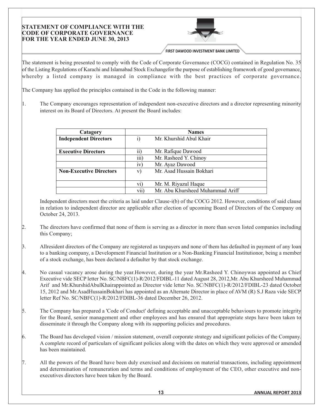## **STATEMENT OF COMPLIANCE WITH THE CODE OF CORPORATE GOVERNANCE** FOR THE YEAR ENDED JUNE 30, 2013



FIRST DAWOOD INVESTMENT BANK LIMITED

The statement is being presented to comply with the Code of Corporate Governance (COCG) contained in Regulation No. 35 of the Listing Regulations of Karachi and Islamabad Stock Exchangefor the purpose of establishing framework of good governance, whereby a listed company is managed in compliance with the best practices of corporate governance.

The Company has applied the principles contained in the Code in the following manner:

 $\vert$ 1. The Company encourages representation of independent non-executive directors and a director representing minority interest on its Board of Directors. At present the Board includes:

| Catagory                       |                 | <b>Names</b>                     |
|--------------------------------|-----------------|----------------------------------|
| <b>Independent Directors</b>   | $\bf{1)}$       | Mr. Khurshid Abul Khair          |
|                                |                 |                                  |
| <b>Executive Directors</b>     | $\overline{11}$ | Mr. Rafique Dawood               |
|                                | iii)            | Mr. Rasheed Y. Chinoy            |
|                                | iv)             | Mr. Ayaz Dawood                  |
| <b>Non-Executive Directors</b> | V)              | Mr. Asad Hussain Bokhari         |
|                                |                 |                                  |
|                                | $\rm{vi})$      | Mr. M. Riyazul Haque             |
|                                | vii)            | Mr. Abu Khursheed Muhammad Ariff |

Independent directors meet the criteria as laid under Clause-i(b) of the COCG 2012. However, conditions of said clause in relation to independent director are applicable after election of upcoming Board of Directors of the Company on October 24, 2013.

- $\alpha$ . The directors have confirmed that none of them is serving as a director in more than seven listed companies including this Company;
- $\beta$ . Allresident directors of the Company are registered as taxpayers and none of them has defaulted in payment of any loan to a banking company, a Development Financial Institution or a Non-Banking Financial Institutionor, being a member of a stock exchange, has been declared a defaulter by that stock exchange.
- 4. No casual vacancy arose during the year. However, during the year Mr. Rasheed Y. Chinoywas appointed as Chief Executive vide SECP letter No. SC/NBFC(1)-R/2012/FDIBL-11 dated August 28, 2012, Mr. Abu Khursheed Muhammad Arif and Mr.KhurshidAbulKhairappointed as Director vide letter No. SC/NBFC(1)-R/2012/FDIBL-23 dated October 15, 2012 and Mr. AsadHussainBokhari has appointed as an Alternate Director in place of AVM (R) S.J Raza vide SECP letter Ref No. SC/NBFC(1)-R/2012/FDIBL-36 dated December 26, 2012.
- $\vert$ 5. The Company has prepared a 'Code of Conduct' defining acceptable and unacceptable behaviours to promote integrity for the Board, senior management and other employees and has ensured that appropriate steps have been taken to disseminate it through the Company along with its supporting policies and procedures.
- $6.$ The Board has developed vision / mission statement, overall corporate strategy and significant policies of the Company. A complete record of particulars of significant policies along with the dates on which they were approved or amended has been maintained.
- 7. All the powers of the Board have been duly exercised and decisions on material transactions, including appointment and determination of remuneration and terms and conditions of employment of the CEO, other executive and nonexecutives directors have been taken by the Board.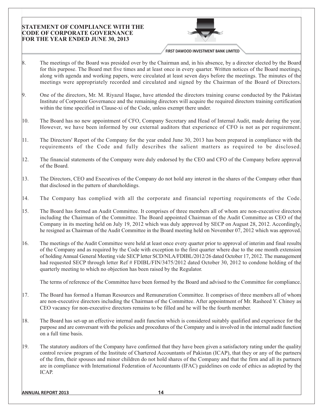# **STATEMENT OF COMPLIANCE WITH THE CODE OF CORPORATE GOVERNANCE** FOR THE YEAR ENDED JUNE 30, 2013



FIRST DAWOOD INVESTMENT BANK LIMITED

- $\vert 8.$ The meetings of the Board was presided over by the Chairman and, in his absence, by a director elected by the Board for this purpose. The Board met five times and at least once in every quarter. Written notices of the Board meetings, along with agenda and working papers, were circulated at least seven days before the meetings. The minutes of the meetings were appropriately recorded and circulated and signed by the Chairman of the Board of Directors.
- 9. One of the directors, Mr. M. Riyazul Haque, have attended the directors training course conducted by the Pakistan Institute of Corporate Governance and the remaining directors will acquire the required directors training certification within the time specified in Clause-xi of the Code, unless exempt there under.
- 10. The Board has no new appointment of CFO, Company Secretary and Head of Internal Audit, made during the year. However, we have been informed by our external auditors that experience of CFO is not as per requirement.
- $|11\rangle$ The Directors' Report of the Company for the year ended June 30, 2013 has been prepared in compliance with the requirements of the Code and fully describes the salient matters as required to be disclosed.
- $|12\rangle$ The financial statements of the Company were duly endorsed by the CEO and CFO of the Company before approval of the Board
- $\vert$ 13. The Directors, CEO and Executives of the Company do not hold any interest in the shares of the Company other than that disclosed in the pattern of shareholdings.
- $|14.$ The Company has complied with all the corporate and financial reporting requirements of the Code.
- $\vert 15. \vert$ The Board has formed an Audit Committee. It comprises of three members all of whom are non-executive directors including the Chairman of the Committee. The Board appointed Chairman of the Audit Committee as CEO of the Company in its meeting held on July 19, 2012 which was duly approved by SECP on August 28, 2012. Accordingly, he resigned as Chairman of the Audit Committee in the Board meeting held on November 07, 2012 which was approved.
- $16.$ The meetings of the Audit Committee were held at least once every quarter prior to approval of interim and final results of the Company and as required by the Code with exception to the first quarter where due to the one month extension of holding Annual General Meeting vide SECP letter SCD/NLA/FDIBL/2012/26 dated October 17, 2012. The management had requested SECP through letter Ref # FDIBL/FIN/3475/2012 dated October 30, 2012 to condone holding of the quarterly meeting to which no objection has been raised by the Regulator.

The terms of reference of the Committee have been formed by the Board and advised to the Committee for compliance.

- $17.$ The Board has formed a Human Resources and Remuneration Committee. It comprises of three members all of whom are non-executive directors including the Chairman of the Committee. After appointment of Mr. Rasheed Y. Chinoy as CEO vacancy for non-executive directors remains to be filled and he will be the fourth member.
- 18. The Board has set-up an effective internal audit function which is considered suitably qualified and experience for the purpose and are conversant with the policies and procedures of the Company and is involved in the internal audit function on a full time basis.
- $|19\rangle$ The statutory auditors of the Company have confirmed that they have been given a satisfactory rating under the quality control review program of the Institute of Chartered Accountants of Pakistan (ICAP), that they or any of the partners of the firm, their spouses and minor children do not hold shares of the Company and that the firm and all its partners are in compliance with International Federation of Accountants (IFAC) guidelines on code of ethics as adopted by the ICAP.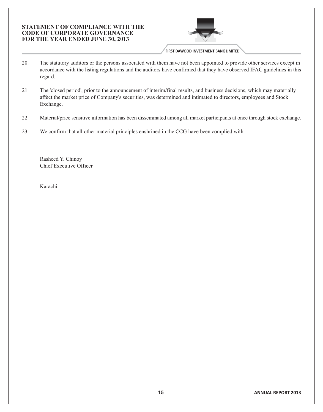# **STATEMENT OF COMPLIANCE WITH THE CODE OF CORPORATE GOVERNANCE** FOR THE YEAR ENDED JUNE 30, 2013



FIRST DAWOOD INVESTMENT BANK LIMITED

- The statutory auditors or the persons associated with them have not been appointed to provide other services except in 20. accordance with the listing regulations and the auditors have confirmed that they have observed IFAC guidelines in this regard.
- $21.$ The 'closed period', prior to the announcement of interim/final results, and business decisions, which may materially affect the market price of Company's securities, was determined and intimated to directors, employees and Stock Exchange.
- 22. Material/price sensitive information has been disseminated among all market participants at once through stock exchange.
- We confirm that all other material principles enshrined in the CCG have been complied with. 23.

Rasheed Y. Chinoy Chief Executive Officer

Karachi.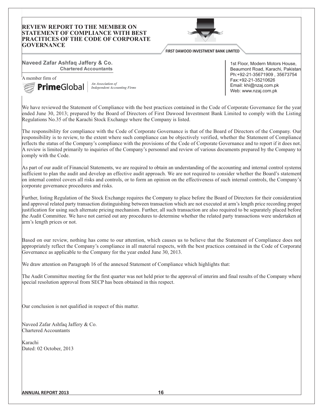## **REVIEW REPORT TO THE MEMBER ON STATEMENT OF COMPLIANCE WITH BEST PRACITICES OF THE CODE OF CORPORATE GOVERNANCE**



FIRST DAWOOD INVESTMENT BANK LIMITED

## Naveed Zafar Ashfaq Jaffery & Co. **Chartered Accountants**

A member firm of



An Association of **Independent Accounting Firms** 

1st Floor, Modern Motors House. Beaumont Road, Karachi, Pakistan Ph:+92-21-35671909, 35673754 Fax:+92-21-35210626 Email: khi@nzaj.com.pk Web: www.nzaj.com.pk

We have reviewed the Statement of Compliance with the best practices contained in the Code of Corporate Governance for the year ended June 30, 2013; prepared by the Board of Directors of First Dawood Investment Bank Limited to comply with the Listing Regulations No.35 of the Karachi Stock Exchange where the Company is listed.

The responsibility for compliance with the Code of Corporate Governance is that of the Board of Directors of the Company. Our responsibility is to review, to the extent where such compliance can be objectively verified, whether the Statement of Compliance reflects the status of the Company's compliance with the provisions of the Code of Corporate Governance and to report if it does not. A review is limited primarily to inquiries of the Company's personnel and review of various documents prepared by the Company to comply with the Code.

As part of our audit of Financial Statements, we are required to obtain an understanding of the accounting and internal control systems sufficient to plan the audit and develop an effective audit approach. We are not required to consider whether the Board's statement on internal control covers all risks and controls, or to form an opinion on the effectiveness of such internal controls, the Company's corporate governance procedures and risks.

Further, listing Regulation of the Stock Exchange requires the Company to place before the Board of Directors for their consideration and approval related party transaction distinguishing between transaction which are not executed at arm's length price recording proper justification for using such alternate pricing mechanism. Further, all such transaction are also required to be separately placed before the Audit Committee. We have not carried out any procedures to determine whether the related party transactions were undertaken at arm's length prices or not.

Based on our review, nothing has come to our attention, which causes us to believe that the Statement of Compliance does not appropriately reflect the Company's compliance in all material respects, with the best practices contained in the Code of Corporate Governance as applicable to the Company for the year ended June 30, 2013.

We draw attention on Paragraph 16 of the annexed Statement of Compliance which highlights that:

The Audit Committee meeting for the first quarter was not held prior to the approval of interim and final results of the Company where special resolution approval from SECP has been obtained in this respect.

Our conclusion is not qualified in respect of this matter.

Naveed Zafar Ashfaq Jaffery & Co. Chartered Accountants

Karachi Dated: 02 October, 2013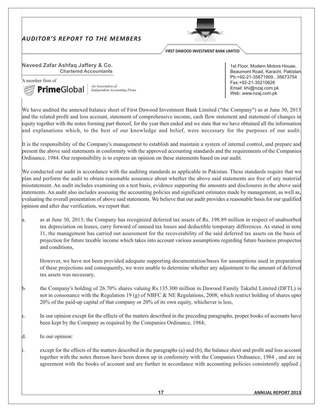# **AUDITOR'S REPORT TO THE MEMBERS**



**FIRST DAWOOD INVESTMENT BANK LIMITED** 

#### Naveed Zafar Ashfaq Jaffery & Co. **Chartered Accountants**

A member firm of



An Association of **Independent Accounting Firms** 

1st Floor, Modern Motors House, Beaumont Road, Karachi, Pakistan Ph:+92-21-35671909, 35673754 Fax:+92-21-35210626 Email: khi@nzaj.com.pk Web: www.nzaj.com.pk

We have audited the annexed balance sheet of First Dawood Investment Bank Limited ("the Company") as at June 30, 2013 and the related profit and loss account, statement of comprehensive income, cash flow statement and statement of changes in equity together with the notes forming part thereof, for the year then ended and we state that we have obtained all the information and explanations which, to the best of our knowledge and belief, were necessary for the purposes of our audit.

It is the responsibility of the Company's management to establish and maintain a system of internal control, and prepare and present the above said statements in conformity with the approved accounting standards and the requirements of the Companies Ordinance, 1984. Our responsibility is to express an opinion on these statements based on our audit.

We conducted our audit in accordance with the auditing standards as applicable in Pakistan. These standards require that we plan and perform the audit to obtain reasonable assurance about whether the above said statements are free of any material misstatement. An audit includes examining on a test basis, evidence supporting the amounts and disclosures in the above said statements. An audit also includes assessing the accounting policies and significant estimates made by management, as well as, evaluating the overall presentation of above said statements. We believe that our audit provides a reasonable basis for our qualified opinion and after due verification, we report that:

as at June 30, 2013; the Company has recognized deferred tax assets of Rs. 198.89 million in respect of unabsorbed a. tax depreciation on leases, carry forward of unused tax losses and deductible temporary differences. As stated in note 11, the management has carried out assessment for the recoverability of the said deferred tax assets on the basis of projection for future taxable income which takes into account various assumptions regarding future business prospectus and conditions.

However, we have not been provided adequate supporting documentation/bases for assumptions used in preparation of these projections and consequently, we were unable to determine whether any adjustment to the amount of deferred tax assets was necessary,

- the Company's holding of 26.70% shares valuing Rs.135.300 million in Dawood Family Takaful Limited (DFTL) is b. not in consonance with the Regulation 19 (g) of NBFC & NE Regulations, 2008; which restrict holding of shares upto 20% of the paid-up capital of that company or 20% of its own equity, whichever is less,
- In our opinion except for the effects of the matters described in the preceding paragraphs, proper books of accounts have  $|c|$ been kept by the Company as required by the Companies Ordinance, 1984;
- d. In our opinion:
	- except for the effects of the matters described in the paragraphs (a) and (b), the balance sheet and profit and loss account together with the notes thereon have been drawn up in conformity with the Companies Ordinance, 1984, and are in agreement with the books of account and are further in accordance with accounting policies consistently applied: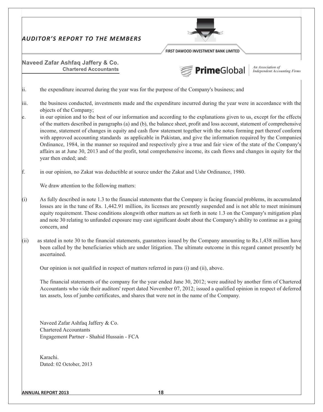|            | <b>AUDITOR'S REPORT TO THE MEMBERS</b>                                                                                                                                                                                                                                                                                                                                                                                                                                                                                                                                                                                                                                                                                                                                                                                                                                                                                      |
|------------|-----------------------------------------------------------------------------------------------------------------------------------------------------------------------------------------------------------------------------------------------------------------------------------------------------------------------------------------------------------------------------------------------------------------------------------------------------------------------------------------------------------------------------------------------------------------------------------------------------------------------------------------------------------------------------------------------------------------------------------------------------------------------------------------------------------------------------------------------------------------------------------------------------------------------------|
|            | FIRST DAWOOD INVESTMENT BANK LIMITED<br>Naveed Zafar Ashfaq Jaffery & Co.<br><b>An Association of</b><br>Independent Accounting Firms<br><b>PrimeGlobal</b><br><b>Chartered Accountants</b>                                                                                                                                                                                                                                                                                                                                                                                                                                                                                                                                                                                                                                                                                                                                 |
| ii.        | the expenditure incurred during the year was for the purpose of the Company's business; and                                                                                                                                                                                                                                                                                                                                                                                                                                                                                                                                                                                                                                                                                                                                                                                                                                 |
| iii.<br>e. | the business conducted, investments made and the expenditure incurred during the year were in accordance with the<br>objects of the Company;<br>in our opinion and to the best of our information and according to the explanations given to us, except for the effects<br>of the matters described in paragraphs (a) and (b), the balance sheet, profit and loss account, statement of comprehensive<br>income, statement of changes in equity and cash flow statement together with the notes forming part thereof conform<br>with approved accounting standards as applicable in Pakistan, and give the information required by the Companies<br>Ordinance, 1984, in the manner so required and respectively give a true and fair view of the state of the Company's<br>affairs as at June 30, 2013 and of the profit, total comprehensive income, its cash flows and changes in equity for the<br>year then ended; and: |
|            | in our opinion, no Zakat was deductible at source under the Zakat and Ushr Ordinance, 1980.                                                                                                                                                                                                                                                                                                                                                                                                                                                                                                                                                                                                                                                                                                                                                                                                                                 |
|            | We draw attention to the following matters:                                                                                                                                                                                                                                                                                                                                                                                                                                                                                                                                                                                                                                                                                                                                                                                                                                                                                 |
| (i)        | As fully described in note 1.3 to the financial statements that the Company is facing financial problems, its accumulated<br>losses are in the tune of Rs. 1,442.91 million, its licenses are presently suspended and is not able to meet minimum<br>equity requirement. These conditions alongwith other matters as set forth in note 1.3 on the Company's mitigation plan<br>and note 30 relating to unfunded exposure may cast significant doubt about the Company's ability to continue as a going<br>concern, and                                                                                                                                                                                                                                                                                                                                                                                                      |
| (11)       | as stated in note 30 to the financial statements, guarantees issued by the Company amounting to Rs.1,438 million have<br>been called by the beneficiaries which are under litigation. The ultimate outcome in this regard cannot presently be<br>ascertained.                                                                                                                                                                                                                                                                                                                                                                                                                                                                                                                                                                                                                                                               |
|            | Our opinion is not qualified in respect of matters referred in para (i) and (ii), above.                                                                                                                                                                                                                                                                                                                                                                                                                                                                                                                                                                                                                                                                                                                                                                                                                                    |
|            | The financial statements of the company for the year ended June 30, 2012; were audited by another firm of Chartered<br>Accountants who vide their auditors' report dated November 07, 2012; issued a qualified opinion in respect of deferred<br>tax assets, loss of jumbo certificates, and shares that were not in the name of the Company.                                                                                                                                                                                                                                                                                                                                                                                                                                                                                                                                                                               |
|            | Naveed Zafar Ashfaq Jaffery & Co.<br><b>Chartered Accountants</b><br>Engagement Partner - Shahid Hussain - FCA                                                                                                                                                                                                                                                                                                                                                                                                                                                                                                                                                                                                                                                                                                                                                                                                              |
|            | Karachi.<br>Dated: 02 October, 2013                                                                                                                                                                                                                                                                                                                                                                                                                                                                                                                                                                                                                                                                                                                                                                                                                                                                                         |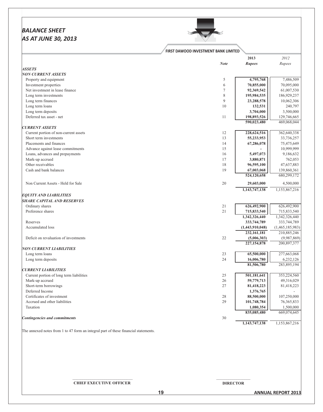# **BALANCE SHEET** AS AT JUNE 30, 2013



## FIRST DAWOOD INVESTMENT BANK LIMITED

|                                          |             | 2013            | 2012            |
|------------------------------------------|-------------|-----------------|-----------------|
|                                          | <b>Note</b> | <b>Rupees</b>   | Rupees          |
| <b>ASSETS</b>                            |             |                 |                 |
| <b>NON CURRENT ASSETS</b>                |             |                 |                 |
| Property and equipment                   | 5           | 4,795,768       | 7,486,509       |
| Investment properties                    | 6           | 70,855,000      | 70,095,000      |
| Net investment in lease finance          | $\tau$      | 92,369,542      | 61,007,530      |
| Long term investments                    | 8           | 195,984,535     | 186,929,237     |
| Long term finances                       | 9           | 23,288,578      | 10,062,306      |
| Long term loans                          | 10          | 132,531         | 240,797         |
| Long term deposits                       |             | 3,704,000       | 3,500,000       |
| Deferred tax asset - net                 | 11          | 198,893,526     | 129,746,665     |
|                                          |             | 590,023,480     | 469,068,044     |
| <b>CURRENT ASSETS</b>                    |             |                 |                 |
| Current portion of non-current assets    | 12          | 228,624,516     | 362,640,338     |
| Short term investments                   | 13          | 55,233,953      | 33,736,257      |
| Placements and finances                  | 14          | 67,286,078      | 75,475,649      |
| Advance against lease commitments        | 15          |                 | 10,999,999      |
| Loans, advances and prepayments          | 16          | 5,497,073       | 9,186,632       |
| Mark-up accrued                          | 17          | 3,880,871       | 762,053         |
| Other receivables                        | 18          | 96,595,100      | 47,637,883      |
| Cash and bank balances                   | 19          | 67,003,068      | 139,860,361     |
|                                          |             | 524,120,658     | 680,299,172     |
| Non Current Assets - Held for Sale       | $20\,$      | 29,603,000      | 4,500,000       |
|                                          |             | 1,143,747,138   | 1,153,867,216   |
| <b>EQUITY AND LIABILITIES</b>            |             |                 |                 |
| <b>SHARE CAPITAL AND RESERVES</b>        |             |                 |                 |
| Ordinary shares                          | 21          | 626,492,900     | 626,492,900     |
| Preference shares                        | 21          | 715,833,540     | 715,833,540     |
|                                          |             | 1,342,326,440   | 1,342,326,440   |
| Reserves                                 |             | 333,744,789     | 333,744,789     |
| Accumulated loss                         |             | (1,443,910,048) | (1,465,185,983) |
|                                          |             | 232, 161, 181   | 210,885,246     |
| Deficit on revaluation of investments    | 22          | (5,006,303)     | (9,987,869)     |
|                                          |             | 227,154,878     | 200,897,377     |
| <b>NON CURRENT LIABILITIES</b>           |             |                 |                 |
| Long term loans                          | 23          | 65,500,000      | 277,663,068     |
| Long term deposits                       | 24          | 16,006,780      | 6,232,126       |
|                                          |             | 81,506,780      | 283,895,194     |
| <b>CURRENT LIABILITIES</b>               |             |                 |                 |
| Current portion of long term liabilities | 25          | 501,181,641     | 353,224,560     |
| Mark-up accrued                          | 26          | 59,779,713      | 49,316,029      |
| Short-term borrowings                    | 27          | 81,418,223      | 81,418,223      |
| Deferred Income                          |             | 1,376,765       |                 |
| Certificates of investment               | 28          | 88,500,000      | 107,250,000     |
| Accrued and other liabilities            | 29          | 101,748,784     | 76, 365, 833    |
| Taxation                                 |             | 1,080,354       | 1,500,000       |
|                                          |             | 835,085,480     | 669,074,645     |
| <b>Contingencies and commitments</b>     | 30          |                 |                 |
|                                          |             | 1,143,747,138   | 1,153,867,216   |

The annexed notes from 1 to 47 form an integral part of these financial statements.

## **CHIEF EXECUTIVE OFFICER**

 $19$ 

**ANNUAL REPORT 2013**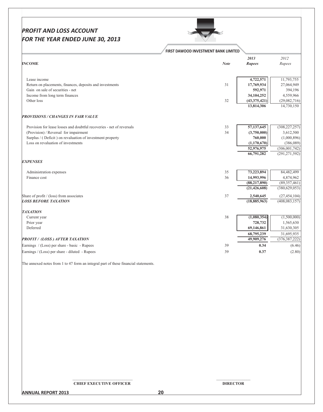# **PROFIT AND LOSS ACCOUNT** FOR THE YEAR ENDED JUNE 30, 2013



## FIRST DAWOOD INVESTMENT BANK LIMITED

|                                                                       |             | 2013           | 2012            |
|-----------------------------------------------------------------------|-------------|----------------|-----------------|
| <b>INCOME</b>                                                         | <b>Note</b> | <b>Rupees</b>  | Rupees          |
|                                                                       |             |                |                 |
| Lease income                                                          |             | 4,722,571      | 11,793,755      |
| Return on placements, finances, deposits and investments              | 31          | 17,769,934     | 27,064,949      |
| Gain on sale of securities - net                                      |             | 592,971        | 394,196         |
| Income from long term finances                                        |             | 34, 104, 252   | 4,559,966       |
| Other loss                                                            | 32          | (43, 375, 421) | (29,082,716)    |
|                                                                       |             | 13,814,306     | 14,730,150      |
| <b>PROVISIONS / CHANGES IN FAIR VALUE</b>                             |             |                |                 |
| Provision for lease losses and doubtful recoveries - net of reversals | 33          | 57,137,645     | (308, 227, 257) |
| (Provision) / Reversal for impairment                                 | 34          | (3,750,000)    | 3,612,500       |
| Surplus / (Deficit) on revaluation of investment property             |             | 760,000        | (1,000,896)     |
| Loss on revaluation of investments                                    |             | (1, 170, 670)  | (386,089)       |
|                                                                       |             | 52,976,975     | (306, 001, 742) |
|                                                                       |             | 66,791,282     | (291, 271, 592) |
| <b>EXPENSES</b>                                                       |             |                |                 |
| Administration expenses                                               | 35          | 73,223,894     | 84,482,499      |
| Finance cost                                                          | 36          | 14,993,996     | 4,874,962       |
|                                                                       |             | (88, 217, 890) | (89, 357, 461)  |
|                                                                       |             | (21, 426, 608) | (380, 629, 053) |
| Share of profit / (loss) from associates                              | 37          | 2,540,645      | (27, 454, 104)  |
| <b>LOSS BEFORE TAXATION</b>                                           |             | (18, 885, 963) | (408, 083, 157) |
| <b>TAXATION</b>                                                       |             |                |                 |
| Current year                                                          | 38          | (1,080,354)    | (1,500,000)     |
| Prior year                                                            |             | 728,732        | 1,565,630       |
| Deferred                                                              |             | 69,146,861     | 31,630,305      |
|                                                                       |             | 68,795,239     | 31,695,935      |
| <b>PROFIT/ (LOSS) AFTER TAXATION</b>                                  |             | 49,909,276     | (376, 387, 222) |
| Earnings / (Loss) per share - basic - Rupees                          | 39          | 0.34           | (6.46)          |
| Earnings / (Loss) per share - diluted - Rupees                        | 39          | 0.37           | (2.80)          |

The annexed notes from 1 to 47 form an integral part of these financial statements.

**CHIEF EXECUTIVE OFFICER**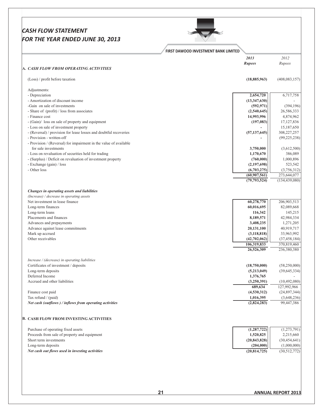# **CASH FLOW STATEMENT** FOR THE YEAR ENDED JUNE 30, 2013

Z

|                                                                   | FIRST DAWOOD INVESTMENT BANK LIMITED |                 |
|-------------------------------------------------------------------|--------------------------------------|-----------------|
|                                                                   | 2013                                 | 2012            |
|                                                                   | Rupees                               | Rupees          |
| <b>A. CASH FLOW FROM OPERATING ACTIVITIES</b>                     |                                      |                 |
| (Loss) / profit before taxation                                   | (18, 885, 963)                       | (408, 083, 157) |
| Adjustments:                                                      |                                      |                 |
| - Depreciation                                                    | 2,654,720                            | 6,717,758       |
| - Amortization of discount income                                 | (13, 347, 630)                       |                 |
| -Gain on sale of investments                                      | (592, 971)                           | (394, 196)      |
| - Share of (profit) / loss from associates                        | (2,540,645)                          | 26,586,333      |
| - Finance cost                                                    | 14,993,996                           | 4,874,962       |
| - (Gain)/ loss on sale of property and equipment                  | (197,083)                            | 17, 127, 836    |
| - Loss on sale of investment property                             |                                      | 15,187,650      |
| - (Reversal) / provision for lease losses and doubtful recoveries | (57, 137, 645)                       | 308,227,257     |
| - Provision - written-off                                         |                                      | (99, 225, 238)  |
| - Provision / (Reversal) for impairment in the value of available |                                      |                 |
| for sale investments                                              | 3,750,000                            | (3,612,500)     |
| - Loss on revaluation of securities held for trading              | 1,170,670                            | 386,089         |
| - (Surplus) / Deficit on revaluation of investment property       | (760,000)                            | 1,000,896       |
| - Exchange (gain) / loss                                          | (2,197,698)                          | 523,542         |
| - Other loss                                                      | (6,703,275)                          | (3,756,312)     |
|                                                                   | $\overline{(60,907,561)}$            | 273,644,077     |
|                                                                   | (79, 793, 524)                       | (134, 439, 080) |
|                                                                   |                                      |                 |
| Changes in operating assets and liabilities                       |                                      |                 |
| (Increase) / decrease in operating assets                         |                                      |                 |
| Net investment in lease finance                                   | 60,278,770                           | 206,903,513     |
| Long-term finances                                                | 60,016,695                           | 82,089,668      |
| Long-term loans                                                   | 116,342                              | 145,215         |
| Placements and finances                                           | 8,189,571                            | 42,984,334      |
| Advances and prepayments                                          | 3,408,235                            | 1,271,205       |
| Advance against lease commitments                                 | 20,131,100                           | 40,919,717      |
| Mark up accrued                                                   | (3, 118, 818)                        | 33,963,992      |
| Other receivables                                                 | (42,702,062)                         | (37, 458, 184)  |
|                                                                   | 106,319,833<br>26,526,309            | 370,819,460     |
|                                                                   |                                      | 236,380,380     |
| Increase / (decrease) in operating liabilities                    |                                      |                 |
| Certificates of investment / deposits                             | (18,750,000)                         | (58,250,000)    |
| Long-term deposits                                                | (5,213,049)                          | (39, 645, 334)  |
| Deferred Income                                                   | 1,376,765                            |                 |
| Accrued and other liabilities                                     | (3,250,391)                          | (10, 492, 080)  |
|                                                                   | 689,634                              | 127,992,966     |
| Finance cost paid                                                 | (4,530,312)                          | (24, 897, 344)  |
| Tax refund / (paid)                                               | 1,016,395                            | (3,648,236)     |
| Net cash (outflows) / inflows from operating activities           | (2,824,283)                          | 99,447,386      |
| <b>3. CASH FLOW FROM INVESTING ACTIVITIES</b>                     |                                      |                 |
|                                                                   |                                      |                 |
| Purchase of operating fixed assets                                | (1, 287, 722)                        | (1, 273, 791)   |
| Proceeds from sale of property and equipment                      | 1,520,825                            | 2,215,660       |
| Short term investments                                            | (20, 843, 828)                       | (30, 454, 641)  |
| Long-term deposits                                                | (204,000)                            | (1,000,000)     |
| Net cash out flows used in investing activities                   | (20,814,725)                         | (30,512,772)    |
|                                                                   |                                      |                 |
|                                                                   |                                      |                 |
|                                                                   |                                      |                 |
|                                                                   |                                      |                 |
|                                                                   |                                      |                 |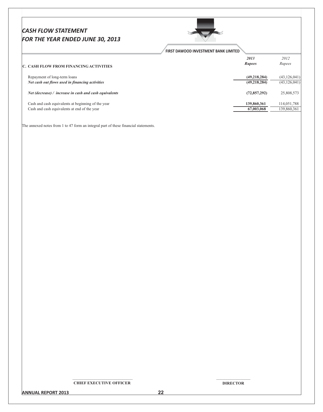# **CASH FLOW STATEMENT** FOR THE YEAR ENDED JUNE 30, 2013



FIRST DAWOOD INVESTMENT BANK LIMITED

| <b>C. CASH FLOW FROM FINANCING ACTIVITIES</b>               | 2013<br><b>Rupees</b> | 2012<br>Rupees |
|-------------------------------------------------------------|-----------------------|----------------|
| Repayment of long-term loans                                | (49, 218, 284)        | (43, 126, 041) |
| Net cash out flows used in financing activities             | (49, 218, 284)        | (43, 126, 041) |
| Net (decrease) $\ell$ increase in cash and cash equivalents | (72, 857, 292)        | 25,808,573     |
| Cash and cash equivalents at beginning of the year          | 139,860,361           | 114,051,788    |
| Cash and cash equivalents at end of the year                | 67,003,068            | 139,860,361    |
|                                                             |                       |                |

The annexed notes from 1 to 47 form an integral part of these financial statements.

**CHIEF EXECUTIVE OFFICER** 

**DIRECTOR** 

**ANNUAL REPORT 2013** 

 $22$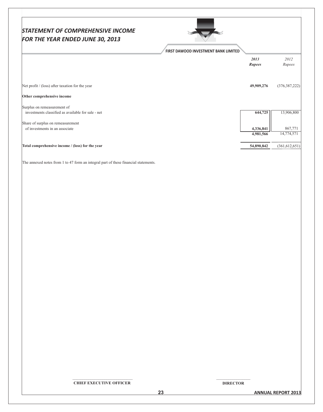| <b>STATEMENT OF COMPREHENSIVE INCOME</b><br>FOR THE YEAR ENDED JUNE 30, 2013 | FIRST DAWOOD INVESTMENT BANK LIMITED |                       |                 |
|------------------------------------------------------------------------------|--------------------------------------|-----------------------|-----------------|
|                                                                              |                                      | 2013<br><b>Rupees</b> | 2012<br>Rupees  |
| Net profit $/$ (loss) after taxation for the year                            |                                      | 49,909,276            | (376, 387, 222) |
| Other comprehensive income                                                   |                                      |                       |                 |
| Surplus on remeasurement of                                                  |                                      |                       |                 |
| investments classified as available for sale - net                           |                                      | 644,725               | 13,906,800      |
| Share of surplus on remeasurement                                            |                                      |                       |                 |
| of investments in an associate                                               |                                      | 4,336,841             | 867,771         |
|                                                                              |                                      | 4,981,566             | 14,774,571      |
| Total comprehensive income / (loss) for the year                             |                                      | 54,890,842            | (361, 612, 651) |

**CHIEF EXECUTIVE OFFICER** 

**DIRECTOR** 

**ANNUAL REPORT 2013**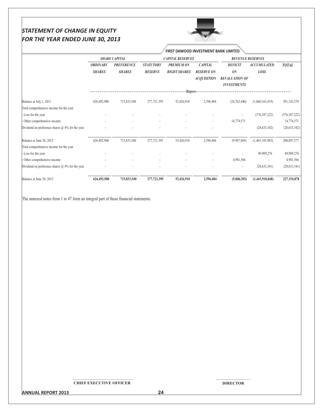# *STATEMENT OF CHANGE IN EQUITY* FOR THE YEAR ENDED JUNE 30, 2013



**ORDINARY PREFERENCE STATUTORY** *PREMIUM ON*  $CAPITAL$ *DEFICI*  $\overline{ACCUMULATED}$  $\overline{TOTAL}$ **5HARES 5HARES RESERVE RIGHT SHARES RESERVE ON** ON *LOSS ACQUISITION REVALUATION OF INVESTMENTS* Balance a t July 1, 2011 (1,060,165,419) 626,492,900 715,833,540 277,721,395 53,426,910 2,596,484 (24,762,440) (1,060,165,419) 591,143,370 Total comprehensive income for the year - Loss for the year @ @ @ @ @ @ ,6406/45553 ,6406/45553 Other comprehensive income the comprehensive income the comprehensive income the comprehensive income the comprehensive income the comprehensive income the comprehensive income the comprehensive income the comprehensive in Dividend on preference shares  $\omega$  4% for the yea r and the contract of the contract of the contract of the contract of the contract  $(28,633,342)$   $(28,633,342)$ Balance a E6252.5 050715122 4.-/66-72 54445.61- -67501.2 5-107/7 ,11/4/013 ,.70-./-1/63 522/14644 Total comprehensive income for the year - Loss for the year @ @ @ @ @ @ 71121540 71121540 Other comprehensive income 4,981,566 4,981,566 4,981,566 4,981,566 4,981,566 4,981,566 4,981,566 4,981,566 4,981,566 4,981,566 4,981,566 4,981,566 4,981,566 4,981,566 4,981,566 4,981,566 4,981,566 4,981,566 4,981,566 4,981 Dividend on preference shares  $\omega$  4% for the yea r and the contract of the contract of the contract of the contract of the contract of the contract of the contract of the contract of the contract of the contract of the contract of the contract of the contract of the con Balance a t June 30, 2013 **626,492,900 715,833,540 277,721,395 53,426,910 2,596,484 (5,006,303) (1,443,910,048) 227,154,878** *)* **) ) ) ) () ) () ) () ) () ) () () ) () () () ) () () () () () () () () () () () () () () () ()** SHARE CAPITAL CAPITAL **REVENUE RESERVES FIRST DAWOOD INVESTMENT BANK LIMITED** 

The annexed notes from 1 to 47 form an integral part of these financial statements.

#### SSSSSSSSSSSSSSSSSSSSSSSSSSSSSS **CHIEF EXECUTIVE OFFICER**

SSSSSSSSSSSSSSSSS **DIRECTOR** 

24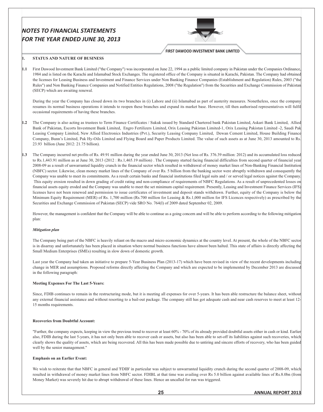

**FIRST DAWOOD INVESTMENT BANK LIMITED** 

#### **STATUS AND NATURE OF BUSINESS**

1.

1.1 First Dawood Investment Bank Limited ("the Company") was incorporated on June 22, 1994 as a public limited company in Pakistan under the Companies Ordinance, 1984 and is listed on the Karachi and Islamabad Stock Exchanges. The registered office of the Company is situated in Karachi, Pakistan. The Company had obtained the licenses for Leasing Business and Investment and Finance Services under Non Banking Finance Companies (Establishment and Regulation) Rules, 2003 ("the Rules") and Non Banking Finance Companies and Notified Entities Regulations, 2008 ("the Regulation") from the Securities and Exchange Commission of Pakistan (SECP) which are awaiting renewal.

During the year the Company has closed down its two branches in (i) Lahore and (ii) Islamabad as part of austerity measures. Nonetheless, once the company resumes its normal business operations it intends to reopen these branches and expand its market base. However, till then authorised representatives will fulfil occasional requirements of having these branches.

- 1.2 The Company is also acting as trustees to Term Finance Certificates / Sukuk issued by Standard Chartered bank Pakistan Limited, Askari Bank Limited, Allied Bank of Pakistan, Escorts Investment Bank Limited, Engro Fertilizers Limited, Orix Leasing Pakistan Limited-1, Orix Leasing Pakistan Limited -2, Saudi Pak Leasing Company Limited, New Allied Electronics Industries (Pvt.), Security Leasing Company Limited, Dewan Cement Limited, House Building Finance Company, Bunn's Limited, Pak Hy-Oils Limited and Flying Board and Paper Products Limited. The value of such assets as at June 30, 2013 amounted to Rs. 23.93 billion (June 2012: 21.75 billion).
- 1.3 The Company incurred net profits of Rs. 49.91 million during the year ended June 30, 2013 (Net loss of Rs. 376.39 million: 2012) and its accumulated loss reduced to Rs.1,443.91 million as at June 30, 2013 (2012 : Rs.1,465.19 million). The Company started facing financial difficulties from second quarter of financial year 2008-09 as a result of unwarranted liquidity crunch in the financial sector which resulted in withdrawal of money market lines of Non-Banking Financial Institution (NBFC) sector. Likewise, clean money market lines of the Company of over Rs. 5 billion from the banking sector were abruptly withdrawn and consequently the Company was unable to meet its commitments. As a result certain banks and financial institutions filed legal suits and / or served legal notices against the Company. This equity erosion resulted in down grading of credit rating and non-compliance of requirements of NBFC Regulations. As a result of unprecedented losses on financial assets equity eroded and the Company was unable to meet the set minimum capital requirement. Presently, Leasing and Investment Finance Services (IFS) licenses have not been renewed and permission to issue certificates of investment and deposit stands withdrawn. Further, equity of the Company is below the Minimum Equity Requirement (MER) of Rs. 1,700 million (Rs.700 million for Leasing & Rs.1,000 million for IFS Licences respectively) as prescribed by the Securities and Exchange Commission of Pakistan (SECP) vide SRO No. 764(I) of 2009 dated September 02, 2009.

However, the management is confident that the Company will be able to continue as a going concern and will be able to perform according to the following mitigation plan:

#### **Mitigation plan**

The Company being part of the NBFC is heavily reliant on the macro and micro economic dynamics at the country level. At present, the whole of the NBFC sector is in disarray and unfortunately has been placed in situation where normal business functions have almost been halted. This state of affairs is directly affecting the Small Medium Enterprises (SMEs) resulting in slow down of domestic growth.

Last year the Company had taken an initiative to prepare 5-Year Business Plan (2013-17) which have been revised in view of the recent developments including change in MER and assumptions. Proposed reforms directly affecting the Company and which are expected to be implemented by December 2013 are discussed in the following paragraph:

#### **Meeting Expenses For The Last 5-Years:**

Since, FDIB continues to remain in the restructuring mode, but it is meeting all expenses for over 5-years. It has been able restructure the balance sheet, without any external financial assistance and without resorting to a bail-out package. The company still has got adequate cash and near cash reserves to meet at least 12-15 months requirements.

#### **Recoveries from Doubtful Account:**

"Further, the company expects, keeping in view the previous trend to recover at least 60% - 70% of its already provided doubtful assets either in cash or kind. Earlier also, FDIB during the last 5-years, it has not only been able to recover cash or assets, but also has been able to set-off its liabilities against such recoveries, which clearly shows the quality of assets, which are being recovered. All this has been made possible due to untiring and sincere efforts of recovery, who has been guided well by the senior management."

#### **Emphasis on an Earlier Event:**

We wish to reiterate that that NBFC in general and 'FDIB' in particular was subject to unwarranted liquidity crunch during the second quarter of 2008-09, which resulted in withdrawal of money market lines from NBFC sector. FDIBL at that time was availing over Rs 5.0 billion against available lines of Rs.8.0bn (from Money Market) was severely hit due to abrupt withdrawal of these lines. Hence an uncalled for run was triggered.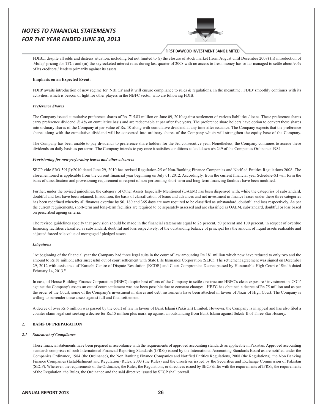

#### FIRST DAWOOD INVESTMENT BANK LIMITED

FDIBL, despite all odds and distress situation, including but not limited to (i) the closure of stock market (from August until December 2008) (ii) introduction of 'Mufap' pricing for TFCs and (iii) the skyrocketed interest rates during last quarter of 2008 with no access to fresh money has so far managed to settle about 90% of its creditors / lenders primarily against its assets.

#### **Emphasis on an Expected Event:**

FDIB' awaits introduction of new regime for 'NBFCs' and it will ensure compliance to rules & regulations. In the meantime, 'FDIB' smoothly continues with its activities, which is beacon of light for other players in the NBFC sector, who are following FDIB.

#### **Preference Shares**

The Company issued cumulative preference shares of Rs. 715.83 million on June 09, 2010 against settlement of various liabilities / loans. These preference shares carry preference dividend @ 4% on cumulative basis and are redeemable at par after five years. The preference share holders have option to convert these shares into ordinary shares of the Company at par value of Rs. 10 along with cumulative dividend at any time after issuance. The Company expects that the preference shares along with the cumulative dividend will be converted into ordinary shares of the Company which will strengthen the equity base of the Company.

The Company has been unable to pay dividends to preference share holders for the 3rd consecutive year. Nonetheless, the Company continues to accrue these dividends on daily basis as per terms. The Company intends to pay once it satisfies conditions as laid down u/s 249 of the Companies Ordinance 1984.

#### Provisioning for non-performing leases and other advances

SECP vide SRO 591(I)/2010 dated June 29, 2010 has revised Regulation-25 of Non-Banking Finance Companies and Notified Entities Regulations 2008. The aforementioned is applicable from the current financial year beginning on July 01, 2012. Accordingly, from the current financial year Schedule-XI will form the basis of classification and provisioning requirement in respect of non-performing short-term and long-term financing facilities have been modified.

Further, under the revised guidelines, the category of Other Assets Especially Mentioned (OAEM) has been dispensed with, while the categories of substandard, doubtful and loss have been retained. In addition, the basis of classification of loans and advances and net investment in finance leases under these three categories has been redefined whereby all finances overdue by 90, 180 and 365 days are now required to be classified as substandard, doubtful and loss respectively. As per the current requirements, short-term and long-term facilities are required to be separately assessed and are classified as OAEM, substandard, doubtful or loss based on prescribed ageing criteria.

The revised guidelines specify that provision should be made in the financial statements equal to 25 percent, 50 percent and 100 percent, in respect of overdue financing facilities classified as substandard, doubtful and loss respectively, of the outstanding balance of principal less the amount of liquid assets realizable and adjusted forced sale value of mortgaged / pledged assets.

#### **Litigations**

"At beginning of the financial year the Company had three legal suits in the court of law amounting Rs.181 million which now have reduced to only two and the amount to Rs.81 million; after successful out of court settlement with State Life Insurance Corporation (SLIC). The settlement agreement was signed on December 29, 2012 with assistance of 'Karachi Centre of Dispute Resolution (KCDR) and Court Compromise Decree passed by Honourable High Court of Sindh dated February 14, 2013."

In case, of House Building Finance Corporation (HBFC) despite best efforts of the Company to settle / restructure HBFC's clean exposure / investment in 'COIs' against the Company's assets an out of court settlement was not been possible due to constant changes . HBFC has obtained a decree of Rs.75 million and as per the order of the Court, some of the Company's investment in shares and debt instruments have been attached in favour of Nazir of High Court. The Company is willing to surrender these assets against full and final settlement.

A decree of over Rs.6 million was passed by the court of law in favour of Bank Islami (Pakistan) Limited. However, the Company is in appeal and has also filed a counter claim legal suit seeking a decree for Rs.15 million plus mark-up against an outstanding from Bank Islami against Sukuk-II of Three Star Hosiery.

## **BASIS OF PREPARATION**

#### 2.1 Statement of Compliance

These financial statements have been prepared in accordance with the requirements of approved accounting standards as applicable in Pakistan. Approved accounting standards comprises of such International Financial Reporting Standards (IFRSs) issued by the International Accounting Standards Board as are notified under the Companies Ordinance, 1984 (the Ordinance), the Non Banking Finance Companies and Notified Entities Regulations, 2008 (the Regulations), the Non Banking Finance Companies (Establishment and Regulation) Rules, 2003 (the Rules) and the directives issued by the Securities and Exchange Commission of Pakistan (SECP). Wherever, the requirements of the Ordinance, the Rules, the Regulations, or directives issued by SECP differ with the requirements of IFRSs, the requirements of the Regulation, the Rules, the Ordinance and the said directive issued by SECP shall prevail.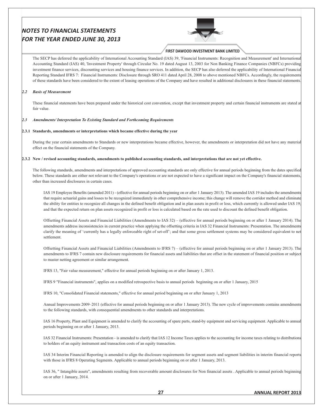

#### FIRST DAWOOD INVESTMENT BANK LIMITED

The SECP has deferred the applicability of International Accounting Standard (IAS) 39, 'Financial Instruments: Recognition and Measurement' and International Accounting Standard (IAS) 40, 'Investment Property' through Circular No. 19 dated August 13, 2003 for Non Banking Finance Companies (NBFCs) providing investment finance services, discounting services and housing finance services. In addition, the SECP has also deferred the applicability of International Financial Reporting Standard IFRS 7: Financial Instruments: Disclosure through SRO 411 dated April 28, 2008 to above mentioned NBFCs. Accordingly, the requirements of these standards have been considered to the extent of leasing operations of the Company and have resulted in additional disclosures in these financial statements.

#### 2.2 Basis of Measurement

These financial statements have been prepared under the historical cost convention, except that investment property and certain financial instruments are stated at fair value.

#### 2.3 Amendments/Interpretation To Existing Standard and Forthcoming Requirements

#### 2.3.1 Standards, amendments or interpretations which became effective during the year

During the year certain amendments to Standards or new interpretations became effective, however, the amendments or interpretation did not have any material effect on the financial statements of the Company.

#### 2.3.2 New / revised accounting standards, amendments to published accounting standards, and interpretations that are not yet effective.

The following standards, amendments and interpretations of approved accounting standards are only effective for annual periods beginning from the dates specified below. These standards are either not relevant to the Company's operations or are not expected to have a significant impact on the Company's financial statements other than increased disclosures in certain cases.

IAS 19 Employee Benefits (amended 2011) - (effective for annual periods beginning on or after 1 January 2013). The amended IAS 19 includes the amendments that require actuarial gains and losses to be recognized immediately in other comprehensive income; this change will remove the corridor method and eliminate the ability for entities to recognize all changes in the defined benefit obligation and in plan assets in profit or loss, which currently is allowed under IAS 19; and that the expected return on plan assets recognized in profit or loss is calculated based on the rate used to discount the defined benefit obligation.

Offsetting Financial Assets and Financial Liabilities (Amendments to IAS 32) – (effective for annual periods beginning on or after 1 January 2014). The amendments address inconsistencies in current practice when applying the offsetting criteria in IAS 32 Financial Instruments: Presentation. The amendments clarify the meaning of 'currently has a legally enforceable right of set-off'; and that some gross settlement systems may be considered equivalent to net settlement.

Offsetting Financial Assets and Financial Liabilities (Amendments to IFRS 7) – (effective for annual periods beginning on or after 1 January 2013). The amendments to IFRS 7 contain new disclosure requirements for financial assets and liabilities that are offset in the statement of financial position or subject to master netting agreement or similar arrangement.

IFRS 13, "Fair value measurement," effective for annual periods beginning on or after January 1, 2013.

IFRS 9 "Financial instruments", applies on a modified retrospective basis to annual periods beginning on or after 1 January, 2015

IFRS 10, "Consolidated Financial statements," effective for annual period beginning on or after January 1, 2013

Annual Improvements 2009-2011 (effective for annual periods beginning on or after 1 January 2013). The new cycle of improvements contains amendments to the following standards, with consequential amendments to other standards and interpretations.

IAS 16 Property, Plant and Equipment is amended to clarify the accounting of spare parts, stand-by equipment and servicing equipment. Applicable to annua periods beginning on or after 1 January, 2013.

IAS 32 Financial Instruments: Presentation - is amended to clarify that IAS 12 Income Taxes applies to the accounting for income taxes relating to distributions to holders of an equity instrument and transaction costs of an equity transaction.

IAS 34 Interim Financial Reporting is amended to align the disclosure requirements for segment assets and segment liabilities in interim financial reports with those in IFRS 8 Operating Segments. Applicable to annual periods beginning on or after 1 January, 2013.

IAS 36, "Intangible assets", amendments resulting from recoverable amount disclosures for Non financial assets . Applicable to annual periods beginning on or after 1 January, 2014.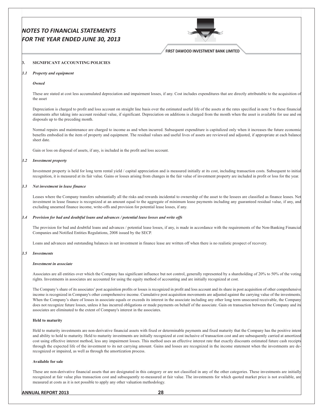

FIRST DAWOOD INVESTMENT BANK LIMITED

#### SIGNIFICANT ACCOUNTING POLICIES  $\mathbf{B}$

#### $3.1$ **Property and equipment**

#### Owned

These are stated at cost less accumulated depreciation and impairment losses, if any. Cost includes expenditures that are directly attributable to the acquisition of the asset

Depreciation is charged to profit and loss account on straight line basis over the estimated useful life of the assets at the rates specified in note 5 to these financial statements after taking into account residual value, if significant. Depreciation on additions is charged from the month when the asset is available for use and on disposals up to the preceding month.

Normal repairs and maintenance are charged to income as and when incurred. Subsequent expenditure is capitalized only when it increases the future economic benefits embodied in the item of property and equipment. The residual values and useful lives of assets are reviewed and adjusted, if appropriate at each balance sheet date.

Gain or loss on disposal of assets, if any, is included in the profit and loss account.

#### 3.2 Investment property

Investment property is held for long term rental yield / capital appreciation and is measured initially at its cost, including transaction costs. Subsequent to initial recognition, it is measured at its fair value. Gains or losses arising from changes in the fair value of investment property are included in profit or loss for the year.

#### 3.3 Net investment in lease finance

Leases where the Company transfers substantially all the risks and rewards incidental to ownership of the asset to the lessees are classified as finance leases. Net investment in lease finance is recognized at an amount equal to the aggregate of minimum lease payments including any guaranteed residual value, if any, and excluding unearned finance income, write-offs and provision for potential lease losses, if any.

#### 3.4 Provision for bad and doubtful loans and advances / potential lease losses and write offs

The provision for bad and doubtful loans and advances / potential lease losses, if any, is made in accordance with the requirements of the Non-Banking Financial Companies and Notified Entities Regulations, 2008 issued by the SECP.

Loans and advances and outstanding balances in net investment in finance lease are written off when there is no realistic prospect of recovery.

#### $3.5^{\circ}$ *Investments*

#### **Investment in associate**

Associates are all entities over which the Company has significant influence but not control, generally represented by a shareholding of 20% to 50% of the voting rights. Investments in associates are accounted for using the equity method of accounting and are initially recognized at cost.

The Company's share of its associates' post acquisition profits or losses is recognized in profit and loss account and its share in post acquisition of other comprehensive income is recognized in Company's other comprehensive income. Cumulative post acquisition movements are adjusted against the carrying value of the investments. When the Company's share of losses in associate equals or exceeds its interest in the associate including any other long term unsecured receivable, the Company does not recognize future losses, unless it has incurred obligations or made payments on behalf of the associate. Gain on transaction between the Company and its associates are eliminated to the extent of Company's interest in the associates.

#### **Held to maturity**

Held to maturity investments are non-derivative financial assets with fixed or determinable payments and fixed maturity that the Company has the positive intent and ability to hold to maturity. Held to maturity investments are initially recognized at cost inclusive of transaction cost and are subsequently carried at amortized cost using effective interest method, less any impairment losses. This method uses an effective interest rate that exactly discounts estimated future cash receipts through the expected life of the investment to its net carrying amount. Gains and losses are recognized in the income statement when the investments are derecognized or impaired, as well as through the amortization process.

#### **Available for sale**

These are non-derivative financial assets that are designated in this category or are not classified in any of the other categories. These investments are initially recognized at fair value plus transaction cost and subsequently re-measured at fair value. The investments for which quoted market price is not available, are measured at costs as it is not possible to apply any other valuation methodology.

#### **ANNUAL REPORT 2013**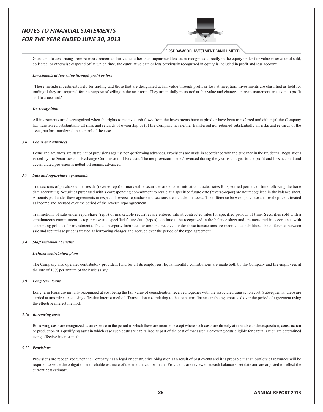

## FIRST DAWOOD INVESTMENT BANK LIMITED

Gains and losses arising from re-measurement at fair value, other than impairment losses, is recognized directly in the equity under fair value reserve until sold, collected, or otherwise disposed off at which time, the cumulative gain or loss previously recognized in equity is included in profit and loss account.

#### Investments at fair value through profit or loss

"These include investments held for trading and those that are designated at fair value through profit or loss at inception. Investments are classified as held for trading if they are acquired for the purpose of selling in the near term. They are initially measured at fair value and changes on re-measurement are taken to profit and loss account."

#### De-recognition

All investments are de-recognized when the rights to receive cash flows from the investments have expired or have been transferred and either (a) the Company has transferred substantially all risks and rewards of ownership or (b) the Company has neither transferred nor retained substantially all risks and rewards of the asset, but has transferred the control of the asset.

#### 3.6 Loans and advances

Loans and advances are stated net of provisions against non-performing advances. Provisions are made in accordance with the guidance in the Prudential Regulations issued by the Securities and Exchange Commission of Pakistan. The net provision made / reversed during the year is charged to the profit and loss account and accumulated provision is netted-off against advances.

#### 3.7 Sale and repurchase agreements

Transactions of purchase under resale (reverse-repo) of marketable securities are entered into at contracted rates for specified periods of time following the trade date accounting. Securities purchased with a corresponding commitment to resale at a specified future date (reverse-repos) are not recognized in the balance sheet Amounts paid under these agreements in respect of reverse repurchase transactions are included in assets. The difference between purchase and resale price is treated as income and accrued over the period of the reverse repo agreement.

Transactions of sale under repurchase (repo) of marketable securities are entered into at contracted rates for specified periods of time. Securities sold with a simultaneous commitment to repurchase at a specified future date (repos) continue to be recognized in the balance sheet and are measured in accordance with accounting policies for investments. The counterparty liabilities for amounts received under these transactions are recorded as liabilities. The difference between sale and repurchase price is treated as borrowing charges and accrued over the period of the repo agreement.

#### 3.8 Staff retirement benefits

#### Defined contribution plans

The Company also operates contributory provident fund for all its employees. Equal monthly contributions are made both by the Company and the employees at the rate of 10% per annum of the basic salary.

#### 3.9 Long term loans

Long term loans are initially recognized at cost being the fair value of consideration received together with the associated transaction cost. Subsequently, these are carried at amortized cost using effective interest method. Transaction cost relating to the loan term finance are being amortized over the period of agreement using the effective interest method.

#### 3.10 Borrowing costs

Borrowing costs are recognized as an expense in the period in which these are incurred except where such costs are directly attributable to the acquisition, construction or production of a qualifying asset in which case such costs are capitalized as part of the cost of that asset. Borrowing costs eligible for capitalization are determined using effective interest method.

#### 3.11 Provisions

Provisions are recognized when the Company has a legal or constructive obligation as a result of past events and it is probable that an outflow of resources will be required to settle the obligation and reliable estimate of the amount can be made. Provisions are reviewed at each balance sheet date and are adjusted to reflect the current best estimate.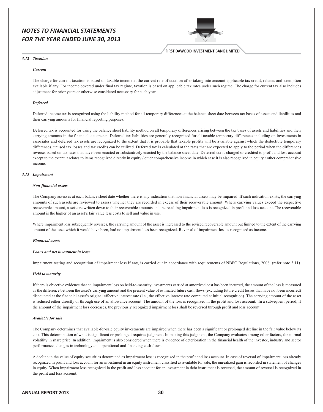

**FIRST DAWOOD INVESTMENT BANK LIMITED** 

#### 3.12 Taxation

#### **Current**

The charge for current taxation is based on taxable income at the current rate of taxation after taking into account applicable tax credit, rebates and exemption available if any. For income covered under final tax regime, taxation is based on applicable tax rates under such regime. The charge for current tax also includes adjustment for prior years or otherwise considered necessary for such year.

#### **Deferred**

Deferred income tax is recognized using the liability method for all temporary differences at the balance sheet date between tax bases of assets and liabilities and their carrying amounts for financial reporting purposes.

Deferred tax is accounted for using the balance sheet liability method on all temporary differences arising between the tax bases of assets and liabilities and their carrying amounts in the financial statements. Deferred tax liabilities are generally recognized for all taxable temporary differences including on investments in associates and deferred tax assets are recognized to the extent that it is probable that taxable profits will be available against which the deductible temporary differences, unused tax losses and tax credits can be utilized. Deferred tax is calculated at the rates that are expected to apply to the period when the differences reverse, based on tax rates that have been enacted or substantively enacted by the balance sheet date. Deferred tax is charged or credited to profit and loss account except to the extent it relates to items recognized directly in equity / other comprehensive income in which case it is also recognized in equity / other comprehensive income.

#### $3.13$  Impairment

#### Non-financial assets

The Company assesses at each balance sheet date whether there is any indication that non-financial assets may be impaired. If such indication exists, the carrying amounts of such assets are reviewed to assess whether they are recorded in excess of their recoverable amount. Where carrying values exceed the respective recoverable amount, assets are written down to their recoverable amounts and the resulting impairment loss is recognized in profit and loss account. The recoverable amount is the higher of an asset's fair value less costs to sell and value in use.

Where impairment loss subsequently reverses, the carrying amount of the asset is increased to the revised recoverable amount but limited to the extent of the carrying amount of the asset which it would have been, had no impairment loss been recognized. Reversal of impairment loss is recognized as income.

#### **Financial assets**

#### Loans and net investment in lease

Impairment testing and recognition of impairment loss if any, is carried out in accordance with requirements of NBFC Regulations, 2008. (refer note 3.11).

#### **Held to maturity**

If there is objective evidence that an impairment loss on held-to-maturity investments carried at amortized cost has been incurred, the amount of the loss is measured as the difference between the asset's carrying amount and the present value of estimated future cash flows (excluding future credit losses that have not been incurred) discounted at the financial asset's original effective interest rate (i.e., the effective interest rate computed at initial recognition). The carrying amount of the asset is reduced either directly or through use of an allowance account. The amount of the loss is recognized in the profit and loss account. In a subsequent period, if the amount of the impairment loss decreases, the previously recognized impairment loss shall be reversed through profit and loss account.

#### **Available for sale**

The Company determines that available-for-sale equity investments are impaired when there has been a significant or prolonged decline in the fair value below its cost. This determination of what is significant or prolonged requires judgment. In making this judgment, the Company evaluates among other factors, the norma volatility in share price. In addition, impairment is also considered when there is evidence of deterioration in the financial health of the investee, industry and sector performance, changes in technology and operational and financing cash flows.

A decline in the value of equity securities determined as impairment loss is recognized in the profit and loss account. In case of reversal of impairment loss already recognized in profit and loss account for an investment in an equity instrument classified as available for sale, the unrealized gain is recorded in statement of change in equity. When impairment loss recognized in the profit and loss account for an investment in debt instrument is reversed, the amount of reversal is recognized ir the profit and loss account.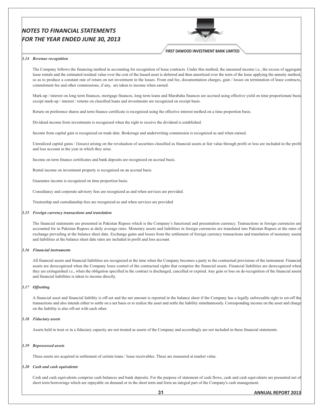

#### **FIRST DAWOOD INVESTMENT BANK LIMITED**

#### 3.14 Revenue recognition

The Company follows the financing method in accounting for recognition of lease contracts. Under this method, the unearned income i.e., the excess of aggregate lease rentals and the estimated residual value over the cost of the leased asset is deferred and then amortized over the term of the lease applying the annuity method. so as to produce a constant rate of return on net investment in the leases. Front end fee, documentation charges, gain / losses on termination of lease contracts commitment fee and other commissions, if any, are taken to income when earned.

Mark-up / interest on long term finances, mortgage finances, long term loans and Murabaha finances are accrued using effective yield on time proportionate basis except mark-up / interest / returns on classified loans and investments are recognized on receipt basis.

Return on preference shares and term finance certificate is recognized using the effective interest method on a time proportion basis.

Dividend income from investments is recognized when the right to receive the dividend is established.

Income from capital gain is recognized on trade date. Brokerage and underwriting commission is recognized as and when earned.

Unrealized capital gains / (losses) arising on the revaluation of securities classified as financial assets at fair value through profit or loss are included in the profit and loss account in the year in which they arise.

Income on term finance certificates and bank deposits are recognized on accrual basis.

Rental income on investment property is recognized on an accrual basis.

Guarantee income is recognized on time proportion basis.

Consultancy and corporate advisory fees are recognized as and when services are provided.

Trusteeship and custodianship fees are recognized as and when services are provided

#### $3.15$  Foreign currency transactions and translation

The financial statements are presented in Pakistan Rupees which is the Company's functional and presentation currency. Transactions in foreign currencies are accounted for in Pakistan Rupees at daily average rates. Monetary assets and liabilities in foreign currencies are translated into Pakistan Rupees at the rates of exchange prevailing at the balance sheet date. Exchange gains and losses from the settlement of foreign currency transactions and translation of monetary assets and liabilities at the balance sheet date rates are included in profit and loss account.

#### 3.16 Financial instruments

All financial assets and financial liabilities are recognized at the time when the Company becomes a party to the contractual provisions of the instrument. Financia assets are derecognized when the Company loses control of the contractual rights that comprise the financial assets. Financial liabilities are derecognized when they are extinguished i.e., when the obligation specified in the contract is discharged, cancelled or expired. Any gain or loss on de-recognition of the financial assets and financial liabilities is taken to income directly.

#### 3.17 Offsetting

A financial asset and financial liability is off-set and the net amount is reported in the balance sheet if the Company has a legally enforceable right to set-off the transactions and also intends either to settle on a net basis or to realize the asset and settle the liability simultaneously. Corresponding income on the asset and charge on the liability is also off-set with each other.

#### 3.18 Fiduciary assets

Assets held in trust or in a fiduciary capacity are not treated as assets of the Company and accordingly are not included in these financial statements.

#### 3.19 Repossessed assets

These assets are acquired in settlement of certain loans / lease receivables. These are measured at market value.

#### $3.20$  Cash and cash equivalents

Cash and cash equivalents comprise cash balances and bank deposits. For the purpose of statement of cash flows, cash and cash equivalents are presented net of short term borrowings which are repayable on demand or in the short term and form an integral part of the Company's cash management.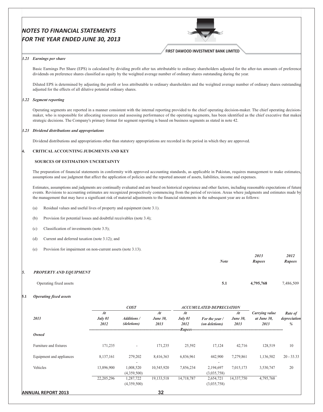

## **FIRST DAWOOD INVESTMENT BANK LIMITED**

#### 3.21 Earnings per share

Basic Earnings Per Share (EPS) is calculated by dividing profit after tax attributable to ordinary shareholders adjusted for the after-tax amounts of preference dividends on preference shares classified as equity by the weighted average number of ordinary shares outstanding during the year.

Diluted EPS is determined by adjusting the profit or loss attributable to ordinary shareholders and the weighted average number of ordinary shares outstanding adjusted for the effects of all dilutive potential ordinary shares.

#### 3.22 Segment reporting

Operating segments are reported in a manner consistent with the internal reporting provided to the chief operating decision-maker. The chief operating decisionmaker, who is responsible for allocating resources and assessing performance of the operating segments, has been identified as the chief executive that makes strategic decisions. The Company's primary format for segment reporting is based on business segments as stated in note 42.

#### 3.23 Dividend distributions and appropriations

Dividend distributions and appropriations other than statutory appropriations are recorded in the period in which they are approved.

#### 4. CRITICAL ACCOUNTING JUDGMENTS AND KEY

#### **SOURCES OF ESTIMATION UNCERTAINTY**

The preparation of financial statements in conformity with approved accounting standards, as applicable in Pakistan, requires management to make estimates, assumptions and use judgment that affect the application of policies and the reported amount of assets, liabilities, income and expenses.

Estimates, assumptions and judgments are continually evaluated and are based on historical experience and other factors, including reasonable expectations of future events. Revisions to accounting estimates are recognized prospectively commencing from the period of revision. Areas where judgments and estimates made by the management that may have a significant risk of material adjustments to the financial statements in the subsequent year are as follows:

- $(a)$ ) Residual values and useful lives of property and equipment (note 3.1).
- (b) Provision for potential losses and doubtful receivables (note 3.4);
- (c) Classification of investments (note 3.5);
- (d) Current and deferred taxation (note 3.12); and
- (e) Provision for impairment on non-current assets (note 3.13).

|                               | <b>Note</b> | 2013<br><b>Rupees</b> | 2012<br><b>Rupees</b> |
|-------------------------------|-------------|-----------------------|-----------------------|
| <b>PROPERTY AND EQUIPMENT</b> |             |                       |                       |
| Operating fixed assets        | 5.1         | 4,795,768             | 7,486,509             |

#### 5.1 Operating fixed assets

|                           |                       | <b>COST</b>                       |                               |                                       | <b>ACCUMULATED DEPRECIATION</b>  |                               |                                       |                              |
|---------------------------|-----------------------|-----------------------------------|-------------------------------|---------------------------------------|----------------------------------|-------------------------------|---------------------------------------|------------------------------|
| 2013                      | At<br>July 01<br>2012 | <b>Additions</b> /<br>(deletions) | At<br><b>June 30,</b><br>2013 | At<br>July 01<br>2012<br>$-Rupees---$ | For the year /<br>(on deletions) | At<br><b>June 30,</b><br>2013 | Carrying value<br>at June 30,<br>2013 | Rate of<br>depreciation<br>% |
| <b>Owned</b>              |                       |                                   |                               |                                       |                                  |                               |                                       |                              |
| Furniture and fixtures    | 171,235               | $\overline{\phantom{a}}$          | 171,235                       | 25,592                                | 17,124                           | 42,716                        | 128,519                               | 10                           |
| Equipment and appliances  | 8,137,161             | 279,202                           | 8,416,363                     | 6,836,961                             | 442,900                          | 7,279,861                     | 1,136,502                             | $20 - 33.33$                 |
| Vehicles                  | 13,896,900            | 1,008,520<br>(4,359,500)          | 10,545,920                    | 7,856,234                             | 2,194,697<br>(3,035,758)         | 7,015,173                     | 3,530,747                             | 20                           |
|                           | 22, 205, 296          | 1,287,722<br>(4,359,500)          | 19, 133, 518                  | 14,718,787                            | 2,654,721<br>(3,035,758)         | 14,337,750                    | 4,795,768                             |                              |
| <b>ANNUAL REPORT 2013</b> |                       |                                   | 32                            |                                       |                                  |                               |                                       |                              |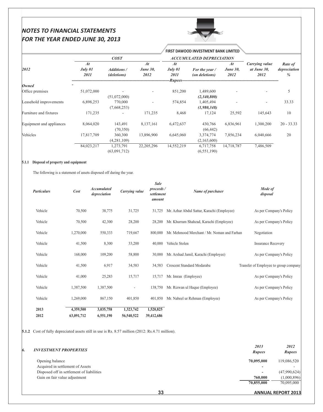

**FIRST DAWOOD INVESTMENT BANK LIMITED** 

|                          | COST                  |                                   |                               |                                  | <b>ACCUMULATED DEPRECIATION</b>  |                               |                                       |                              |
|--------------------------|-----------------------|-----------------------------------|-------------------------------|----------------------------------|----------------------------------|-------------------------------|---------------------------------------|------------------------------|
| 2012                     | At<br>July 01<br>2011 | <b>Additions</b> /<br>(deletions) | At<br><b>June 30,</b><br>2012 | At<br>July 01<br>2011<br>Rupees- | For the year /<br>(on deletions) | At<br><b>June 30,</b><br>2012 | Carrying value<br>at June 30,<br>2012 | Rate of<br>depreciation<br>% |
| <b>Owned</b>             |                       |                                   |                               |                                  |                                  |                               |                                       |                              |
| Office premises          | 51,072,000            | (51,072,000)                      |                               | 851,200                          | 1,489,600<br>(2,340,800)         |                               |                                       | 5                            |
| Leasehold improvements   | 6,898,253             | 770,000<br>(7,668,253)            |                               | 574,854                          | 1,405,494<br>(1,980,348)         |                               |                                       | 33.33                        |
| Furniture and fixtures   | 171,235               |                                   | 171,235                       | 8,468                            | 17,124                           | 25,592                        | 145,643                               | 10                           |
| Equipment and appliances | 8,064,020             | 143,491<br>(70,350)               | 8,137,161                     | 6,472,637                        | 430,766<br>(66, 442)             | 6,836,961                     | 1,300,200                             | $20 - 33.33$                 |
| Vehicles                 | 17,817,709            | 360,300<br>(4,281,109)            | 13,896,900                    | 6,645,060                        | 3,374,774<br>(2,163,600)         | 7,856,234                     | 6,040,666                             | 20                           |
|                          | 84,023,217            | 1,273,791<br>(63,091,712)         | 22, 205, 296                  | 14,552,219                       | 6,717,758<br>(6, 551, 190)       | 14,718,787                    | 7,486,509                             |                              |

 $\alpha$ <sup>1</sup>

## 5.1.1 Disposal of property and equipment

The following is a statement of assets disposed off during the year.

| <b>Particulars</b> | Cost       | <b>Accumulated</b><br>depreciation | Carrying value | Sale<br>proceeds /<br>settlement<br>amount | Name of purchaser                           | Mode of<br>disposal                   |
|--------------------|------------|------------------------------------|----------------|--------------------------------------------|---------------------------------------------|---------------------------------------|
| Vehicle            | 70,500     | 38,775                             | 31,725         | 31,725                                     | Mr. Azhar Abdul Sattar, Karachi (Employee)  | As per Company's Policy               |
| Vehicle            | 70,500     | 42,300                             | 28,200         | 28,200                                     | Mr. Khurram Shahzad, Karachi (Employee)     | As per Company's Policy               |
| Vehicle            | 1,270,000  | 550,333                            | 719,667        | 800,000                                    | Mr. Mehmood Merchant / Mr. Noman and Farhan | Negotiation                           |
| Vehicle            | 41,500     | 8,300                              | 33,200         | 40,000                                     | Vehicle Stolen                              | <b>Insurance Recovery</b>             |
| Vehicle            | 168,000    | 109,200                            | 58,800         | 30,000                                     | Mr. Arshad Jamil, Karachi (Employee)        | As per Company's Policy               |
| Vehicle            | 41,500     | 6,917                              | 34,583         | 34,583                                     | Crescent Standard Modaraba                  | Transfer of Employee to group company |
| Vehicle            | 41,000     | 25,283                             | 15,717         | 15,717                                     | Mr. Imran (Employee)                        | As per Company's Policy               |
| Vehicle            | 1,387,500  | 1,387,500                          |                | 138,750                                    | Mr. Rizwan ul Haque (Employee)              | As per Company's Policy               |
| Vehicle            | 1,269,000  | 867,150                            | 401,850        | 401,850                                    | Mr. Nabeel ur Rehman (Employee)             | As per Company's Policy               |
| 2013               | 4,359,500  | 3,035,758                          | 1,323,742      | 1,520,825                                  |                                             |                                       |
| 2012               | 63,091,712 | 6,551,190                          | 56,540,522     | 39,412,686                                 |                                             |                                       |

**5.1.2** Cost of fully depreciated assets still in use is Rs. 8.57 million (2012: Rs.4.71 million).

| <b>INVESTMENT PROPERTIES</b>              | 2013<br><b>Rupees</b>    | 2012<br><b>Rupees</b> |
|-------------------------------------------|--------------------------|-----------------------|
| Opening balance                           | 70,095,000               | 119,086,520           |
| Acquired in settlement of Assets          | $\overline{\phantom{a}}$ |                       |
| Disposed off in settlement of liabilities | $\overline{\phantom{a}}$ | (47,990,624)          |
| Gain on fair value adjustment             | 760,000                  | (1,000,896)           |
|                                           | 70,855,000               | 70,095,000            |

**ANNUAL REPORT 2013**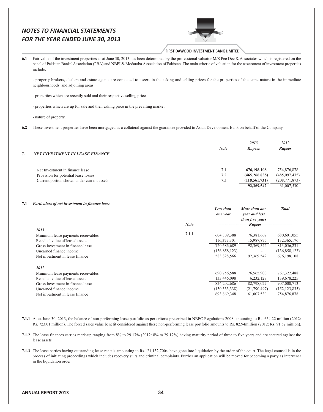|     | FOR THE YEAR ENDED JUNE 30, 2013                                                                                                                                                                                                                                                                                                                                                                                                                                                                                                 |                                             |                                |                                                   |                                                                                                                                                                  |
|-----|----------------------------------------------------------------------------------------------------------------------------------------------------------------------------------------------------------------------------------------------------------------------------------------------------------------------------------------------------------------------------------------------------------------------------------------------------------------------------------------------------------------------------------|---------------------------------------------|--------------------------------|---------------------------------------------------|------------------------------------------------------------------------------------------------------------------------------------------------------------------|
|     |                                                                                                                                                                                                                                                                                                                                                                                                                                                                                                                                  | <b>FIRST DAWOOD INVESTMENT BANK LIMITED</b> |                                |                                                   |                                                                                                                                                                  |
| 6.1 | Fair value of the investment properties as at June 30, 2013 has been determined by the professional valuator M/S Pee Dee & Associates which is registered on the<br>panel of Pakistan Banks' Association (PBA) and NBFI & Modaraba Association of Pakistan. The main criteria of valuation for the assessment of investment properties<br>include:                                                                                                                                                                               |                                             |                                |                                                   |                                                                                                                                                                  |
|     | - property brokers, dealers and estate agents are contacted to ascertain the asking and selling prices for the properties of the same nature in the immediate<br>neighbourhoods and adjoining areas.                                                                                                                                                                                                                                                                                                                             |                                             |                                |                                                   |                                                                                                                                                                  |
|     | - properties which are recently sold and their respective selling prices.                                                                                                                                                                                                                                                                                                                                                                                                                                                        |                                             |                                |                                                   |                                                                                                                                                                  |
|     | - properties which are up for sale and their asking price in the prevailing market.                                                                                                                                                                                                                                                                                                                                                                                                                                              |                                             |                                |                                                   |                                                                                                                                                                  |
|     | - nature of property.                                                                                                                                                                                                                                                                                                                                                                                                                                                                                                            |                                             |                                |                                                   |                                                                                                                                                                  |
| 6.2 | These investment properties have been mortgaged as a collateral against the guarantee provided to Asian Development Bank on behalf of the Company.                                                                                                                                                                                                                                                                                                                                                                               |                                             |                                |                                                   |                                                                                                                                                                  |
|     |                                                                                                                                                                                                                                                                                                                                                                                                                                                                                                                                  |                                             |                                | 2013                                              | 2012                                                                                                                                                             |
| Π.  | <b>NET INVESTMENT IN LEASE FINANCE</b>                                                                                                                                                                                                                                                                                                                                                                                                                                                                                           |                                             | <b>Note</b>                    | <b>Rupees</b>                                     | <b>Rupees</b>                                                                                                                                                    |
|     | Net Investment in finance lease                                                                                                                                                                                                                                                                                                                                                                                                                                                                                                  |                                             | 7.1                            | 676,198,108                                       | 754,876,878                                                                                                                                                      |
|     | Provision for potential lease losses                                                                                                                                                                                                                                                                                                                                                                                                                                                                                             |                                             | 7.2                            | (465, 266, 835)                                   | (485,097,475)                                                                                                                                                    |
|     | Current portion shown under current assets                                                                                                                                                                                                                                                                                                                                                                                                                                                                                       |                                             | 7.3                            | (118, 561, 731)<br>92,369,542                     | (208, 771, 873)<br>61,007,530                                                                                                                                    |
|     |                                                                                                                                                                                                                                                                                                                                                                                                                                                                                                                                  |                                             |                                |                                                   |                                                                                                                                                                  |
| 7.1 | Particulars of net investment in finance lease                                                                                                                                                                                                                                                                                                                                                                                                                                                                                   |                                             | Less than<br>one year          | More than one<br>year and less<br>than five years | <b>Total</b>                                                                                                                                                     |
|     |                                                                                                                                                                                                                                                                                                                                                                                                                                                                                                                                  | <b>Note</b>                                 |                                | -Rupees-                                          |                                                                                                                                                                  |
|     | 2013<br>Minimum lease payments receivables                                                                                                                                                                                                                                                                                                                                                                                                                                                                                       | 7.1.1                                       | 604, 309, 388                  | 76,381,667                                        | 680,691,055                                                                                                                                                      |
|     | Residual value of leased assets                                                                                                                                                                                                                                                                                                                                                                                                                                                                                                  |                                             | 116,377,301                    | 15,987,875                                        | 132, 365, 176                                                                                                                                                    |
|     | Gross investment in finance lease                                                                                                                                                                                                                                                                                                                                                                                                                                                                                                |                                             | 720,686,689                    | 92,369,542                                        | 813,056,231                                                                                                                                                      |
|     | Unearned finance income                                                                                                                                                                                                                                                                                                                                                                                                                                                                                                          |                                             | (136, 858, 123)                |                                                   | (136, 858, 123)                                                                                                                                                  |
|     | Net investment in lease finance                                                                                                                                                                                                                                                                                                                                                                                                                                                                                                  |                                             | 583,828,566                    | 92,369,542                                        | 676,198,108                                                                                                                                                      |
|     | 2012<br>Minimum lease payments receivables                                                                                                                                                                                                                                                                                                                                                                                                                                                                                       |                                             | 690,756,588                    | 76,565,900                                        | 767, 322, 488                                                                                                                                                    |
|     | Residual value of leased assets                                                                                                                                                                                                                                                                                                                                                                                                                                                                                                  |                                             | 133,446,098                    | 6,232,127                                         | 139,678,225                                                                                                                                                      |
|     | Gross investment in finance lease                                                                                                                                                                                                                                                                                                                                                                                                                                                                                                |                                             | 824,202,686                    | 82,798,027                                        | 907,000,713                                                                                                                                                      |
|     | Unearned finance income<br>Net investment in lease finance                                                                                                                                                                                                                                                                                                                                                                                                                                                                       |                                             | (130, 333, 338)<br>693,869,348 | (21,790,497)<br>61,007,530                        | (152, 123, 835)<br>754,876,878                                                                                                                                   |
|     | 7.1.1 As at June 30, 2013, the balance of non-performing lease portfolio as per criteria prescribed in NBFC Regulations 2008 amounting to Rs. 654.22 million (2012;<br>Rs. 723.01 million). The forced sales value benefit considered against these non-performing lease portfolio amounts to Rs. 82.94 million (2012: Rs. 91.52 million).<br>7.1.2 The lease finances carries mark-up ranging from 8% to 29.17% (2012: 8% to 29.17%) having maturity period of three to five years and are secured against the<br>lease assets. |                                             |                                |                                                   |                                                                                                                                                                  |
|     | 7.1.3 The lease parties having outstanding lease rentals amounting to Rs.121,132,700/- have gone into liquidation by the order of the court. The legal counsel is in the                                                                                                                                                                                                                                                                                                                                                         |                                             |                                |                                                   | process of initiating proceedings which includes recovery suits and criminal complaints. Further an application will be moved for becoming a party as intervener |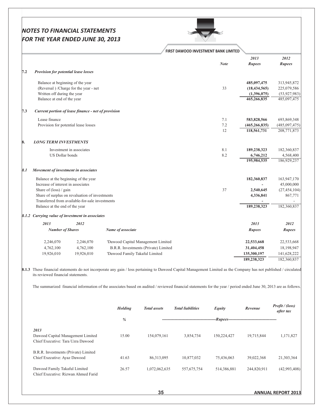

|     |                                                     |                                                 |                                                                                                                                                                   | FIRST DAWOOD INVESTMENT BANK LIMITED |                 |                |
|-----|-----------------------------------------------------|-------------------------------------------------|-------------------------------------------------------------------------------------------------------------------------------------------------------------------|--------------------------------------|-----------------|----------------|
|     |                                                     |                                                 |                                                                                                                                                                   |                                      | 2013            | 2012           |
|     |                                                     |                                                 |                                                                                                                                                                   | <b>Note</b>                          | <b>Rupees</b>   | <b>Rupees</b>  |
| 7.2 | <b>Provision for potential lease losses</b>         |                                                 |                                                                                                                                                                   |                                      |                 |                |
|     | Balance at beginning of the year                    |                                                 |                                                                                                                                                                   |                                      | 485,097,475     | 313,945,872    |
|     |                                                     | (Reversal) / Charge for the year - net          |                                                                                                                                                                   | 33                                   | (18, 434, 565)  | 225,079,586    |
|     | Written off during the year                         |                                                 |                                                                                                                                                                   |                                      | (1,396,075)     | (53,927,983)   |
|     | Balance at end of the year                          |                                                 |                                                                                                                                                                   |                                      | 465,266,835     | 485,097,475    |
| 7.3 | Current portion of lease finance - net of provision |                                                 |                                                                                                                                                                   |                                      |                 |                |
|     | Lease finance                                       |                                                 |                                                                                                                                                                   | 7.1                                  | 583,828,566     | 693,869,348    |
|     | Provision for potential lease losses                |                                                 |                                                                                                                                                                   | 7.2                                  | (465, 266, 835) | (485,097,475)  |
|     |                                                     |                                                 |                                                                                                                                                                   | 12                                   | 118,561,731     | 208,771,873    |
| 8.  | <b>LONG TERM INVESTMENTS</b>                        |                                                 |                                                                                                                                                                   |                                      |                 |                |
|     |                                                     | Investment in associates                        |                                                                                                                                                                   | 8.1                                  | 189,238,323     | 182,360,837    |
|     | US Dollar bonds                                     |                                                 |                                                                                                                                                                   | 8.2                                  | 6,746,212       | 4,568,400      |
|     |                                                     |                                                 |                                                                                                                                                                   |                                      | 195,984,535     | 186,929,237    |
| 8.1 | Movement of investment in associates                |                                                 |                                                                                                                                                                   |                                      |                 |                |
|     | Balance at the beginning of the year                |                                                 |                                                                                                                                                                   |                                      | 182,360,837     | 163,947,170    |
|     | Increase of interest in associates                  |                                                 |                                                                                                                                                                   |                                      |                 | 45,000,000     |
|     | Share of (loss) / gain                              |                                                 |                                                                                                                                                                   | 37                                   | 2,540,645       | (27, 454, 104) |
|     |                                                     | Share of surplus on revaluation of investments  |                                                                                                                                                                   |                                      | 4,336,841       | 867,771        |
|     |                                                     | Transferred from available-for-sale investments |                                                                                                                                                                   |                                      |                 |                |
|     | Balance at the end of the year                      |                                                 |                                                                                                                                                                   |                                      | 189,238,323     | 182,360,837    |
|     | 8.1.2 Carrying value of investment in associates    |                                                 |                                                                                                                                                                   |                                      |                 |                |
|     | 2013                                                | 2012                                            |                                                                                                                                                                   |                                      | 2013            | 2012           |
|     | <b>Number of Shares</b>                             |                                                 | Name of associate                                                                                                                                                 |                                      | <b>Rupees</b>   | <b>Rupees</b>  |
|     | 2,246,070                                           | 2,246,070                                       | 'Dawood Capital Management Limited                                                                                                                                |                                      | 22,533,668      | 22,533,668     |
|     | 4,762,100                                           | 4,762,100                                       | B.R.R. Investments (Private) Limited                                                                                                                              |                                      | 31,404,458      | 18,198,947     |
|     | 19,926,010                                          | 19,926,010                                      | 'Dawood Family Takaful Limited                                                                                                                                    |                                      | 135,300,197     | 141,628,222    |
|     |                                                     |                                                 |                                                                                                                                                                   |                                      | 189,238,323     | 182,360,837    |
|     | its reviewed financial statements.                  |                                                 | 8.1.3 These financial statements do not incorporate any gain / loss pertaining to Dawood Capital Management Limited as the Company has not published / circulated |                                      |                 |                |
|     |                                                     |                                                 | The summarized financial information of the associates based on audited / reviewed financial statements for the year / period ended June 30, 2013 are as follows. |                                      |                 |                |
|     |                                                     |                                                 |                                                                                                                                                                   |                                      |                 |                |
|     |                                                     |                                                 |                                                                                                                                                                   |                                      |                 |                |

| <b>Holding</b> | <b>Total</b> assets | <b>Total liabilities</b> | Equity      | Revenue     | <i>Profit / (loss)</i><br>after tax     |
|----------------|---------------------|--------------------------|-------------|-------------|-----------------------------------------|
| $\%$           |                     |                          |             |             |                                         |
| 15.00          | 154,079,161         | 3,854,734                | 150,224,427 | 19,715,844  | 1,171,827                               |
| 41.63          | 86,313,095          | 10,877,032               | 75,436,063  | 39,022,368  | 21,303,364                              |
| 26.57          | 1,072,062,635       | 557,675,754              | 514,386,881 | 244,820,911 | (42,993,408)                            |
|                |                     |                          |             |             | --Rupees------------------------------- |

**ANNUAL REPORT 2013**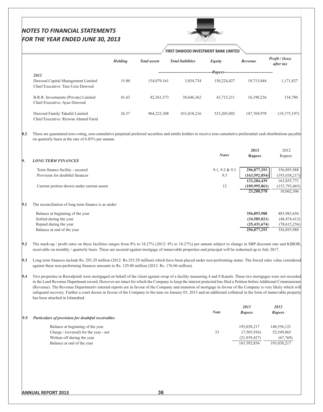# NOTES TO FINANCIAL STATEMENTS

|     | <b>FOR THE YEAR ENDED JUNE 30, 2013</b>                                                                                                                                                                                                                                                                                                                                                                                                                                                                                                                                                                                                                                                                        |                |                     |                                      |                   |                               |                               |
|-----|----------------------------------------------------------------------------------------------------------------------------------------------------------------------------------------------------------------------------------------------------------------------------------------------------------------------------------------------------------------------------------------------------------------------------------------------------------------------------------------------------------------------------------------------------------------------------------------------------------------------------------------------------------------------------------------------------------------|----------------|---------------------|--------------------------------------|-------------------|-------------------------------|-------------------------------|
|     |                                                                                                                                                                                                                                                                                                                                                                                                                                                                                                                                                                                                                                                                                                                |                |                     | FIRST DAWOOD INVESTMENT BANK LIMITED |                   |                               |                               |
|     |                                                                                                                                                                                                                                                                                                                                                                                                                                                                                                                                                                                                                                                                                                                | <b>Holding</b> | <b>Total</b> assets | <b>Total liabilities</b>             | Equity            | Revenue                       | Profit / (loss)<br>after tax  |
|     | 2012                                                                                                                                                                                                                                                                                                                                                                                                                                                                                                                                                                                                                                                                                                           |                |                     |                                      | <b>Rupees</b>     |                               |                               |
|     | Dawood Capital Management Limited<br>Chief Executive: Tara Uzra Dawood                                                                                                                                                                                                                                                                                                                                                                                                                                                                                                                                                                                                                                         | 15.00          | 154,079,161         | 3,854,734                            | 150,224,427       | 19,715,844                    | 1,171,827                     |
|     | B.R.R. Investments (Private) Limited<br>Chief Executive: Ayaz Dawood                                                                                                                                                                                                                                                                                                                                                                                                                                                                                                                                                                                                                                           | 41.63          | 82, 361, 573        | 38,646,362                           | 43,715,211        | 16,190,236                    | 154,780                       |
|     | Dawood Family Takaful Limited<br>Chief Executive: Rizwan Ahmed Farid                                                                                                                                                                                                                                                                                                                                                                                                                                                                                                                                                                                                                                           | 26.57          | 964,223,308         | 431,018,216                          | 533, 205, 092     | 147,769,978                   | (19, 175, 197)                |
| 8.2 | These are guaranteed non-voting, non-cumulative perpetual preferred securities and entitle holders to receive non-cumulative preferential cash distributions payable<br>on quarterly basis at the rate of 6.85% per annum.                                                                                                                                                                                                                                                                                                                                                                                                                                                                                     |                |                     |                                      |                   |                               |                               |
|     |                                                                                                                                                                                                                                                                                                                                                                                                                                                                                                                                                                                                                                                                                                                |                |                     |                                      |                   | 2013                          | 2012                          |
|     |                                                                                                                                                                                                                                                                                                                                                                                                                                                                                                                                                                                                                                                                                                                |                |                     |                                      | <b>Notes</b>      | <b>Rupees</b>                 | Rupees                        |
| 9.  | <b>LONG TERM FINANCES</b>                                                                                                                                                                                                                                                                                                                                                                                                                                                                                                                                                                                                                                                                                      |                |                     |                                      |                   |                               |                               |
|     | Term finance facility - secured                                                                                                                                                                                                                                                                                                                                                                                                                                                                                                                                                                                                                                                                                |                |                     |                                      | $9.1, 9.2 \& 9.3$ | 296,877,293                   | 356,893,988                   |
|     | Provision for doubtful finances                                                                                                                                                                                                                                                                                                                                                                                                                                                                                                                                                                                                                                                                                |                |                     |                                      | 9.5               | (163, 592, 854)               | (193, 038, 217)               |
|     |                                                                                                                                                                                                                                                                                                                                                                                                                                                                                                                                                                                                                                                                                                                |                |                     |                                      |                   | 133,284,439                   | 163,855,771                   |
|     | Current portion shown under current assets                                                                                                                                                                                                                                                                                                                                                                                                                                                                                                                                                                                                                                                                     |                |                     |                                      | 12                | (109, 995, 861)<br>23,288,578 | (153, 793, 465)<br>10,062,306 |
| 9.1 | The reconciliation of long term finance is as under:                                                                                                                                                                                                                                                                                                                                                                                                                                                                                                                                                                                                                                                           |                |                     |                                      |                   |                               |                               |
|     | Balance at beginning of the year                                                                                                                                                                                                                                                                                                                                                                                                                                                                                                                                                                                                                                                                               |                |                     |                                      |                   | 356,893,988                   | 483,983,656                   |
|     | Settled during the year                                                                                                                                                                                                                                                                                                                                                                                                                                                                                                                                                                                                                                                                                        |                |                     |                                      |                   | (34,585,021)                  | (48, 474, 412)                |
|     | Repaid during the year                                                                                                                                                                                                                                                                                                                                                                                                                                                                                                                                                                                                                                                                                         |                |                     |                                      |                   | (25, 431, 674)                | (78,615,256)                  |
|     | Balance at end of the year                                                                                                                                                                                                                                                                                                                                                                                                                                                                                                                                                                                                                                                                                     |                |                     |                                      |                   | 296,877,293                   | 356,893,988                   |
| 9.2 | The mark-up / profit rates on these facilities ranges from 8% to 18.27% (2012: 8% to 18.27%) per annum subject to change in SBP discount rate and KIBOR,<br>receivable on monthly / quarterly basis. These are secured against mortgage of immovable properties and principal will be redeemed up to July 2017.                                                                                                                                                                                                                                                                                                                                                                                                |                |                     |                                      |                   |                               |                               |
| 9.3 | Long term finances include Rs. 293.29 million (2012: Rs.355.29 million) which have been placed under non-performing status. The forced sales value considered<br>against these non-performing finances amounts to Rs. 129.80 million (2012: Rs. 176.06 million).                                                                                                                                                                                                                                                                                                                                                                                                                                               |                |                     |                                      |                   |                               |                               |
| 9.4 | Two properties in Rawalpindi were mortgaged on behalf of the client against swap of a facility measuring 4 and 8 Kanals. These two mortgages were not recorded<br>in the Land Revenue Department record, However are intact for which the Company to keep the interest protected has filed a Petition before Additional Commissioner<br>(Revenue). The Revenue Department's internal reports are in favour of the Company and mutation of mortgage in favour of the Company is very likely which will<br>safeguard recovery. Further a court decree in favour of the Company to the tune on January 03, 2013 and an additional collateral in the form of immovable property<br>has been attached in Islamabad. |                |                     |                                      |                   |                               |                               |
|     |                                                                                                                                                                                                                                                                                                                                                                                                                                                                                                                                                                                                                                                                                                                |                |                     |                                      |                   | 2013                          | 2012                          |
| 9.5 | Particulars of provision for doubtful receivables                                                                                                                                                                                                                                                                                                                                                                                                                                                                                                                                                                                                                                                              |                |                     |                                      | <b>Note</b>       | <b>Rupees</b>                 | Rupees                        |
|     |                                                                                                                                                                                                                                                                                                                                                                                                                                                                                                                                                                                                                                                                                                                |                |                     |                                      |                   |                               |                               |
|     | Balance at beginning of the year                                                                                                                                                                                                                                                                                                                                                                                                                                                                                                                                                                                                                                                                               |                |                     |                                      |                   | 193,038,217                   | 140,556,121                   |
|     | Charge / (reversal) for the year - net<br>Written off during the year                                                                                                                                                                                                                                                                                                                                                                                                                                                                                                                                                                                                                                          |                |                     |                                      | 33                | (7,505,936)<br>(21, 939, 427) | 52,549,865<br>(67,769)        |
|     | Balance at end of the year                                                                                                                                                                                                                                                                                                                                                                                                                                                                                                                                                                                                                                                                                     |                |                     |                                      |                   | 163,592,854                   | 193,038,217                   |

 $\sum_{i=1}^{n}$ 

 $\overline{\phantom{a}}$ 

163,592,854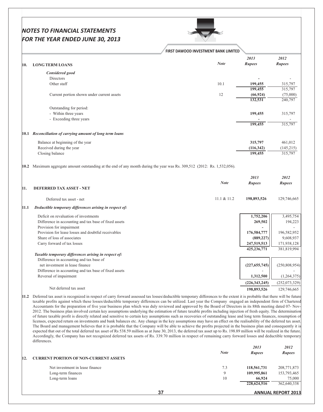|      |                                                                                                                                                                                                                                                                                                                                                                                                                                                                                                                                                                                                                                                                                                                                                                                                                                                                                                                                                                                                                                                                                                                                                                                                                      | FIRST DAWOOD INVESTMENT BANK LIMITED |                       |                       |
|------|----------------------------------------------------------------------------------------------------------------------------------------------------------------------------------------------------------------------------------------------------------------------------------------------------------------------------------------------------------------------------------------------------------------------------------------------------------------------------------------------------------------------------------------------------------------------------------------------------------------------------------------------------------------------------------------------------------------------------------------------------------------------------------------------------------------------------------------------------------------------------------------------------------------------------------------------------------------------------------------------------------------------------------------------------------------------------------------------------------------------------------------------------------------------------------------------------------------------|--------------------------------------|-----------------------|-----------------------|
| 10.  | <b>LONG TERM LOANS</b>                                                                                                                                                                                                                                                                                                                                                                                                                                                                                                                                                                                                                                                                                                                                                                                                                                                                                                                                                                                                                                                                                                                                                                                               | <b>Note</b>                          | 2013<br><b>Rupees</b> | 2012<br><b>Rupees</b> |
|      |                                                                                                                                                                                                                                                                                                                                                                                                                                                                                                                                                                                                                                                                                                                                                                                                                                                                                                                                                                                                                                                                                                                                                                                                                      |                                      |                       |                       |
|      | Considered good                                                                                                                                                                                                                                                                                                                                                                                                                                                                                                                                                                                                                                                                                                                                                                                                                                                                                                                                                                                                                                                                                                                                                                                                      |                                      |                       |                       |
|      | Directors                                                                                                                                                                                                                                                                                                                                                                                                                                                                                                                                                                                                                                                                                                                                                                                                                                                                                                                                                                                                                                                                                                                                                                                                            |                                      |                       |                       |
|      | Other staff                                                                                                                                                                                                                                                                                                                                                                                                                                                                                                                                                                                                                                                                                                                                                                                                                                                                                                                                                                                                                                                                                                                                                                                                          | 10.1                                 | 199,455               | 315,797               |
|      |                                                                                                                                                                                                                                                                                                                                                                                                                                                                                                                                                                                                                                                                                                                                                                                                                                                                                                                                                                                                                                                                                                                                                                                                                      |                                      | 199,455               | 315,797               |
|      | Current portion shown under current assets                                                                                                                                                                                                                                                                                                                                                                                                                                                                                                                                                                                                                                                                                                                                                                                                                                                                                                                                                                                                                                                                                                                                                                           | 12                                   | (66, 924)<br>132,531  | (75,000)<br>240,797   |
|      |                                                                                                                                                                                                                                                                                                                                                                                                                                                                                                                                                                                                                                                                                                                                                                                                                                                                                                                                                                                                                                                                                                                                                                                                                      |                                      |                       |                       |
|      | Outstanding for period:                                                                                                                                                                                                                                                                                                                                                                                                                                                                                                                                                                                                                                                                                                                                                                                                                                                                                                                                                                                                                                                                                                                                                                                              |                                      |                       |                       |
|      | - Within three years                                                                                                                                                                                                                                                                                                                                                                                                                                                                                                                                                                                                                                                                                                                                                                                                                                                                                                                                                                                                                                                                                                                                                                                                 |                                      | 199,455               | 315,797               |
|      | - Exceeding three years                                                                                                                                                                                                                                                                                                                                                                                                                                                                                                                                                                                                                                                                                                                                                                                                                                                                                                                                                                                                                                                                                                                                                                                              |                                      |                       |                       |
|      |                                                                                                                                                                                                                                                                                                                                                                                                                                                                                                                                                                                                                                                                                                                                                                                                                                                                                                                                                                                                                                                                                                                                                                                                                      |                                      | 199,455               | 315,797               |
|      | 10.1 Reconciliation of carrying amount of long term loans                                                                                                                                                                                                                                                                                                                                                                                                                                                                                                                                                                                                                                                                                                                                                                                                                                                                                                                                                                                                                                                                                                                                                            |                                      |                       |                       |
|      | Balance at beginning of the year                                                                                                                                                                                                                                                                                                                                                                                                                                                                                                                                                                                                                                                                                                                                                                                                                                                                                                                                                                                                                                                                                                                                                                                     |                                      | 315,797               | 461,012               |
|      | Received during the year                                                                                                                                                                                                                                                                                                                                                                                                                                                                                                                                                                                                                                                                                                                                                                                                                                                                                                                                                                                                                                                                                                                                                                                             |                                      | (116, 342)            | (145,215)             |
|      | Closing balance                                                                                                                                                                                                                                                                                                                                                                                                                                                                                                                                                                                                                                                                                                                                                                                                                                                                                                                                                                                                                                                                                                                                                                                                      |                                      | 199,455               | 315,797               |
|      |                                                                                                                                                                                                                                                                                                                                                                                                                                                                                                                                                                                                                                                                                                                                                                                                                                                                                                                                                                                                                                                                                                                                                                                                                      |                                      |                       |                       |
|      | 10.2 Maximum aggregate amount outstanding at the end of any month during the year was Rs. 309,512 (2012: Rs. 1,532,056).                                                                                                                                                                                                                                                                                                                                                                                                                                                                                                                                                                                                                                                                                                                                                                                                                                                                                                                                                                                                                                                                                             |                                      |                       |                       |
|      |                                                                                                                                                                                                                                                                                                                                                                                                                                                                                                                                                                                                                                                                                                                                                                                                                                                                                                                                                                                                                                                                                                                                                                                                                      |                                      | 2013                  | 2012                  |
|      |                                                                                                                                                                                                                                                                                                                                                                                                                                                                                                                                                                                                                                                                                                                                                                                                                                                                                                                                                                                                                                                                                                                                                                                                                      | <b>Note</b>                          | <b>Rupees</b>         | <b>Rupees</b>         |
| 11.  | <b>DEFERRED TAX ASSET - NET</b>                                                                                                                                                                                                                                                                                                                                                                                                                                                                                                                                                                                                                                                                                                                                                                                                                                                                                                                                                                                                                                                                                                                                                                                      |                                      |                       |                       |
|      | Deferred tax asset - net                                                                                                                                                                                                                                                                                                                                                                                                                                                                                                                                                                                                                                                                                                                                                                                                                                                                                                                                                                                                                                                                                                                                                                                             | 11.1 & 11.2                          | 198,893,526           | 129,746,665           |
| 11.1 | Deductible temporary differences arising in respect of:                                                                                                                                                                                                                                                                                                                                                                                                                                                                                                                                                                                                                                                                                                                                                                                                                                                                                                                                                                                                                                                                                                                                                              |                                      |                       |                       |
|      | Deficit on revaluation of investments                                                                                                                                                                                                                                                                                                                                                                                                                                                                                                                                                                                                                                                                                                                                                                                                                                                                                                                                                                                                                                                                                                                                                                                |                                      | 1,752,206             | 3,495,754             |
|      | Difference in accounting and tax base of fixed assets                                                                                                                                                                                                                                                                                                                                                                                                                                                                                                                                                                                                                                                                                                                                                                                                                                                                                                                                                                                                                                                                                                                                                                |                                      | 269,502               | 194,223               |
|      | Provision for impairment                                                                                                                                                                                                                                                                                                                                                                                                                                                                                                                                                                                                                                                                                                                                                                                                                                                                                                                                                                                                                                                                                                                                                                                             |                                      |                       |                       |
|      | Provision for lease losses and doubtful receivables                                                                                                                                                                                                                                                                                                                                                                                                                                                                                                                                                                                                                                                                                                                                                                                                                                                                                                                                                                                                                                                                                                                                                                  |                                      | 176,584,777           | 196,582,952           |
|      | Share of loss of associates                                                                                                                                                                                                                                                                                                                                                                                                                                                                                                                                                                                                                                                                                                                                                                                                                                                                                                                                                                                                                                                                                                                                                                                          |                                      | (889, 227)            | 9,608,937             |
|      | Carry forward of tax losses                                                                                                                                                                                                                                                                                                                                                                                                                                                                                                                                                                                                                                                                                                                                                                                                                                                                                                                                                                                                                                                                                                                                                                                          |                                      | 247,519,513           | 171,938,128           |
|      |                                                                                                                                                                                                                                                                                                                                                                                                                                                                                                                                                                                                                                                                                                                                                                                                                                                                                                                                                                                                                                                                                                                                                                                                                      |                                      | 425,236,771           | 381,819,994           |
|      | Taxable temporary differences arising in respect of:                                                                                                                                                                                                                                                                                                                                                                                                                                                                                                                                                                                                                                                                                                                                                                                                                                                                                                                                                                                                                                                                                                                                                                 |                                      |                       |                       |
|      | Difference in accounting and tax base of                                                                                                                                                                                                                                                                                                                                                                                                                                                                                                                                                                                                                                                                                                                                                                                                                                                                                                                                                                                                                                                                                                                                                                             |                                      |                       |                       |
|      | net investment in lease finance                                                                                                                                                                                                                                                                                                                                                                                                                                                                                                                                                                                                                                                                                                                                                                                                                                                                                                                                                                                                                                                                                                                                                                                      |                                      | (227, 655, 745)       | (250, 808, 954)       |
|      | Difference in accounting and tax base of fixed assets                                                                                                                                                                                                                                                                                                                                                                                                                                                                                                                                                                                                                                                                                                                                                                                                                                                                                                                                                                                                                                                                                                                                                                |                                      |                       |                       |
|      | Reversal of impairment                                                                                                                                                                                                                                                                                                                                                                                                                                                                                                                                                                                                                                                                                                                                                                                                                                                                                                                                                                                                                                                                                                                                                                                               |                                      | 1,312,500             | (1,264,375)           |
|      |                                                                                                                                                                                                                                                                                                                                                                                                                                                                                                                                                                                                                                                                                                                                                                                                                                                                                                                                                                                                                                                                                                                                                                                                                      |                                      | (226, 343, 245)       | (252,073,329)         |
|      | Net deferred tax asset                                                                                                                                                                                                                                                                                                                                                                                                                                                                                                                                                                                                                                                                                                                                                                                                                                                                                                                                                                                                                                                                                                                                                                                               |                                      | 198,893,526           | 129,746,665           |
|      | 11.2 Deferred tax asset is recognized in respect of carry forward assessed tax losses/deductible temporary differences to the extent it is probable that there will be future<br>taxable profits against which these losses/deductible temporary differences can be utilized. Last year the Company engaged an independent firm of Chartered                                                                                                                                                                                                                                                                                                                                                                                                                                                                                                                                                                                                                                                                                                                                                                                                                                                                         |                                      |                       |                       |
|      | Accountants for the preparation of five year business plan which was duly reviewed and approved by the Board of Directors in its 88th meeting dated 07- Nov-<br>2012. The business plan involved certain key assumptions underlying the estimation of future taxable profits including injection of fresh equity. The determination<br>of future taxable profit is directly related and sensitive to certain key assumptions such as recoveries of outstanding lease and long term finances, resumption of<br>licenses, expected return on investments and bank balances etc. Any change in the key assumptions may have an effect on the realisability of the deferred tax asset.<br>The Board and management believes that it is probable that the Company will be able to achieve the profits projected in the business plan and consequently it is<br>expected that out of the total deferred tax asset of Rs 538.59 million as at June 30, 2013, the deferred tax asset up to Rs. 198.89 million will be realized in the future.<br>Accordingly, the Company has not recognized deferred tax assets of Rs. 339.70 million in respect of remaining carry forward losses and deductible temporary<br>differences. |                                      |                       |                       |
|      |                                                                                                                                                                                                                                                                                                                                                                                                                                                                                                                                                                                                                                                                                                                                                                                                                                                                                                                                                                                                                                                                                                                                                                                                                      |                                      | 2013                  | 2012                  |
|      |                                                                                                                                                                                                                                                                                                                                                                                                                                                                                                                                                                                                                                                                                                                                                                                                                                                                                                                                                                                                                                                                                                                                                                                                                      | <b>Note</b>                          | Rupees                | Rupees                |
| 12.  | <b>CURRENT PORTION OF NON-CURRENT ASSETS</b>                                                                                                                                                                                                                                                                                                                                                                                                                                                                                                                                                                                                                                                                                                                                                                                                                                                                                                                                                                                                                                                                                                                                                                         |                                      |                       |                       |
|      |                                                                                                                                                                                                                                                                                                                                                                                                                                                                                                                                                                                                                                                                                                                                                                                                                                                                                                                                                                                                                                                                                                                                                                                                                      |                                      |                       |                       |

| <b>CURRENT PORTION OF NON-CURRENT ASSETS</b> |          |             |                           |
|----------------------------------------------|----------|-------------|---------------------------|
| Net investment in lease finance              | 7.3      | 118,561,731 | 208,771,873               |
| Long-term finances                           | $\Omega$ | 109,995,861 | 153,793,465               |
| Long-term loans                              | 10       | 66,924      | 75,000                    |
|                                              |          | 228,624,516 | 362,640,338               |
|                                              |          |             |                           |
| 37                                           |          |             | <b>ANNUAL REPORT 2013</b> |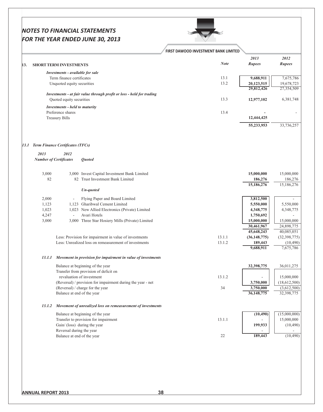# FIRET RAWOOD INVECTMENT BANK HMITE

|                                        |                                       |                                                                       | <b>FIRST DAWOOD INVESTMENT BANK LIMITED</b> |                              |                              |
|----------------------------------------|---------------------------------------|-----------------------------------------------------------------------|---------------------------------------------|------------------------------|------------------------------|
|                                        |                                       |                                                                       |                                             | 2013                         | 2012                         |
|                                        | <b>SHORT TERM INVESTMENTS</b>         |                                                                       | <b>Note</b>                                 | <b>Rupees</b>                | <b>Rupees</b>                |
|                                        | Investments - available for sale      |                                                                       |                                             |                              |                              |
|                                        | Term finance certificates             |                                                                       | 13.1                                        | 9,688,911                    | 7,675,786                    |
|                                        | Unquoted equity securities            |                                                                       | 13.2                                        | 20,123,515<br>29,812,426     | 19,678,723                   |
|                                        |                                       | Investments - at fair value through profit or loss - held for trading |                                             |                              | 27,354,509                   |
|                                        | Quoted equity securities              |                                                                       | 13.3                                        | 12,977,102                   | 6,381,748                    |
|                                        | <b>Investments - held to maturity</b> |                                                                       |                                             |                              |                              |
|                                        | Preference shares                     |                                                                       | 13.4                                        |                              |                              |
|                                        | <b>Treasury Bills</b>                 |                                                                       |                                             | 12,444,425                   |                              |
|                                        |                                       |                                                                       |                                             | 55,233,953                   | 33,736,257                   |
|                                        |                                       |                                                                       |                                             |                              |                              |
| [13.1 Term Finance Certificates (TFCs) |                                       |                                                                       |                                             |                              |                              |
| 2013<br><b>Number of Certificates</b>  | 2012                                  | <b>Ouoted</b>                                                         |                                             |                              |                              |
|                                        |                                       |                                                                       |                                             |                              |                              |
| 3,000                                  |                                       | 3,000 Invest Capital Investment Bank Limited                          |                                             | 15,000,000                   | 15,000,000                   |
| 82                                     |                                       | 82 Trust Investment Bank Limited                                      |                                             | 186,276                      | 186,276                      |
|                                        |                                       | Un-quoted                                                             |                                             | 15,186,276                   | 15,186,276                   |
| 2,000                                  |                                       | Flying Paper and Board Limited                                        |                                             | 3,812,500                    |                              |
| 1,123                                  |                                       | 1,123 Gharibwal Cement Limited                                        |                                             | 5,550,000                    | 5,550,000                    |
| 1,023                                  |                                       | 1,023 New Allied Electronics (Private) Limited                        |                                             | 4,348,775                    | 4,348,775                    |
| 4,247                                  |                                       | Avari Hotels                                                          |                                             | 1,750,692                    |                              |
| 3,000                                  |                                       | 3,000 Three Star Hosiery Mills (Private) Limited                      |                                             | 15,000,000                   | 15,000,000                   |
|                                        |                                       |                                                                       |                                             | 30,461,967                   | 24,898,775                   |
|                                        |                                       | Less: Provision for impairment in value of investments                | 13.1.1                                      | 45,648,243<br>(36, 148, 775) | 40,085,051<br>(32, 398, 775) |
|                                        |                                       | Less: Unrealized loss on remeasurement of investments                 | 13.1.2                                      | 189,443                      | (10, 490)                    |
|                                        |                                       |                                                                       |                                             | 9,688,911                    | 7,675,786                    |
| 13.1.1                                 |                                       | Movement in provision for impairment in value of investments          |                                             |                              |                              |
|                                        |                                       | Balance at beginning of the year                                      |                                             | 32,398,775                   | 36,011,275                   |
|                                        |                                       | Transfer from provision of deficit on                                 |                                             |                              |                              |
|                                        |                                       | revaluation of investment                                             | 13.1.2                                      |                              | 15,000,000                   |
|                                        |                                       | (Reversal) / provision for impairment during the year - net           |                                             | 3,750,000                    | (18,612,500)                 |
|                                        | Balance at end of the year            | (Reversal) / charge for the year                                      | 34                                          | 3,750,000<br>36, 148, 775    | (3,612,500)<br>32,398,775    |
| 13.1.2                                 |                                       | Movement of unrealized loss on remeasurement of investments           |                                             |                              |                              |
|                                        |                                       | Balance at beginning of the year                                      |                                             | (10, 490)                    | (15,000,000)                 |
|                                        |                                       | Transfer to provision for impairment                                  | 13.1.1                                      |                              | 15,000,000                   |
|                                        | Gain/(loss) during the year           |                                                                       |                                             | 199,933                      | (10,490)                     |
|                                        | Reversal during the year              |                                                                       |                                             |                              |                              |
|                                        |                                       | Balance at end of the year                                            | 22                                          | 189,443                      | (10, 490)                    |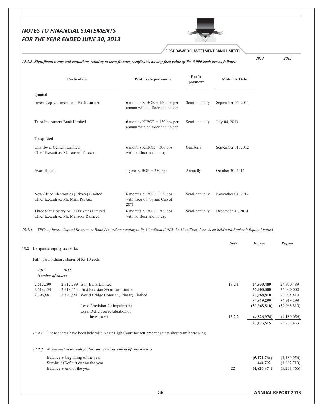## FIRST DAWOOD INVESTMENT BANK LIMITED

#### 13.1.3 Significant terms and conditions relating to term finance certificates having face value of Rs. 5,000 each are as follows:

2012

2013

| <b>Particulars</b>                                                                 | Profit rate per anum                                                 | Profit<br>payment | <b>Maturity Date</b> |
|------------------------------------------------------------------------------------|----------------------------------------------------------------------|-------------------|----------------------|
| Quoted                                                                             |                                                                      |                   |                      |
| Invest Capital Investment Bank Limited                                             | 6 months KIBOR $+ 150$ bps per<br>annum with no floor and no cap     | Semi-annually     | September 05, 2013   |
| Trust Investment Bank Limited                                                      | 6 months KIBOR $+$ 150 bps per<br>annum with no floor and no cap     | Semi-annually     | July 04, 2013        |
| <b>Un-quoted</b>                                                                   |                                                                      |                   |                      |
| Gharibwal Cement Limited<br>Chief Executive: M. Tauseef Paracha                    | 6 months KIBOR $+300$ bps<br>with no floor and no cap                | Ouarterly         | September 01, 2012   |
| Avari Hotels                                                                       | 1 year KIBOR $+ 250$ bps                                             | Annually          | October 30, 2014     |
| New Allied Electronics (Private) Limited<br>Chief Executive: Mr. Mian Pervaiz      | 6 months KIBOR $+ 220$ bps<br>with floor of 7% and Cap of<br>$20%$ . | Semi-annually     | November 01, 2012    |
| Three Star Hosiery Mills (Private) Limited<br>Chief Executive: Mr. Mansoor Rasheed | 6 months KIBOR $+300$ bps<br>with no floor and no cap                | Semi-annually     | December 01, 2014    |

13.1.4 TFCs of Invest Capital Investment Bank Limited amounting to Rs.15 million (2012: Rs.15 million) have been held with Banker's Equity Limited.

| 13.2 |                                           | Un-quoted equity securities                                                                           |                                                                                                                                                                                                                   | <b>Note</b>      | <b>Rupees</b>                                                                                     | <b>Rupees</b>                                                                                     |
|------|-------------------------------------------|-------------------------------------------------------------------------------------------------------|-------------------------------------------------------------------------------------------------------------------------------------------------------------------------------------------------------------------|------------------|---------------------------------------------------------------------------------------------------|---------------------------------------------------------------------------------------------------|
|      | Fully paid ordinary shares of Rs.10 each: |                                                                                                       |                                                                                                                                                                                                                   |                  |                                                                                                   |                                                                                                   |
|      | 2013                                      | 2012<br><b>Number of shares</b>                                                                       |                                                                                                                                                                                                                   |                  |                                                                                                   |                                                                                                   |
|      | 2,512,299<br>2,518,454<br>2,396,881       |                                                                                                       | 2,512,299 Burj Bank Limited<br>2,518,454 First Pakistan Securities Limited<br>2,396,881 World Bridge Connect (Private) Limited<br>Less: Provision for impairment<br>Less: Deficit on revaluation of<br>investment | 13.2.1<br>13.2.2 | 24,950,489<br>36,000,000<br>23,968,810<br>84,919,299<br>(59,968,810)<br>(4,826,974)<br>20,123,515 | 24,950,489<br>36,000,000<br>23,968,810<br>84,919,299<br>(59,968,810)<br>(4,189,056)<br>20,761,433 |
|      | 13.2.1<br>13.2.2                          | Balance at beginning of the year<br>Surplus / (Deficit) during the year<br>Balance at end of the year | These shares have been held with Nazir High Court for settlement against short term borrowing.<br>Movement in unrealized loss on remeasurement of investments                                                     | 22               | (5,271,766)<br>444,792<br>(4,826,974)                                                             | (4,189,056)<br>(1,082,710)<br>(5,271,766)                                                         |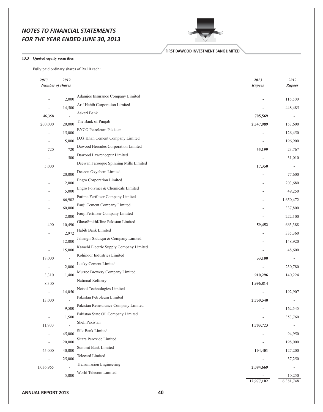

#### **FIRST DAWOOD INVESTMENT BANK LIMITED**

## 13.3 Quoted equity securities

Fully paid ordinary shares of Rs.10 each:

| 2013<br><b>Number of shares</b> | 2012   |                                         | 2013<br>Rupees               | 2012<br><b>Rupees</b>    |
|---------------------------------|--------|-----------------------------------------|------------------------------|--------------------------|
| $\overline{\phantom{m}}$        | 2,000  | Adamjee Insurance Company Limited       |                              | 116,500                  |
| $\overline{\phantom{m}}$        | 14,500 | Arif Habib Corporation Limited          |                              | 448,485                  |
| 46,358                          |        | Askari Bank                             | 705,569                      |                          |
| 200,000                         | 20,000 | The Bank of Punjab                      | 2,547,989                    | 153,600                  |
| $\overline{\phantom{a}}$        | 15,000 | BYCO Petroleum Pakistan                 | $\qquad \qquad \blacksquare$ | 126,450                  |
| $\overline{\phantom{a}}$        | 5,000  | D.G. Khan Cement Company Limited        | $\qquad \qquad \blacksquare$ | 196,900                  |
| 720                             | 720    | Dawood Hercules Corporation Limited     | 33,199                       | 23,767                   |
|                                 | 500    | Dawood Lawrencepur Limited              |                              | 31,010                   |
| 5,000                           |        | Deewan Farooque Spinning Mills Limited  | 17,350                       |                          |
| $\overline{\phantom{a}}$        | 20,000 | Descon Oxychem Limited                  | $\qquad \qquad \blacksquare$ | 77,600                   |
| $\overline{\phantom{a}}$        | 2,000  | <b>Engro Corporation Limited</b>        |                              | 203,680                  |
| $\overline{\phantom{a}}$        | 5,000  | Engro Polymer & Chemicals Limited       |                              | 49,250                   |
| $\overline{\phantom{m}}$        | 66,902 | Fatima Fertilizer Company Limited       |                              | 1,650,472                |
|                                 | 60,000 | Fauji Cement Company Limited            |                              | 337,800                  |
|                                 | 2,000  | Fauji Fertilizer Company Limited        |                              | 222,100                  |
| 490                             | 10,490 | GlaxoSmithKline Pakistan Limited        | 59,452                       | 663,388                  |
| $\overline{\phantom{a}}$        | 2,972  | Habib Bank Limited                      | $\qquad \qquad \blacksquare$ | 335,360                  |
| $\overline{\phantom{a}}$        | 12,000 | Jahangir Siddiqui & Company Limited     |                              | 148,920                  |
| $\overline{\phantom{a}}$        | 15,000 | Karachi Electric Supply Company Limited |                              | 48,600                   |
| 18,000                          |        | Kohinoor Industries Limited             | 53,100                       |                          |
| $\overline{\phantom{a}}$        | 2,000  | Lucky Cement Limited                    |                              | 230,780                  |
| 3,310                           | 1,400  | Murree Brewery Company Limited          | 910,296                      | 140,224                  |
| 8,300                           |        | National Refinery                       | 1,996,814                    |                          |
| $\overline{\phantom{a}}$        | 14,050 | Netsol Technologies Limited             |                              | 192,907                  |
| 13,000                          |        | Pakistan Petroleum Limited              | 2,750,540                    | $\overline{\phantom{a}}$ |
| $\overline{\phantom{a}}$        | 9,500  | Pakistan Reinsurance Company Limited    |                              | 162,545                  |
| $\overline{\phantom{a}}$        | 1,500  | Pakistan State Oil Company Limited      | $\overline{\phantom{0}}$     | 353,760                  |
| 11,900                          |        | Shell Pakistan                          | 1,703,723                    |                          |
| $\overline{\phantom{a}}$        | 45,000 | Silk Bank Limited                       |                              | 94,950                   |
| $\overline{\phantom{a}}$        | 20,000 | Sitara Peroxide Limited                 |                              | 198,000                  |
| 45,000                          | 40,000 | Summit Bank Limited                     | 104,401                      | 127,200                  |
| $\overline{\phantom{a}}$        | 25,000 | <b>Telecard Limited</b>                 |                              | 37,250                   |
| 1,036,965                       |        | Transmission Engineering                | 2,094,669                    |                          |
|                                 | 5,000  | World Telecom Limited                   |                              | 10,250                   |
|                                 |        |                                         | 12,977,102                   | 6,381,748                |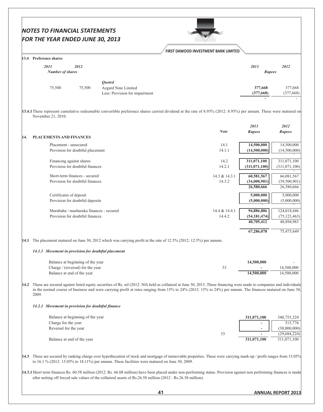| 13.4 Preference shares<br>2013<br>2012<br><b>Number of shares</b><br><b>Ouoted</b><br>75,500<br>75,500<br>Azgard Nine Limited<br>Less: Provision for impairment<br>13.4.1 These represent cumulative redeemable convertible preference shares carried dividend at the rate of 8.95% (2012: 8.95%) per annum. These were matured on<br>November 21, 2010.<br><b>PLACEMENTS AND FINANCES</b><br>14.<br>Placement - unsecured<br>Provision for doubtful placement<br>Financing against shares<br>Provision for doubtful finances<br>Short-term finances - secured<br>Provision for doubtful finances<br>Certificates of deposit<br>Provision for doubtful deposits<br>Murabaha / musharaka finances - secured<br>Provision for doubtful finances<br>14.1 The placement matured on June 30, 2012 which was carrying profit at the rate of 12.5% (2012: 12.5%) per annum. | FIRST DAWOOD INVESTMENT BANK LIMITED<br><b>Note</b><br>14.1<br>14.1.1<br>14.2 | 2013<br><b>Rupees</b><br>377,668<br>(377, 668)<br>2013<br><b>Rupees</b> | 2012<br>377,668<br>(377, 668)<br>2012       |
|----------------------------------------------------------------------------------------------------------------------------------------------------------------------------------------------------------------------------------------------------------------------------------------------------------------------------------------------------------------------------------------------------------------------------------------------------------------------------------------------------------------------------------------------------------------------------------------------------------------------------------------------------------------------------------------------------------------------------------------------------------------------------------------------------------------------------------------------------------------------|-------------------------------------------------------------------------------|-------------------------------------------------------------------------|---------------------------------------------|
|                                                                                                                                                                                                                                                                                                                                                                                                                                                                                                                                                                                                                                                                                                                                                                                                                                                                      |                                                                               |                                                                         |                                             |
|                                                                                                                                                                                                                                                                                                                                                                                                                                                                                                                                                                                                                                                                                                                                                                                                                                                                      |                                                                               |                                                                         |                                             |
|                                                                                                                                                                                                                                                                                                                                                                                                                                                                                                                                                                                                                                                                                                                                                                                                                                                                      |                                                                               |                                                                         |                                             |
|                                                                                                                                                                                                                                                                                                                                                                                                                                                                                                                                                                                                                                                                                                                                                                                                                                                                      |                                                                               |                                                                         |                                             |
|                                                                                                                                                                                                                                                                                                                                                                                                                                                                                                                                                                                                                                                                                                                                                                                                                                                                      |                                                                               |                                                                         | <b>Rupees</b>                               |
|                                                                                                                                                                                                                                                                                                                                                                                                                                                                                                                                                                                                                                                                                                                                                                                                                                                                      |                                                                               | 14,500,000<br>(14,500,000)                                              | 14,500,000<br>(14,500,000)                  |
|                                                                                                                                                                                                                                                                                                                                                                                                                                                                                                                                                                                                                                                                                                                                                                                                                                                                      | 14.2.1                                                                        | 311,071,100<br>(311, 071, 100)                                          | 311,071,100<br>(311, 071, 100)              |
|                                                                                                                                                                                                                                                                                                                                                                                                                                                                                                                                                                                                                                                                                                                                                                                                                                                                      | 14.3 & 14.3.1<br>14.3.2                                                       | 60,581,567<br>(34,000,901)<br>26,580,666                                | 66,081,567<br>(39,500,901)<br>26,580,666    |
|                                                                                                                                                                                                                                                                                                                                                                                                                                                                                                                                                                                                                                                                                                                                                                                                                                                                      |                                                                               | 5,000,000<br>(5,000,000)                                                | 5,000,000<br>(5,000,000)                    |
|                                                                                                                                                                                                                                                                                                                                                                                                                                                                                                                                                                                                                                                                                                                                                                                                                                                                      | 14.4 & 14.4.1<br>14.4.2                                                       | 94,886,886<br>(54, 181, 474)<br>40,705,412                              | 124,018,446<br>(75, 123, 463)<br>48,894,983 |
|                                                                                                                                                                                                                                                                                                                                                                                                                                                                                                                                                                                                                                                                                                                                                                                                                                                                      |                                                                               | 67,286,078                                                              | 75,475,649                                  |
| 14.1.1 Movement in provision for doubtful placement                                                                                                                                                                                                                                                                                                                                                                                                                                                                                                                                                                                                                                                                                                                                                                                                                  |                                                                               |                                                                         |                                             |
| Balance at beginning of the year<br>Charge / (reversal) for the year<br>Balance at end of the year                                                                                                                                                                                                                                                                                                                                                                                                                                                                                                                                                                                                                                                                                                                                                                   | 33                                                                            | 14,500,000<br>14,500,000                                                | 14,500,000<br>14,500,000                    |
| 14.2 These are secured against listed equity securities of Rs. nil (2012: Nil) held as collateral at June 30, 2013. These financing were made to companies and individuals<br>in the normal course of business and were carrying profit at rates ranging from 15% to 24% (2012: 15% to 24%) per annum. The finances matured on June 30,<br>2009.                                                                                                                                                                                                                                                                                                                                                                                                                                                                                                                     |                                                                               |                                                                         |                                             |
| 14.2.1 Movement in provision for doubtful finance                                                                                                                                                                                                                                                                                                                                                                                                                                                                                                                                                                                                                                                                                                                                                                                                                    |                                                                               |                                                                         |                                             |
| Balance at beginning of the year<br>Charge for the year<br>Reversal for the year                                                                                                                                                                                                                                                                                                                                                                                                                                                                                                                                                                                                                                                                                                                                                                                     |                                                                               | 311,071,100<br>$\overline{\phantom{a}}$                                 | 340,755,324<br>315,776<br>(30,000,000)      |
| Balance at end of the year                                                                                                                                                                                                                                                                                                                                                                                                                                                                                                                                                                                                                                                                                                                                                                                                                                           | 33                                                                            | 311,071,100                                                             | (29, 684, 224)<br>311,071,100               |
| 14.3 These are secured by ranking charge over hypothecation of stock and mortgage of immovable properties. These were carrying mark-up / profit ranges from 15.05%<br>to $16.1\%$ (2012: 15.05% to 18.11%) per annum. These facilities were matured on June 30, 2009.                                                                                                                                                                                                                                                                                                                                                                                                                                                                                                                                                                                                |                                                                               |                                                                         |                                             |
| 14.3.1 Short term finances Rs. 60.58 million (2012: Rs. 66.08 million) have been placed under non-performing status. Provision against non performing finances is made<br>after netting off forced sale values of the collateral assets of Rs.26.58 million (2012: Rs.26.58 million).                                                                                                                                                                                                                                                                                                                                                                                                                                                                                                                                                                                |                                                                               |                                                                         |                                             |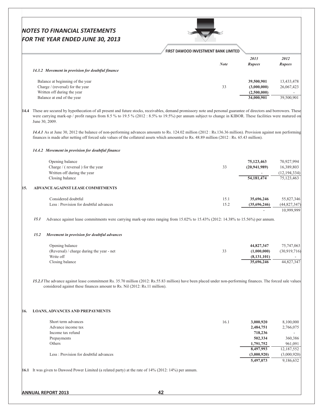## FIRST DAWOOD INVESTMENT BANK LIMITED

|                                                   | <b>Note</b> | 2013<br><b>Rupees</b> | 2012<br><b>Rupees</b> |
|---------------------------------------------------|-------------|-----------------------|-----------------------|
| 14.3.2 Movement in provision for doubtful finance |             |                       |                       |
| Balance at beginning of the year                  |             | 39,500,901            | 13,433,478            |
| Charge / (reversal) for the year                  | 33          | (3,000,000)           | 26,067,423            |
| Written off during the year                       |             | (2,500,000)           |                       |
| Balance at end of the year                        |             | 34,000,901            | 39,500,901            |
|                                                   |             |                       |                       |

14.4 These are secured by hypothecation of all present and future stocks, receivables, demand promissory note and personal guarantee of directors and borrowers. These were carrying mark-up / profit ranges from 8.5 % to 19.5 % (2012 : 8.5% to 19.5%) per annum subject to change in KIBOR. These facilities were matured on June 30, 2009.

14.4.1 As at June 30, 2012 the balance of non-performing advances amounts to Rs. 124.02 million (2012: Rs.136.36 million). Provision against non performing finances is made after netting off forced sale values of the collateral assets which amounted to Rs. 48.89 million (2012: Rs. 65.43 million).

#### 14.4.2 Movement in provision for doubtful finance

15.

| Opening balance<br>Charge / (reversal) for the year                                        | 33   | 75,123,463<br>(20, 941, 989) | 70,927,994<br>16,389,803     |
|--------------------------------------------------------------------------------------------|------|------------------------------|------------------------------|
| Written off during the year<br>Closing balance<br><b>ADVANCE AGAINST LEASE COMMITMENTS</b> |      | 54, 181, 474                 | (12, 194, 334)<br>75,123,463 |
| Considered doubtful                                                                        | 15.1 | 35,696,246                   | 55,827,346                   |
| Less: Provision for doubtful advances                                                      | 15.2 | (35,696,246)                 | (44,827,347)<br>10,999,999   |

Advance against lease commitments were carrying mark-up rates ranging from 15.02% to 15.43% (2012: 14.38% to 15.56%) per annum.  $15.1$ 

#### 15.2 Movement in provision for doubtful advances

| Opening balance                           |    | 44,827,347    | 75,747,063   |
|-------------------------------------------|----|---------------|--------------|
| (Reversal) / charge during the year - net | 33 | (1.000.000)   | (30,919,716) |
| Write off                                 |    | (8, 131, 101) |              |
| Closing balance                           |    | 35,696,246    | 44,827,347   |

15.2.1 The advance against lease commitment Rs. 35.70 million (2012: Rs.55.83 million) have been placed under non-performing finances. The forced sale values considered against these finances amount to Rs. Nil (2012: Rs.11 million).

#### 16. LOANS, ADVANCES AND PREPAYMENTS

| Short term advances                   | 16.1 | 3,000,920   | 8,100,000   |
|---------------------------------------|------|-------------|-------------|
| Advance income tax                    |      | 2,484,751   | 2,766,075   |
| Income tax refund                     |      | 718,236     |             |
| Prepayments                           |      | 502,334     | 360,386     |
| Others                                |      | 1,791,752   | 961,091     |
|                                       |      | 8,497,993   | 12,187,552  |
| Less: Provision for doubtful advances |      | (3,000,920) | (3,000,920) |
|                                       |      | 5.497,073   | 9.186.632   |

16.1 It was given to Dawood Power Limited (a related party) at the rate of 14% (2012: 14%) per annum.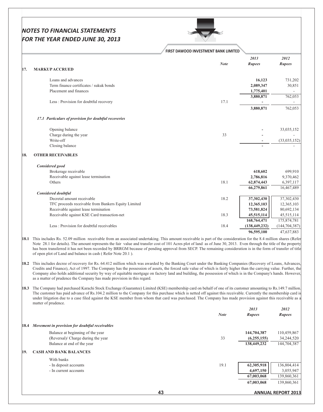

|     | FIRST DAWOOD INVESTMENT BANK LIMITED                  |             |                       |                       |
|-----|-------------------------------------------------------|-------------|-----------------------|-----------------------|
|     |                                                       | <b>Note</b> | 2013<br><b>Rupees</b> | 2012<br><b>Rupees</b> |
| 17. | <b>MARKUP ACCRUED</b>                                 |             |                       |                       |
|     | Loans and advances                                    |             | 16,123                | 731,202               |
|     | Term finance certificates / sukuk bonds               |             | 2,089,347             | 30,851                |
|     | Placement and finances                                |             | 1,775,401             |                       |
|     |                                                       |             | 3,880,871             | 762,053               |
|     | Less: Provision for doubtful recovery                 | 17.1        |                       |                       |
|     |                                                       |             | 3,880,871             | 762,053               |
|     | 17.1 Particulars of provision for doubtful recoveries |             |                       |                       |
|     | Opening balance                                       |             |                       | 33,035,152            |
|     | Charge during the year                                | 33          |                       |                       |
|     | Write-off                                             |             |                       | (33,035,152)          |
|     | Closing balance                                       |             |                       |                       |
| 18. | <b>OTHER RECEIVABLES</b>                              |             |                       |                       |
|     | Considered good                                       |             |                       |                       |
|     | Brokerage receivable                                  |             | 618,602               | 699,910               |
|     | Receivable against lease termination                  |             | 2,786,816             | 9,370,462             |
|     | Others                                                | 18.1        | 62,874,443            | 6,397,117             |
|     |                                                       |             | 66,279,861            | 16,467,489            |
|     | <b>Considered doubtful</b>                            |             |                       |                       |
|     | Decretal amount receivable                            | 18.2        | 37,302,430            | 37,302,430            |
|     | TFC proceeds receivable from Bankers Equity Limited   |             | 12,365,103            | 12,365,103            |
|     | Receivable against lease termination                  |             | 73,581,824            | 80,692,134            |
|     | Receivable against KSE Card transaction-net           | 18.3        | 45,515,114            | 45,515,114            |
|     |                                                       |             | 168,764,471           | 175,874,781           |
|     | Less: Provision for doubtful receivables              | 18.4        | (138, 449, 232)       | (144, 704, 387)       |
|     |                                                       |             | 96,595,100            | 47,637,883            |

18.1 This includes Rs. 52.09 million receivable from an associated undertaking. This amount receivable is part of the consideration for the 8.4 million shares (Refer Note 28.1 for details). The amount represents the fair value and transfer cost of 101 Acres plot of land as of June 30, 2013. Even through the title of the property has been transferred it has not been recorded by BRRGM because of pending approval from SECP. The remaining consideration is in the form of transfer of title of open plot of Land and balance in cash (Refer Note 20.1).

18.2 This includes decree of recovery for Rs. 64.412 million which was awarded by the Banking Court under the Banking Companies (Recovery of Loans, Advances Credits and Finance), Act of 1997. The Company has the possession of assets, the forced sale value of which is fairly higher than the carrying value. Further, the Company also holds additional security by way of equitable mortgage on factory land and building, the possession of which is in the Company's hands. However, as a matter of prudence the Company has made provision in this regard.

18.3 The Company had purchased Karachi Stock Exchange (Guarantee) Limited (KSE) membership card on behalf of one of its customer amounting to Rs.149.7 million. The customer has paid advance of Rs.104.2 million to the Company for this purchase which is netted off against this receivable. Currently the membership card is under litigation due to a case filed against the KSE member from whom that card was purchased. The Company has made provision against this receivable as a matter of prudence.

|      |                                                | <b>Note</b> | 2013<br><b>Rupees</b> | <i>2012</i><br><b>Rupees</b> |
|------|------------------------------------------------|-------------|-----------------------|------------------------------|
| 18.4 | Movement in provision for doubtful receivables |             |                       |                              |
|      | Balance at beginning of the year               |             | 144,704,387           | 110,459,867                  |
|      | (Reversal)/ Charge during the year             | 33          | (6,255,155)           | 34,244,520                   |
|      | Balance at end of the year                     |             | 138,449,232           | 144,704,387                  |
| 19.  | <b>CASH AND BANK BALANCES</b>                  |             |                       |                              |
|      | With banks                                     |             |                       |                              |
|      | - In deposit accounts                          | 19.1        | 62,305,918            | 136,804,414                  |
|      | - In current accounts                          |             | 4,697,150             | 3,055,947                    |
|      |                                                |             | 67,003,068            | 139,860,361                  |
|      |                                                |             | 67,003,068            | 139,860,361                  |
|      |                                                | 43          |                       | <b>ANNUAL REPORT 2013</b>    |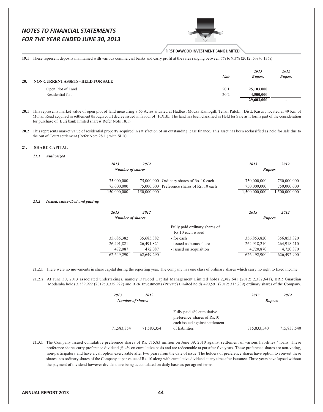|      |                                       |                                           |                                                                                                                                                                                                           | FIRST DAWOOD INVESTMENT BANK LIMITED                                                                                                               |                                                                                                                                                                                                                                                                          |                                                                                                                                                                                                                                                                                                                                                                                                                                                                                                                                                                                                                                                                                                                                                                                                                                                                                                                                                                                                                                                                                                                                                                                                                                                                                                                                                                                                                                                                                                                                                                                                                                                                                                                                                   |
|------|---------------------------------------|-------------------------------------------|-----------------------------------------------------------------------------------------------------------------------------------------------------------------------------------------------------------|----------------------------------------------------------------------------------------------------------------------------------------------------|--------------------------------------------------------------------------------------------------------------------------------------------------------------------------------------------------------------------------------------------------------------------------|---------------------------------------------------------------------------------------------------------------------------------------------------------------------------------------------------------------------------------------------------------------------------------------------------------------------------------------------------------------------------------------------------------------------------------------------------------------------------------------------------------------------------------------------------------------------------------------------------------------------------------------------------------------------------------------------------------------------------------------------------------------------------------------------------------------------------------------------------------------------------------------------------------------------------------------------------------------------------------------------------------------------------------------------------------------------------------------------------------------------------------------------------------------------------------------------------------------------------------------------------------------------------------------------------------------------------------------------------------------------------------------------------------------------------------------------------------------------------------------------------------------------------------------------------------------------------------------------------------------------------------------------------------------------------------------------------------------------------------------------------|
|      |                                       |                                           |                                                                                                                                                                                                           | 19.1 These represent deposits maintained with various commercial banks and carry profit at the rates ranging between 6% to 9.3% (2012: 5% to 13%). |                                                                                                                                                                                                                                                                          |                                                                                                                                                                                                                                                                                                                                                                                                                                                                                                                                                                                                                                                                                                                                                                                                                                                                                                                                                                                                                                                                                                                                                                                                                                                                                                                                                                                                                                                                                                                                                                                                                                                                                                                                                   |
|      |                                       |                                           |                                                                                                                                                                                                           |                                                                                                                                                    | 2013                                                                                                                                                                                                                                                                     | 2012                                                                                                                                                                                                                                                                                                                                                                                                                                                                                                                                                                                                                                                                                                                                                                                                                                                                                                                                                                                                                                                                                                                                                                                                                                                                                                                                                                                                                                                                                                                                                                                                                                                                                                                                              |
|      | NON CURRENT ASSETS - HELD FOR SALE    |                                           |                                                                                                                                                                                                           | <b>Note</b>                                                                                                                                        | Rupees                                                                                                                                                                                                                                                                   | <b>Rupees</b>                                                                                                                                                                                                                                                                                                                                                                                                                                                                                                                                                                                                                                                                                                                                                                                                                                                                                                                                                                                                                                                                                                                                                                                                                                                                                                                                                                                                                                                                                                                                                                                                                                                                                                                                     |
|      | Open Plot of Land<br>Residential flat |                                           |                                                                                                                                                                                                           | 20.1                                                                                                                                               | 25,103,000                                                                                                                                                                                                                                                               |                                                                                                                                                                                                                                                                                                                                                                                                                                                                                                                                                                                                                                                                                                                                                                                                                                                                                                                                                                                                                                                                                                                                                                                                                                                                                                                                                                                                                                                                                                                                                                                                                                                                                                                                                   |
|      |                                       |                                           |                                                                                                                                                                                                           | 20.2                                                                                                                                               | 4,500,000<br>29,603,000                                                                                                                                                                                                                                                  |                                                                                                                                                                                                                                                                                                                                                                                                                                                                                                                                                                                                                                                                                                                                                                                                                                                                                                                                                                                                                                                                                                                                                                                                                                                                                                                                                                                                                                                                                                                                                                                                                                                                                                                                                   |
|      |                                       |                                           |                                                                                                                                                                                                           |                                                                                                                                                    |                                                                                                                                                                                                                                                                          |                                                                                                                                                                                                                                                                                                                                                                                                                                                                                                                                                                                                                                                                                                                                                                                                                                                                                                                                                                                                                                                                                                                                                                                                                                                                                                                                                                                                                                                                                                                                                                                                                                                                                                                                                   |
|      |                                       |                                           |                                                                                                                                                                                                           |                                                                                                                                                    |                                                                                                                                                                                                                                                                          |                                                                                                                                                                                                                                                                                                                                                                                                                                                                                                                                                                                                                                                                                                                                                                                                                                                                                                                                                                                                                                                                                                                                                                                                                                                                                                                                                                                                                                                                                                                                                                                                                                                                                                                                                   |
|      |                                       |                                           |                                                                                                                                                                                                           |                                                                                                                                                    |                                                                                                                                                                                                                                                                          |                                                                                                                                                                                                                                                                                                                                                                                                                                                                                                                                                                                                                                                                                                                                                                                                                                                                                                                                                                                                                                                                                                                                                                                                                                                                                                                                                                                                                                                                                                                                                                                                                                                                                                                                                   |
| 21.1 |                                       |                                           |                                                                                                                                                                                                           |                                                                                                                                                    |                                                                                                                                                                                                                                                                          |                                                                                                                                                                                                                                                                                                                                                                                                                                                                                                                                                                                                                                                                                                                                                                                                                                                                                                                                                                                                                                                                                                                                                                                                                                                                                                                                                                                                                                                                                                                                                                                                                                                                                                                                                   |
|      |                                       | 2013                                      | 2012                                                                                                                                                                                                      |                                                                                                                                                    | 2013                                                                                                                                                                                                                                                                     | 2012                                                                                                                                                                                                                                                                                                                                                                                                                                                                                                                                                                                                                                                                                                                                                                                                                                                                                                                                                                                                                                                                                                                                                                                                                                                                                                                                                                                                                                                                                                                                                                                                                                                                                                                                              |
|      |                                       |                                           |                                                                                                                                                                                                           |                                                                                                                                                    |                                                                                                                                                                                                                                                                          |                                                                                                                                                                                                                                                                                                                                                                                                                                                                                                                                                                                                                                                                                                                                                                                                                                                                                                                                                                                                                                                                                                                                                                                                                                                                                                                                                                                                                                                                                                                                                                                                                                                                                                                                                   |
|      |                                       | 75,000,000                                |                                                                                                                                                                                                           |                                                                                                                                                    | 750,000,000                                                                                                                                                                                                                                                              | 750,000,000                                                                                                                                                                                                                                                                                                                                                                                                                                                                                                                                                                                                                                                                                                                                                                                                                                                                                                                                                                                                                                                                                                                                                                                                                                                                                                                                                                                                                                                                                                                                                                                                                                                                                                                                       |
|      |                                       | 150,000,000                               | 150,000,000                                                                                                                                                                                               |                                                                                                                                                    | 1,500,000,000                                                                                                                                                                                                                                                            | 750,000,000<br>1,500,000,000                                                                                                                                                                                                                                                                                                                                                                                                                                                                                                                                                                                                                                                                                                                                                                                                                                                                                                                                                                                                                                                                                                                                                                                                                                                                                                                                                                                                                                                                                                                                                                                                                                                                                                                      |
| 21.2 |                                       |                                           |                                                                                                                                                                                                           |                                                                                                                                                    |                                                                                                                                                                                                                                                                          |                                                                                                                                                                                                                                                                                                                                                                                                                                                                                                                                                                                                                                                                                                                                                                                                                                                                                                                                                                                                                                                                                                                                                                                                                                                                                                                                                                                                                                                                                                                                                                                                                                                                                                                                                   |
|      |                                       |                                           |                                                                                                                                                                                                           |                                                                                                                                                    |                                                                                                                                                                                                                                                                          | 2012                                                                                                                                                                                                                                                                                                                                                                                                                                                                                                                                                                                                                                                                                                                                                                                                                                                                                                                                                                                                                                                                                                                                                                                                                                                                                                                                                                                                                                                                                                                                                                                                                                                                                                                                              |
|      |                                       |                                           |                                                                                                                                                                                                           |                                                                                                                                                    |                                                                                                                                                                                                                                                                          |                                                                                                                                                                                                                                                                                                                                                                                                                                                                                                                                                                                                                                                                                                                                                                                                                                                                                                                                                                                                                                                                                                                                                                                                                                                                                                                                                                                                                                                                                                                                                                                                                                                                                                                                                   |
|      |                                       |                                           |                                                                                                                                                                                                           | Fully paid ordinary shares of<br>Rs.10 each issued:                                                                                                |                                                                                                                                                                                                                                                                          |                                                                                                                                                                                                                                                                                                                                                                                                                                                                                                                                                                                                                                                                                                                                                                                                                                                                                                                                                                                                                                                                                                                                                                                                                                                                                                                                                                                                                                                                                                                                                                                                                                                                                                                                                   |
|      |                                       | 35,685,382                                | 35,685,382                                                                                                                                                                                                | - for cash                                                                                                                                         | 356,853,820                                                                                                                                                                                                                                                              | 356,853,820<br>264,918,210                                                                                                                                                                                                                                                                                                                                                                                                                                                                                                                                                                                                                                                                                                                                                                                                                                                                                                                                                                                                                                                                                                                                                                                                                                                                                                                                                                                                                                                                                                                                                                                                                                                                                                                        |
|      |                                       | 472,087                                   | 472,087                                                                                                                                                                                                   | - issued on acquisition                                                                                                                            | 4,720,870                                                                                                                                                                                                                                                                | 4,720,870                                                                                                                                                                                                                                                                                                                                                                                                                                                                                                                                                                                                                                                                                                                                                                                                                                                                                                                                                                                                                                                                                                                                                                                                                                                                                                                                                                                                                                                                                                                                                                                                                                                                                                                                         |
|      |                                       | 62,649,290                                | 62,649,290                                                                                                                                                                                                |                                                                                                                                                    | 626,492,900                                                                                                                                                                                                                                                              | 626,492,900                                                                                                                                                                                                                                                                                                                                                                                                                                                                                                                                                                                                                                                                                                                                                                                                                                                                                                                                                                                                                                                                                                                                                                                                                                                                                                                                                                                                                                                                                                                                                                                                                                                                                                                                       |
|      |                                       |                                           |                                                                                                                                                                                                           |                                                                                                                                                    |                                                                                                                                                                                                                                                                          |                                                                                                                                                                                                                                                                                                                                                                                                                                                                                                                                                                                                                                                                                                                                                                                                                                                                                                                                                                                                                                                                                                                                                                                                                                                                                                                                                                                                                                                                                                                                                                                                                                                                                                                                                   |
|      |                                       |                                           |                                                                                                                                                                                                           |                                                                                                                                                    |                                                                                                                                                                                                                                                                          |                                                                                                                                                                                                                                                                                                                                                                                                                                                                                                                                                                                                                                                                                                                                                                                                                                                                                                                                                                                                                                                                                                                                                                                                                                                                                                                                                                                                                                                                                                                                                                                                                                                                                                                                                   |
|      |                                       | 2013                                      | 2012                                                                                                                                                                                                      |                                                                                                                                                    | 2013                                                                                                                                                                                                                                                                     | 2012                                                                                                                                                                                                                                                                                                                                                                                                                                                                                                                                                                                                                                                                                                                                                                                                                                                                                                                                                                                                                                                                                                                                                                                                                                                                                                                                                                                                                                                                                                                                                                                                                                                                                                                                              |
|      |                                       |                                           |                                                                                                                                                                                                           |                                                                                                                                                    |                                                                                                                                                                                                                                                                          |                                                                                                                                                                                                                                                                                                                                                                                                                                                                                                                                                                                                                                                                                                                                                                                                                                                                                                                                                                                                                                                                                                                                                                                                                                                                                                                                                                                                                                                                                                                                                                                                                                                                                                                                                   |
|      |                                       |                                           |                                                                                                                                                                                                           | preference shares of Rs.10<br>each issued against settlement                                                                                       |                                                                                                                                                                                                                                                                          |                                                                                                                                                                                                                                                                                                                                                                                                                                                                                                                                                                                                                                                                                                                                                                                                                                                                                                                                                                                                                                                                                                                                                                                                                                                                                                                                                                                                                                                                                                                                                                                                                                                                                                                                                   |
|      |                                       |                                           |                                                                                                                                                                                                           |                                                                                                                                                    |                                                                                                                                                                                                                                                                          | 715,833,540                                                                                                                                                                                                                                                                                                                                                                                                                                                                                                                                                                                                                                                                                                                                                                                                                                                                                                                                                                                                                                                                                                                                                                                                                                                                                                                                                                                                                                                                                                                                                                                                                                                                                                                                       |
|      |                                       |                                           |                                                                                                                                                                                                           |                                                                                                                                                    |                                                                                                                                                                                                                                                                          |                                                                                                                                                                                                                                                                                                                                                                                                                                                                                                                                                                                                                                                                                                                                                                                                                                                                                                                                                                                                                                                                                                                                                                                                                                                                                                                                                                                                                                                                                                                                                                                                                                                                                                                                                   |
|      |                                       | <b>SHARE CAPITAL</b><br><b>Authorized</b> | for purchase of Burj bank limited shares(Refer Note 18.1)<br>the out of Court settlement (Refer Note 28.1) with SLIC.<br>75,000,000<br>Issued, subscribed and paid-up<br>2013<br>26,491,821<br>71,583,354 | <b>Number of shares</b><br>2012<br><b>Number of shares</b><br>26,491,821<br><b>Number of shares</b><br>71,583,354                                  | 75,000,000 Ordinary shares of Rs. 10 each<br>75,000,000 Preference shares of Rs. 10 each<br>- issued as bonus shares<br>Fully paid 4% cumulative<br>of liabilities<br>the payment of dividend however dividend are being accumulated on daily basis as per agreed terms. | 20.1 This represents market value of open plot of land measuring 8.65 Acres situated at Hadbast Mouza Kamogill, Tehsil Patoki, Distt. Kasur, located at 49 Km of<br>Multan Road acquired in settlement through court decree issued in favour of FDIBL. The land has been classified as Held for Sale as it forms part of the consideration<br>This represents market value of residential property acquired in satisfaction of an outstanding lease finance. This asset has been reclassified as held for sale due to<br><b>Rupees</b><br>750,000,000<br>2013<br><b>Rupees</b><br>264,918,210<br>21.2.1 There were no movements in share capital during the reporting year. The company has one class of ordinary shares which carry no right to fixed income.<br>21.2.2 At June 30, 2013 associated undertakings, namely Dawood Capital Management Limited holds 2,382,641 (2012: 2,382,641), BRR Guardian<br>Modaraba holds 3,339,922 (2012: 3,339,922) and BRR Investments (Private) Limited holds 490,591 (2012: 315,239) ordinary shares of the Company.<br><b>Rupees</b><br>715,833,540<br>21.3.1 The Company issued cumulative preference shares of Rs. 715.83 million on June 09, 2010 against settlement of various liabilities / loans. These<br>preference shares carry preference dividend @ 4% on cumulative basis and are redeemable at par after five years. These preference shares are non-voting,<br>non-participatory and have a call option exercisable after two years from the date of issue. The holders of preference shares have option to convert these<br>shares into ordinary shares of the Company at par value of Rs. 10 along with cumulative dividend at any time after issuance. Three years have lapsed without |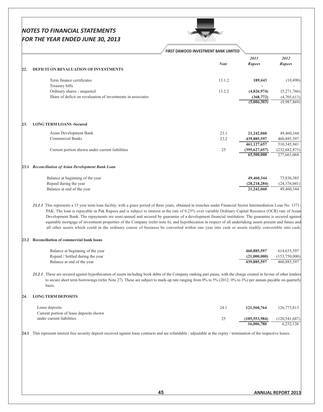|             |                                                                                                                                                                      | FIRST DAWOOD INVESTMENT BANK LIMITED                                                                                                            |                               |                                                                                                                                                          |
|-------------|----------------------------------------------------------------------------------------------------------------------------------------------------------------------|-------------------------------------------------------------------------------------------------------------------------------------------------|-------------------------------|----------------------------------------------------------------------------------------------------------------------------------------------------------|
|             |                                                                                                                                                                      |                                                                                                                                                 | 2013                          | 2012                                                                                                                                                     |
| 22.         | <b>DEFICIT ON REVALUATION OF INVESTMENTS</b>                                                                                                                         | <b>Note</b>                                                                                                                                     | <b>Rupees</b>                 | <b>Rupees</b>                                                                                                                                            |
|             |                                                                                                                                                                      |                                                                                                                                                 |                               |                                                                                                                                                          |
|             | Term finance certificates                                                                                                                                            | 13.1.2                                                                                                                                          | 189,443                       | (10, 490)                                                                                                                                                |
|             | Treasury bills                                                                                                                                                       |                                                                                                                                                 |                               |                                                                                                                                                          |
|             | Ordinary shares - unquoted                                                                                                                                           | 13.2.2                                                                                                                                          | (4,826,974)                   | (5,271,766)                                                                                                                                              |
|             | Share of deficit on revaluation of investments in associates                                                                                                         |                                                                                                                                                 | (368, 772)                    | (4,705,613)                                                                                                                                              |
|             |                                                                                                                                                                      |                                                                                                                                                 | (5,006,303)                   | (9,987,869)                                                                                                                                              |
|             |                                                                                                                                                                      |                                                                                                                                                 |                               |                                                                                                                                                          |
| 23.         | <b>LONG TERM LOANS -Secured</b>                                                                                                                                      |                                                                                                                                                 |                               |                                                                                                                                                          |
|             | Asian Development Bank                                                                                                                                               | 23.1                                                                                                                                            | 21,242,060                    | 49,460,344                                                                                                                                               |
|             |                                                                                                                                                                      | 23.2                                                                                                                                            |                               |                                                                                                                                                          |
|             | <b>Commercial Banks</b>                                                                                                                                              |                                                                                                                                                 | 439,885,597                   | 460,885,597                                                                                                                                              |
|             |                                                                                                                                                                      |                                                                                                                                                 | 461,127,657                   | 510,345,941                                                                                                                                              |
|             | Current portion shown under current liabilities                                                                                                                      | 25                                                                                                                                              | (395, 627, 657)               | (232, 682, 873)                                                                                                                                          |
|             |                                                                                                                                                                      |                                                                                                                                                 | 65,500,000                    | 277,663,068                                                                                                                                              |
|             | 23.1 Reconciliation of Asian Development Bank Loan                                                                                                                   |                                                                                                                                                 |                               |                                                                                                                                                          |
|             | Balance at beginning of the year                                                                                                                                     |                                                                                                                                                 |                               |                                                                                                                                                          |
|             |                                                                                                                                                                      |                                                                                                                                                 | 49,460,344                    | 73,836,385                                                                                                                                               |
|             | Repaid during the year                                                                                                                                               |                                                                                                                                                 | (28, 218, 284)                | (24,376,041)                                                                                                                                             |
|             | Balance at end of the year                                                                                                                                           |                                                                                                                                                 | 21,242,060                    | 49,460,344                                                                                                                                               |
|             |                                                                                                                                                                      |                                                                                                                                                 |                               | equitable mortgage of investment properties of the Company (refer note 6), and hypothecation in respect of all undertaking assets present and future and |
|             |                                                                                                                                                                      | all other assets which could in the ordinary course of business be converted within one year into cash or assets readily convertible into cash. |                               |                                                                                                                                                          |
|             | 23.2 Reconciliation of commercial bank loans                                                                                                                         |                                                                                                                                                 |                               |                                                                                                                                                          |
|             | Balance at beginning of the year                                                                                                                                     |                                                                                                                                                 | 460,885,597                   | 614, 635, 597                                                                                                                                            |
|             | Repaid / Settled during the year                                                                                                                                     |                                                                                                                                                 | (21,000,000)                  | (153,750,000)                                                                                                                                            |
|             | Balance at end of the year                                                                                                                                           |                                                                                                                                                 | 439,885,597                   | 460,885,597                                                                                                                                              |
|             | 23.2.1 These are secured against hypothecation of assets including book debts of the Company ranking pari passu, with the charge created in favour of other lenders  |                                                                                                                                                 |                               |                                                                                                                                                          |
|             | to secure short term borrowings (refer Note 27). These are subject to mark-up rate ranging from 0% to 5% (2012: 0% to 3%) per annum payable on quarterly<br>basis.   |                                                                                                                                                 |                               |                                                                                                                                                          |
|             | <b>LONG TERM DEPOSITS</b>                                                                                                                                            |                                                                                                                                                 |                               |                                                                                                                                                          |
|             | Lease deposits                                                                                                                                                       | 24.1                                                                                                                                            | 121,560,764                   | 126,773,813                                                                                                                                              |
|             | Current portion of lease deposits shown                                                                                                                              |                                                                                                                                                 |                               |                                                                                                                                                          |
|             | under current liabilities                                                                                                                                            |                                                                                                                                                 |                               |                                                                                                                                                          |
|             |                                                                                                                                                                      | 25                                                                                                                                              | (105, 553, 984)<br>16,006,780 | (120, 541, 687)                                                                                                                                          |
|             |                                                                                                                                                                      |                                                                                                                                                 |                               | 6,232,126                                                                                                                                                |
|             | This represent interest free security deposit received against lease contracts and are refundable / adjustable at the expiry / termination of the respective leases. |                                                                                                                                                 |                               |                                                                                                                                                          |
|             |                                                                                                                                                                      |                                                                                                                                                 |                               |                                                                                                                                                          |
|             |                                                                                                                                                                      |                                                                                                                                                 |                               |                                                                                                                                                          |
|             |                                                                                                                                                                      |                                                                                                                                                 |                               |                                                                                                                                                          |
| 24.<br>24.1 |                                                                                                                                                                      |                                                                                                                                                 |                               |                                                                                                                                                          |
|             |                                                                                                                                                                      |                                                                                                                                                 |                               |                                                                                                                                                          |
|             |                                                                                                                                                                      |                                                                                                                                                 |                               |                                                                                                                                                          |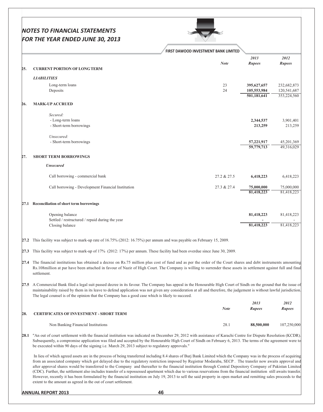|      | <b>FIRST DAWOOD INVESTMENT BANK LIMITED</b>                                                                                                                                                                                                                                                                                                                                                                                                                                                                                                                                                                                                                                                                                                                                                                                                                                                                         |             |                                           |                                           |
|------|---------------------------------------------------------------------------------------------------------------------------------------------------------------------------------------------------------------------------------------------------------------------------------------------------------------------------------------------------------------------------------------------------------------------------------------------------------------------------------------------------------------------------------------------------------------------------------------------------------------------------------------------------------------------------------------------------------------------------------------------------------------------------------------------------------------------------------------------------------------------------------------------------------------------|-------------|-------------------------------------------|-------------------------------------------|
| 25.  | <b>CURRENT PORTION OF LONG TERM</b>                                                                                                                                                                                                                                                                                                                                                                                                                                                                                                                                                                                                                                                                                                                                                                                                                                                                                 | <b>Note</b> | 2013<br><b>Rupees</b>                     | 2012<br><b>Rupees</b>                     |
|      | <b>LIABILITIES</b>                                                                                                                                                                                                                                                                                                                                                                                                                                                                                                                                                                                                                                                                                                                                                                                                                                                                                                  |             |                                           |                                           |
|      | Long-term loans<br>Deposits                                                                                                                                                                                                                                                                                                                                                                                                                                                                                                                                                                                                                                                                                                                                                                                                                                                                                         | 23<br>24    | 395,627,657<br>105,553,984<br>501,181,641 | 232,682,873<br>120,541,687<br>353,224,560 |
| 26.  | <b>MARK-UP ACCRUED</b>                                                                                                                                                                                                                                                                                                                                                                                                                                                                                                                                                                                                                                                                                                                                                                                                                                                                                              |             |                                           |                                           |
|      | Secured:                                                                                                                                                                                                                                                                                                                                                                                                                                                                                                                                                                                                                                                                                                                                                                                                                                                                                                            |             |                                           |                                           |
|      | - Long-term loans<br>- Short-term borrowings                                                                                                                                                                                                                                                                                                                                                                                                                                                                                                                                                                                                                                                                                                                                                                                                                                                                        |             | 2,344,537<br>213,259                      | 3,901,401<br>213,259                      |
|      | Unsecured:<br>- Short-term borrowings                                                                                                                                                                                                                                                                                                                                                                                                                                                                                                                                                                                                                                                                                                                                                                                                                                                                               |             | 57,221,917<br>59,779,713                  | 45,201,369<br>49,316,029                  |
| 27.  | <b>SHORT TERM BORROWINGS</b>                                                                                                                                                                                                                                                                                                                                                                                                                                                                                                                                                                                                                                                                                                                                                                                                                                                                                        |             |                                           |                                           |
|      | <b>Unsecured</b>                                                                                                                                                                                                                                                                                                                                                                                                                                                                                                                                                                                                                                                                                                                                                                                                                                                                                                    |             |                                           |                                           |
|      | Call borrowing - commercial bank                                                                                                                                                                                                                                                                                                                                                                                                                                                                                                                                                                                                                                                                                                                                                                                                                                                                                    | 27.2 & 27.5 | 6,418,223                                 | 6,418,223                                 |
|      | Call borrowing - Development Financial Institution                                                                                                                                                                                                                                                                                                                                                                                                                                                                                                                                                                                                                                                                                                                                                                                                                                                                  | 27.3 & 27.4 | 75,000,000<br>81,418,223                  | 75,000,000<br>81,418,223                  |
|      | 27.1 Reconciliation of short term borrowings                                                                                                                                                                                                                                                                                                                                                                                                                                                                                                                                                                                                                                                                                                                                                                                                                                                                        |             |                                           |                                           |
|      | Opening balance<br>Settled / restructured / repaid during the year                                                                                                                                                                                                                                                                                                                                                                                                                                                                                                                                                                                                                                                                                                                                                                                                                                                  |             | 81,418,223                                | 81,418,223                                |
|      | Closing balance                                                                                                                                                                                                                                                                                                                                                                                                                                                                                                                                                                                                                                                                                                                                                                                                                                                                                                     |             | 81,418,223                                | 81,418,223                                |
| 27.2 | This facility was subject to mark-up rate of 16.75% (2012: 16.75%) per annum and was payable on February 15, 2009.                                                                                                                                                                                                                                                                                                                                                                                                                                                                                                                                                                                                                                                                                                                                                                                                  |             |                                           |                                           |
| 27.3 | This facility was subject to mark-up of 17% (2012: 17%) per annum. These facility had been overdue since June 30, 2009.                                                                                                                                                                                                                                                                                                                                                                                                                                                                                                                                                                                                                                                                                                                                                                                             |             |                                           |                                           |
|      | 27.4 The financial institutions has obtained a decree on Rs.75 million plus cost of fund and as per the order of the Court shares and debt instruments amounting<br>Rs.108million at par have been attached in favour of Nazir of High Court. The Company is willing to surrender these assets in settlement against full and final<br>settlement.                                                                                                                                                                                                                                                                                                                                                                                                                                                                                                                                                                  |             |                                           |                                           |
|      | 27.5 A Commercial Bank filed a legal suit passed decree in its favour. The Company has appeal in the Honourable High Court of Sindh on the ground that the issue of<br>maintainability raised by them in its leave to defend application was not given any consideration at all and therefore, the judgement is without lawful jurisdiction.<br>The legal counsel is of the opinion that the Company has a good case which is likely to succeed.                                                                                                                                                                                                                                                                                                                                                                                                                                                                    |             |                                           |                                           |
|      |                                                                                                                                                                                                                                                                                                                                                                                                                                                                                                                                                                                                                                                                                                                                                                                                                                                                                                                     | <b>Note</b> | 2013                                      | 2012                                      |
| 28.  | <b>CERTIFICATES OF INVESTMENT - SHORT TERM</b>                                                                                                                                                                                                                                                                                                                                                                                                                                                                                                                                                                                                                                                                                                                                                                                                                                                                      |             | Rupees                                    | Rupees                                    |
|      | Non Banking Financial Institutions                                                                                                                                                                                                                                                                                                                                                                                                                                                                                                                                                                                                                                                                                                                                                                                                                                                                                  | 28.1        | 88,500,000                                | 107,250,000                               |
|      | 28.1 "An out of court settlement with the financial institution was indicated on December 29, 2012 with assistance of Karachi Centre for Dispute Resolution (KCDR)<br>Subsequently, a compromise application was filed and accepted by the Honourable High Court of Sindh on February 6, 2013. The terms of the agreement were to<br>be executed within 90 days of the signing i.e. March 29, 2013 subject to regulatory approvals."                                                                                                                                                                                                                                                                                                                                                                                                                                                                                |             |                                           |                                           |
|      | In lieu of which agreed assets are in the process of being transferred including 8.4 shares of Burj Bank Limited which the Company was in the process of acquiring<br>from an associated company which got delayed due to the regulatory restriction imposed by Registrar Modaraba, SECP. The transfer now awaits approval and<br>after approval shares would be transferred to the Company and thereafter to the financial institution through Central Depository Company of Pakistan Limited<br>(CDC). Further, the settlement also includes transfer of a repossessed apartment which due to various reservations from the financial institution still awaits transfer.<br>However, recently it has been formulated by the financial institution on July 19, 2013 to sell the said property in open market and remitting sales proceeds to the<br>extent to the amount as agreed in the out of court settlement. |             |                                           |                                           |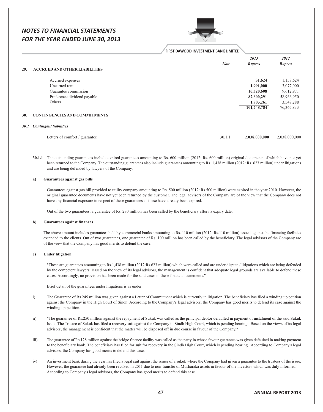

|      |                                      | FIRST DAWOOD INVESTMENT BANK LIMITED |                       |                       |
|------|--------------------------------------|--------------------------------------|-----------------------|-----------------------|
| 29.  | <b>ACCRUED AND OTHER LIABILITIES</b> | <b>Note</b>                          | 2013<br><b>Rupees</b> | 2012<br><b>Rupees</b> |
|      | Accrued expenses                     |                                      | 31,624                | 1,159,624             |
|      | Unearned rent                        |                                      | 1,991,000             | 3,077,000             |
|      | Guarantee commission                 |                                      | 10,320,608            | 9,612,971             |
|      | Preference dividend payable          |                                      | 87,600,291            | 58,966,950            |
|      | Others                               |                                      | 1,805,261             | 3,549,288             |
|      |                                      |                                      | 101,748,784           | 76, 365, 833          |
| 30.  | <b>CONTINGENCIES AND COMMITMENTS</b> |                                      |                       |                       |
| 30.1 | <b>Contingent liabilities</b>        |                                      |                       |                       |
|      | Letters of comfort / guarantee       | 30.1.1                               | 2,038,000,000         | 2,038,000,000         |

30.1.1 The outstanding guarantees include expired guarantees amounting to Rs. 600 million (2012: Rs. 600 million) original documents of which have not yet been returned to the Company. The outstanding guarantees also include guarantees amounting to Rs. 1,438 million (2012: Rs. 623 million) under litigations and are being defended by lawyers of the Company.

#### Guarantees against gas bills

Guarantees against gas bill provided to utility company amounting to Rs. 500 million (2012: Rs.500 million) were expired in the year 2010. However, the original guarantee documents have not yet been returned by the customer. The legal advisors of the Company are of the view that the Company does not have any financial exposure in respect of these guarantees as these have already been expired.

Out of the two guarantees, a guarantee of Rs. 270 million has been called by the beneficiary after its expiry date.

#### $$ **Guarantees against finances**

The above amount includes guarantees held by commercial banks amounting to Rs. 110 million (2012: Rs.110 million) issued against the financing facilities extended to the clients. Out of two guarantees, one guarantee of Rs. 100 million has been called by the beneficiary. The legal advisors of the Company are of the view that the Company has good merits to defend the case.

#### **Under litigation**  $\mathbf{c}$

"These are guarantees amounting to Rs.1,438 million (2012:Rs.623 million) which were called and are under dispute / litigations which are being defended by the competent lawyers. Based on the view of its legal advisors, the management is confident that adequate legal grounds are available to defend these cases. Accordingly, no provision has been made for the said cases in these financial statements."

Brief detail of the guarantees under litigations is as under:

- $\ddot{i}$ The Guarantee of Rs.245 million was given against a Letter of Commitment which is currently in litigation. The beneficiary has filed a winding up petition against the Company in the High Court of Sindh. According to the Company's legal advisors, the Company has good merits to defend its case against the winding up petition.
- $\overline{11}$ ) "The guarantee of Rs.250 million against the repayment of Sukuk was called as the principal debtor defaulted in payment of instalment of the said Sukuk Issue. The Trustee of Sukuk has filed a recovery suit against the Company in Sindh High Court, which is pending hearing. Based on the views of its legal advisors, the management is confident that the matter will be disposed off in due course in favour of the Company."
- $\overline{\text{iii}}$ The guarantee of Rs.128 million against the bridge finance facility was called as the party in whose favour guarantee was given defaulted in making payment to the beneficiary bank. The beneficiary has filed for suit for recovery in the Sindh High Court, which is pending hearing. According to Company's legal advisors, the Company has good merits to defend this case.
- $iv)$ An investment bank during the year has filed a legal suit against the issuer of a sukuk where the Company had given a guarantee to the trustees of the issue. However, the guarantee had already been revoked in 2011 due to non-transfer of Musharaka assets in favour of the investors which was duly informed. According to Company's legal advisors, the Company has good merits to defend this case.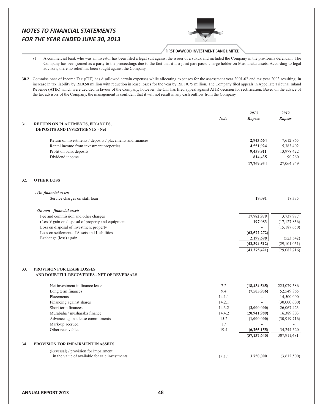|     | <b>NOTES TO FINANCIAL STATEMENTS</b><br>FOR THE YEAR ENDED JUNE 30, 2013                                                                                                                                                                                                                                                                                                                                                                                                                                                                                                                                                               |                                      |                                   |                                   |
|-----|----------------------------------------------------------------------------------------------------------------------------------------------------------------------------------------------------------------------------------------------------------------------------------------------------------------------------------------------------------------------------------------------------------------------------------------------------------------------------------------------------------------------------------------------------------------------------------------------------------------------------------------|--------------------------------------|-----------------------------------|-----------------------------------|
|     |                                                                                                                                                                                                                                                                                                                                                                                                                                                                                                                                                                                                                                        | FIRST DAWOOD INVESTMENT BANK LIMITED |                                   |                                   |
|     | A commercial bank who was an investor has been filed a legal suit against the issuer of a sukuk and included the Company in the pro-forma defendant. The<br>V)<br>Company has been joined as a party to the proceedings due to the fact that it is a joint pari-passu charge holder on Musharaka assets. According to legal<br>advisors, there no relief has been sought against the Company.                                                                                                                                                                                                                                          |                                      |                                   |                                   |
|     | 30.2 Commissioner of Income Tax (CIT) has disallowed certain expenses while allocating expenses for the assessment year 2001-02 and tax year 2003 resulting in<br>increase in tax liability by Rs.0.58 million with reduction in lease losses for the year by Rs. 10.75 million. The Company filed appeals in Appellate Tribunal Inland<br>Revenue (ATIR) which were decided in favour of the Company, however, the CIT has filed appeal against ATIR decision for rectification. Based on the advice of<br>the tax advisors of the Company, the management is confident that it will not result in any cash outflow from the Company. |                                      |                                   |                                   |
|     |                                                                                                                                                                                                                                                                                                                                                                                                                                                                                                                                                                                                                                        |                                      | 2013                              | 2012                              |
| 31. | RETURN ON PLACEMENTS, FINANCES,<br><b>DEPOSITS AND INVESTMENTS - Net</b>                                                                                                                                                                                                                                                                                                                                                                                                                                                                                                                                                               | <b>Note</b>                          | Rupees                            | <b>Rupees</b>                     |
|     | Return on investments / deposits / placements and finances                                                                                                                                                                                                                                                                                                                                                                                                                                                                                                                                                                             |                                      | 2,943,664                         | 7,612,865                         |
|     | Rental income from investment properties<br>Profit on bank deposits<br>Dividend income                                                                                                                                                                                                                                                                                                                                                                                                                                                                                                                                                 |                                      | 4,551,924<br>9,459,911<br>814,435 | 5,383,402<br>13,978,422<br>90,260 |
|     |                                                                                                                                                                                                                                                                                                                                                                                                                                                                                                                                                                                                                                        |                                      | 17,769,934                        | 27,064,949                        |
| 32. | <b>OTHER LOSS</b>                                                                                                                                                                                                                                                                                                                                                                                                                                                                                                                                                                                                                      |                                      |                                   |                                   |
|     | - On financial assets                                                                                                                                                                                                                                                                                                                                                                                                                                                                                                                                                                                                                  |                                      |                                   |                                   |
|     | Service charges on staff loan                                                                                                                                                                                                                                                                                                                                                                                                                                                                                                                                                                                                          |                                      | 19,091                            | 18,335                            |
|     | - On non - financial assets<br>Fee and commission and other charges                                                                                                                                                                                                                                                                                                                                                                                                                                                                                                                                                                    |                                      | 17,782,979                        | 3,737,977                         |
|     | (Loss)/ gain on disposal of property and equipment                                                                                                                                                                                                                                                                                                                                                                                                                                                                                                                                                                                     |                                      | 197,083                           | (17, 127, 836)                    |
|     | Loss on disposal of investment property<br>Loss on settlement of Assets and Liabilities                                                                                                                                                                                                                                                                                                                                                                                                                                                                                                                                                |                                      | (63, 572, 272)                    | (15, 187, 650)                    |
|     | Exchange (loss) / gain                                                                                                                                                                                                                                                                                                                                                                                                                                                                                                                                                                                                                 |                                      | 2,197,698<br>(43,394,512)         | (523, 542)                        |
|     |                                                                                                                                                                                                                                                                                                                                                                                                                                                                                                                                                                                                                                        |                                      | (43,375,421)                      | (29, 101, 051)<br>(29,082,716)    |
| 33. | PROVISION FOR LEASE LOSSES                                                                                                                                                                                                                                                                                                                                                                                                                                                                                                                                                                                                             |                                      |                                   |                                   |
|     | AND DOUBTFUL RECOVERIES - NET OF REVERSALS                                                                                                                                                                                                                                                                                                                                                                                                                                                                                                                                                                                             |                                      |                                   |                                   |
|     | Net investment in finance lease<br>Long term finances                                                                                                                                                                                                                                                                                                                                                                                                                                                                                                                                                                                  | 7.2<br>9.4                           | (18, 434, 565)<br>(7,505,936)     | 225,079,586<br>52,549,865         |
|     | Placements                                                                                                                                                                                                                                                                                                                                                                                                                                                                                                                                                                                                                             | 14.1.1                               |                                   | 14,500,000                        |
|     | Financing against shares                                                                                                                                                                                                                                                                                                                                                                                                                                                                                                                                                                                                               | 14.2.1                               |                                   | (30,000,000)                      |
|     | Short term finances<br>Murabaha / musharaka finance                                                                                                                                                                                                                                                                                                                                                                                                                                                                                                                                                                                    | 14.3.2<br>14.4.2                     | (3,000,000)<br>(20, 941, 989)     | 26,067,423<br>16,389,803          |
|     | Advance against lease commitments                                                                                                                                                                                                                                                                                                                                                                                                                                                                                                                                                                                                      | 15.2                                 | (1,000,000)                       | (30,919,716)                      |
|     | Mark-up accrued                                                                                                                                                                                                                                                                                                                                                                                                                                                                                                                                                                                                                        | 17                                   |                                   |                                   |
|     | Other receivables                                                                                                                                                                                                                                                                                                                                                                                                                                                                                                                                                                                                                      | 19.4                                 | (6,255,155)<br>(57, 137, 645)     | 34,244,520<br>307,911,481         |
| 34. | PROVISION FOR IMPAIRMENT IN ASSETS                                                                                                                                                                                                                                                                                                                                                                                                                                                                                                                                                                                                     |                                      |                                   |                                   |
|     | (Reversal) / provision for impairment                                                                                                                                                                                                                                                                                                                                                                                                                                                                                                                                                                                                  |                                      |                                   |                                   |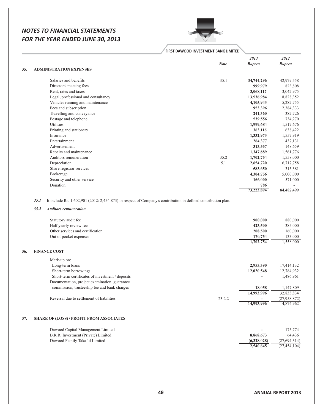

# FIRST DAWOOD INVESTMENT BANK LIMITED

| <b>Note</b><br>35.<br><b>ADMINISTRATION EXPENSES</b><br>35.1<br>Salaries and benefits<br>Directors' meeting fees<br>Rent, rates and taxes<br>Legal, professional and consultancy<br>Vehicles running and maintenance<br>Fees and subscription<br>Travelling and conveyance<br>Postage and telephone<br>Utilities<br>Printing and stationery<br>Insurance<br>Entertainment<br>Advertisement | <b>Rupees</b><br>34,744,296<br>999,979<br>3,068,117<br>13,536,984<br>4,105,943<br>953,396<br>241,360<br>539,556<br>1,999,684<br>363,116 | <b>Rupees</b><br>42,979,558<br>823,808<br>3,042,975 |
|--------------------------------------------------------------------------------------------------------------------------------------------------------------------------------------------------------------------------------------------------------------------------------------------------------------------------------------------------------------------------------------------|-----------------------------------------------------------------------------------------------------------------------------------------|-----------------------------------------------------|
|                                                                                                                                                                                                                                                                                                                                                                                            |                                                                                                                                         |                                                     |
|                                                                                                                                                                                                                                                                                                                                                                                            |                                                                                                                                         |                                                     |
|                                                                                                                                                                                                                                                                                                                                                                                            |                                                                                                                                         |                                                     |
|                                                                                                                                                                                                                                                                                                                                                                                            |                                                                                                                                         |                                                     |
|                                                                                                                                                                                                                                                                                                                                                                                            |                                                                                                                                         |                                                     |
|                                                                                                                                                                                                                                                                                                                                                                                            |                                                                                                                                         | 8,828,352                                           |
|                                                                                                                                                                                                                                                                                                                                                                                            |                                                                                                                                         | 5,282,755                                           |
|                                                                                                                                                                                                                                                                                                                                                                                            |                                                                                                                                         | 2,384,333                                           |
|                                                                                                                                                                                                                                                                                                                                                                                            |                                                                                                                                         | 382,726                                             |
|                                                                                                                                                                                                                                                                                                                                                                                            |                                                                                                                                         | 734,270                                             |
|                                                                                                                                                                                                                                                                                                                                                                                            |                                                                                                                                         | 1,517,676                                           |
|                                                                                                                                                                                                                                                                                                                                                                                            |                                                                                                                                         | 638,422                                             |
|                                                                                                                                                                                                                                                                                                                                                                                            | 1,332,973                                                                                                                               | 1,557,919                                           |
|                                                                                                                                                                                                                                                                                                                                                                                            | 264,377                                                                                                                                 | 437,131                                             |
|                                                                                                                                                                                                                                                                                                                                                                                            | 313,557                                                                                                                                 | 148,659                                             |
| Repairs and maintenance                                                                                                                                                                                                                                                                                                                                                                    | 1,347,889                                                                                                                               | 1,561,776                                           |
| Auditors remuneration<br>35.2                                                                                                                                                                                                                                                                                                                                                              | 1,702,754                                                                                                                               | 1,558,000                                           |
| Depreciation<br>5.1                                                                                                                                                                                                                                                                                                                                                                        | 2,654,720                                                                                                                               | 6,717,758                                           |
| Share registrar services                                                                                                                                                                                                                                                                                                                                                                   | 583,650                                                                                                                                 | 315,381                                             |
| <b>Brokerage</b>                                                                                                                                                                                                                                                                                                                                                                           | 4,304,756                                                                                                                               | 5,000,000                                           |
| Security and other service                                                                                                                                                                                                                                                                                                                                                                 | 166,000                                                                                                                                 | 571,000                                             |
| Donation                                                                                                                                                                                                                                                                                                                                                                                   |                                                                                                                                         |                                                     |
|                                                                                                                                                                                                                                                                                                                                                                                            | 786<br>73,223,894                                                                                                                       | 84,482,499                                          |
|                                                                                                                                                                                                                                                                                                                                                                                            |                                                                                                                                         |                                                     |
| 35.1<br>It include Rs. 1,602,901 (2012: 2,454,873) in respect of Company's contribution in defined contribution plan.                                                                                                                                                                                                                                                                      |                                                                                                                                         |                                                     |
| 35.2<br><b>Auditors remuneration</b>                                                                                                                                                                                                                                                                                                                                                       |                                                                                                                                         |                                                     |
| Statutory audit fee                                                                                                                                                                                                                                                                                                                                                                        | 900,000                                                                                                                                 | 880,000                                             |
| Half yearly review fee                                                                                                                                                                                                                                                                                                                                                                     | 423,500                                                                                                                                 | 385,000                                             |
| Other services and certification                                                                                                                                                                                                                                                                                                                                                           | 208,500                                                                                                                                 | 160,000                                             |
| Out of pocket expenses                                                                                                                                                                                                                                                                                                                                                                     | 170,754                                                                                                                                 | 133,000                                             |
|                                                                                                                                                                                                                                                                                                                                                                                            | 1,702,754                                                                                                                               | 1,558,000                                           |
| <b>FINANCE COST</b><br>36.                                                                                                                                                                                                                                                                                                                                                                 |                                                                                                                                         |                                                     |
|                                                                                                                                                                                                                                                                                                                                                                                            |                                                                                                                                         |                                                     |
| Mark-up on:                                                                                                                                                                                                                                                                                                                                                                                | 2,955,390                                                                                                                               |                                                     |
|                                                                                                                                                                                                                                                                                                                                                                                            |                                                                                                                                         | 17,414,132                                          |
| Long-term loans                                                                                                                                                                                                                                                                                                                                                                            |                                                                                                                                         |                                                     |
| Short-term borrowings                                                                                                                                                                                                                                                                                                                                                                      | 12,020,548                                                                                                                              | 12,784,932                                          |
| Short-term certificates of investment / deposits                                                                                                                                                                                                                                                                                                                                           |                                                                                                                                         | 1,486,961                                           |
| Documentation, project examination, guarantee                                                                                                                                                                                                                                                                                                                                              |                                                                                                                                         |                                                     |
| commission, trusteeship fee and bank charges                                                                                                                                                                                                                                                                                                                                               | 18,058                                                                                                                                  | 1,147,809                                           |
|                                                                                                                                                                                                                                                                                                                                                                                            | 14,993,996                                                                                                                              | 32,833,834                                          |
| Reversal due to settlement of liabilities<br>23.2.2                                                                                                                                                                                                                                                                                                                                        |                                                                                                                                         | (27,958,872)                                        |
|                                                                                                                                                                                                                                                                                                                                                                                            | 14,993,996                                                                                                                              | 4,874,962                                           |
| 37.<br><b>SHARE OF (LOSS) / PROFIT FROM ASSOCIATES</b>                                                                                                                                                                                                                                                                                                                                     |                                                                                                                                         |                                                     |
|                                                                                                                                                                                                                                                                                                                                                                                            |                                                                                                                                         |                                                     |
| Dawood Capital Management Limited                                                                                                                                                                                                                                                                                                                                                          |                                                                                                                                         | 175,774                                             |
| B.R.R. Investment (Private) Limited<br>Dawood Family Takaful Limited                                                                                                                                                                                                                                                                                                                       | 8,868,673<br>(6,328,028)                                                                                                                | 64,436<br>(27, 694, 314)                            |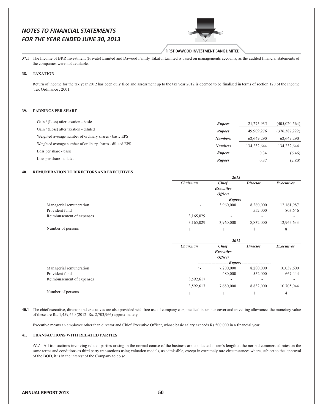

#### **FIRST DAWOOD INVESTMENT BANK LIMITED**

**37.1** The Income of BRR Investment (Private) Limited and Dawood Family Takaful Limited is based on managements accounts, as the audited financial statements of the companies were not available.

## 38. TAXATION

Return of income for the tax year 2012 has been duly filed and assessment up to the tax year 2012 is deemed to be finalised in terms of section 120 of the Income Tax Ordinance, 2001.

#### **39.** EARNINGS PER SHARE

| Gain / (Loss) after taxation - basic                     |                |             |                 |
|----------------------------------------------------------|----------------|-------------|-----------------|
|                                                          | <b>Rupees</b>  | 21,275,935  | (405, 020, 564) |
| Gain / (Loss) after taxation - diluted                   | <b>Rupees</b>  | 49,909,276  | (376, 387, 222) |
| Weighted average number of ordinary shares - basic EPS   | <b>Numbers</b> | 62,649,290  | 62,649,290      |
| Weighted average number of ordinary shares - diluted EPS | <b>Numbers</b> | 134,232,644 | 134.232.644     |
| Loss per share - basic                                   | <b>Rupees</b>  | 0.34        | (6.46)          |
| Loss per share - diluted                                 | <b>Rupees</b>  | 0.37        | (2.80)          |

#### 40. REMUNERATION TO DIRECTORS AND EXECUTIVES

|                           |                 | 2013             |                                    |                   |
|---------------------------|-----------------|------------------|------------------------------------|-------------------|
|                           | <b>Chairman</b> | <b>Chief</b>     | <b>Director</b>                    | <b>Executives</b> |
|                           |                 | <b>Executive</b> |                                    |                   |
|                           |                 | <b>Officer</b>   |                                    |                   |
|                           |                 |                  | ---- Rupees ---------------------  |                   |
| Managerial remuneration   |                 | 3,960,000        | 8,280,000                          | 12,161,987        |
| Provident fund            |                 |                  | 552,000                            | 803,646           |
| Reimbursement of expenses | 3,165,029       |                  |                                    |                   |
|                           | 3,165,029       | 3,960,000        | 8,832,000                          | 12,965,633        |
| Number of persons         |                 |                  |                                    | 8                 |
|                           |                 | 2012             |                                    |                   |
|                           | <b>Chairman</b> | <b>Chief</b>     | <b>Director</b>                    | <b>Executives</b> |
|                           |                 | <b>Executive</b> |                                    |                   |
|                           |                 | <b>Officer</b>   |                                    |                   |
|                           |                 |                  | <i>Rupees</i> -------------------- |                   |
| Managerial remuneration   |                 | 7,200,000        | 8,280,000                          | 10,037,600        |
| Provident fund            |                 | 480,000          | 552,000                            | 667,444           |
| Reimbursement of expenses | 3,592,617       |                  |                                    |                   |
|                           | 3,592,617       | 7,680,000        | 8,832,000                          | 10,705,044        |
| Number of persons         |                 |                  |                                    | 4                 |

40.1 The chief executive, director and executives are also provided with free use of company cars, medical insurance cover and travelling allowance, the monetary value of these are Rs. 1,459,650 (2012: Rs. 2,703,966) approximately.

Executive means an employee other than director and Chief Executive Officer, whose basic salary exceeds Rs.500,000 in a financial year.

#### 41. TRANSACTIONS WITH RELATED PARTIES

41.1 All transactions involving related parties arising in the normal course of the business are conducted at arm's length at the normal commercial rates on the same terms and conditions as third party transactions using valuation models, as admissible, except in extremely rare circumstances where, subject to the approval of the BOD, it is in the interest of the Company to do so.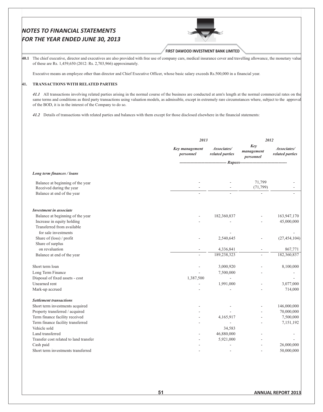Cash paid

Short term investments transferred



50.000.000

 $-26,000,000$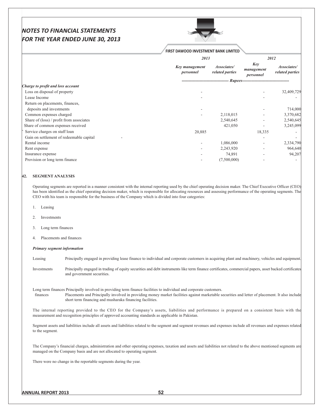

## FIRST DAWOOD INVESTMENT BANK LIMITED

|                                          | 2013                               |                                |                                 | 2012                           |
|------------------------------------------|------------------------------------|--------------------------------|---------------------------------|--------------------------------|
|                                          | <b>Key management</b><br>personnel | Associates/<br>related parties | Key<br>management<br>personnel  | Associates/<br>related parties |
|                                          |                                    |                                | Rupees------------------------- |                                |
| Charge to profit and loss account        |                                    |                                |                                 |                                |
| Loss on disposal of property             |                                    |                                |                                 | 32,409,729                     |
| Lease Income                             |                                    |                                |                                 |                                |
| Return on placements, finances,          |                                    |                                |                                 |                                |
| deposits and investments                 |                                    |                                |                                 | 714,000                        |
| Common expenses charged                  |                                    | 2,118,015                      |                                 | 3,370,682                      |
| Share of (loss) / profit from associates |                                    | 2,540,645                      |                                 | 2,540,645                      |
| Share of common expenses received        |                                    | 421,050                        |                                 | 3,245,099                      |
| Service charges on staff loan            | 20,885                             |                                | 18,335                          |                                |
| Gain on settlement of redeemable capital |                                    |                                |                                 |                                |
| Rental income                            |                                    | 1,086,000                      |                                 | 2,334,790                      |
| Rent expense                             |                                    | 2,243,920                      |                                 | 964,640                        |
| Insurance expense                        |                                    | 74,891                         |                                 | 94,207                         |
| Provision or long term finance           |                                    | (7,500,000)                    |                                 |                                |

#### 42. SEGMENT ANALYSIS

Operating segments are reported in a manner consistent with the internal reporting used by the chief operating decision maker. The Chief Executive Officer (CEO) has been identified as the chief operating decision maker, which is responsible for allocating resources and assessing performance of the operating segments. The CEO with his team is responsible for the business of the Company which is divided into four categories:

- Leasing 1.
- Investments  $\mathcal{D}$
- Long term finances
- Placements and finances  $\overline{4}$ .

#### Primary segment information

Leasing Principally engaged in providing lease finance to individual and corporate customers in acquiring plant and machinery, vehicles and equipment.

Principally engaged in trading of equity securities and debt instruments like term finance certificates, commercial papers, asset backed certificates Investments and government securities.

Long term finances Principally involved in providing term finance facilities to individual and corporate customers.

finances Placements and Principally involved in providing money market facilities against marketable securities and letter of placement. It also include short term financing and musharaka financing facilities.

The internal reporting provided to the CEO for the Company's assets, liabilities and performance is prepared on a consistent basis with the measurement and recognition principles of approved accounting standards as applicable in Pakistan.

Segment assets and liabilities include all assets and liabilities related to the segment and segment revenues and expenses include all revenues and expenses related to the segment.

The Company's financial charges, administration and other operating expenses, taxation and assets and liabilities not related to the above mentioned segments are managed on the Company basis and are not allocated to operating segment.

There were no change in the reportable segments during the year.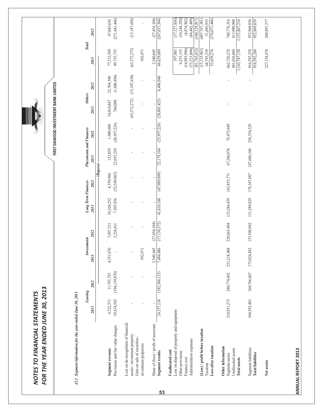|    | FOR THE YEAR ENDED JUNE 30, 2013<br>NOTES TO FINANCIAL STATEMENTS                                                             |                         |                               |                        |                                     |                                   |                             |                                 |                                      |                                  |                           |                                                              |                                                                   |
|----|-------------------------------------------------------------------------------------------------------------------------------|-------------------------|-------------------------------|------------------------|-------------------------------------|-----------------------------------|-----------------------------|---------------------------------|--------------------------------------|----------------------------------|---------------------------|--------------------------------------------------------------|-------------------------------------------------------------------|
|    | 42.1 Segment information for the year ended June 30, 2013                                                                     |                         |                               |                        |                                     |                                   |                             |                                 | FIRST DAWOOD INVESTMENT BANK LIMITED |                                  |                           |                                                              |                                                                   |
|    |                                                                                                                               | Leasing<br>2013         | 2012                          | Investments<br>2013    | 2012                                | <b>Long Term Finances</b><br>2013 | 2012                        | Placements and Finances<br>2013 | 2012                                 | <b>Others</b><br>2013            | 2012                      | <b>Total</b><br>2013                                         | 2012                                                              |
|    |                                                                                                                               |                         |                               |                        |                                     |                                   |                             | $\overline{-}$ (Rupees) –       |                                      |                                  |                           |                                                              |                                                                   |
|    | Provisions and fair value changes<br>Segment revenue                                                                          | 19,434,565<br>4,722,571 | (194, 159, 870)<br>11,793,755 | 4,351,070              | 7,097,321<br>3,226,411              | 7,505,936<br>34,104,252           | (52, 549, 865)<br>4,559,966 | 123,850<br>22,055,254           | (26,957,226)<br>$1,000,000$          | 760,000<br>34,010,847            | (1,000,896)<br>22,594,594 | 77,312,589<br>49,755,755                                     | (271, 441, 446)<br>47,045,636                                     |
|    | Loss on de-recognition of financial<br>assets / investment property                                                           |                         |                               |                        | ×,                                  |                                   |                             |                                 | $\mathbf{I}$                         | (63,572,272)                     | (15, 187, 650)            | (63,572,272)                                                 | (15, 187, 650)                                                    |
|    | Gain on sale of securities /<br>investment properties                                                                         |                         |                               | 592,971                |                                     |                                   |                             |                                 | ×                                    |                                  | $\mathbf{I}$              | 592,971                                                      |                                                                   |
| 53 | Share of (loss) / profit of associate<br>Segment results                                                                      | 24,157,136              | (182, 366, 115)               | 2,540,645<br>7,484,686 | $\frac{(27,454,104)}{(17,130,372)}$ | 41,610,188                        | (47,989,899)<br>J.          | 22,179,104<br>$\blacksquare$    | (25,957,226)<br>J.                   | (28, 801, 425)<br>$\blacksquare$ | 6,406,048                 | 2,540,645<br>66,629,689                                      | (27,454,104)<br>(267, 037, 564)                                   |
|    | Loss on disposal of porperty and equipment<br>Administration expenses<br>Unallocated cost<br>Other provisions<br>Finance cost |                         |                               |                        |                                     |                                   |                             |                                 |                                      |                                  |                           | (14,993,996)<br>(73,223,894)<br>6,255,155<br>197,083         | (34,244,520)<br>(84, 482, 499)<br>(17, 127, 836)<br>(4,874,962)   |
|    | (Loss) / profit before taxation<br>Loss after taxation<br>Taxation                                                            |                         |                               |                        |                                     |                                   |                             |                                 |                                      |                                  |                           | (81, 765, 652)<br>(15, 135, 963)<br>68,795,239<br>53,659,276 | (376,071,446)<br>(407, 767, 381)<br>(140, 729, 817)<br>31,695,935 |
|    | Other information<br>Unallocated assets<br>Segment assets<br><b>Total assets</b>                                              | 210,931,273             | 280,779,402                   | 251,218,488            | ,665,494<br>220,                    | 133,284,439                       | 163,855,771                 | 67,286,078                      | 75,475,649                           |                                  |                           | 662,720,278<br>481,026,860<br>1,143,747,138                  | 740,776,316<br>1,153,867,216<br>413,090,900                       |
|    | Segment liabilities<br><b>Total liabilities</b>                                                                               | 344,592,401             | 368,766,607                   | 173,024,482            | 155,500,942                         | 151,289,029                       | 174,347,087                 | 247,686,346                     | 254,354,220                          | $\mathbf{I}$                     | $\mathbf{I}$              | 916,592,258<br>916,592,260                                   | 952,968,856<br>952,969,839                                        |
|    | Net assets                                                                                                                    |                         |                               |                        |                                     |                                   |                             |                                 |                                      |                                  |                           | 227,154,878                                                  | 200,897,377                                                       |
|    |                                                                                                                               |                         |                               |                        |                                     |                                   |                             |                                 |                                      |                                  |                           |                                                              |                                                                   |
|    | <b>ANNUAL REPORT 2013</b>                                                                                                     |                         |                               |                        |                                     |                                   |                             |                                 |                                      |                                  |                           |                                                              |                                                                   |
|    |                                                                                                                               |                         |                               |                        |                                     |                                   |                             |                                 |                                      |                                  |                           |                                                              |                                                                   |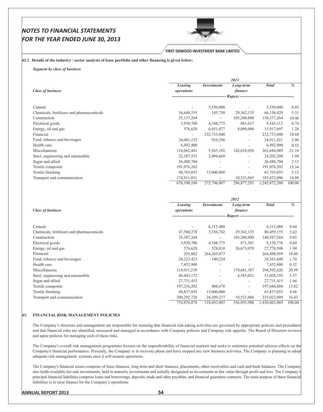

#### **FIRST DAWOOD INVESTMENT BANK LIMITED**

#### 42.2 Details of the industry / sector analysis of lease portfolio and other financing is given below:

**Segment by class of business** 

|                                            |              |                          | 2013                            |               |               |
|--------------------------------------------|--------------|--------------------------|---------------------------------|---------------|---------------|
|                                            | Leasing      | <i>Investments</i>       | Long-term                       | <b>Total</b>  | $\frac{0}{0}$ |
| <b>Class of business</b>                   | operations   |                          | <i>finance</i>                  |               |               |
|                                            |              |                          | Rupees ------------------------ |               |               |
| Cement                                     |              | 5,550,000                |                                 | 5,550,000     | 0.45          |
| Chemicals, fertilizers and pharmaceuticals | 36,648,535   | 145,750                  | 29, 362, 135                    | 66,156,420    | 5.31          |
| Construction                               | 25, 137, 264 |                          | 105,200,000                     | 130,337,264   | 10.46         |
| Electrical goods                           | 3,930,700    | 4,348,775                | 885,637                         | 9,165,112     | 0.74          |
| Energy, oil and gas                        | 576,620      | 6,451,077                | 8,890,000                       | 15,917,697    | 1.28          |
| Financial                                  |              | 232,733,048              | $\overline{\phantom{a}}$        | 232,733,048   | 18.68         |
| Food, tobacco and beverages                | 24,001,125   | 910,296                  | $\overline{\phantom{a}}$        | 24,911,421    | 2.00          |
| Health care                                | 6,492,900    |                          |                                 | 6,492,900     | 0.52          |
| Miscellaneous                              | 116,062,441  | 5,563,192                | 142,018,456                     | 263,644,089   | 21.16         |
| Steel, engineering and automobile          | 22, 107, 531 | 2,094,669                | $\overline{\phantom{a}}$        | 24, 202, 200  | 1.94          |
| Sugar and allied                           | 26,488,704   | $\overline{\phantom{a}}$ | $\overline{\phantom{a}}$        | 26,488,704    | 2.13          |
| Textile composite                          | 191,076,202  |                          | $\overline{\phantom{a}}$        | 191,076,202   | 15.34         |
| Textile finishing                          | 48,765,055   | 15,000,000               |                                 | 63,765,055    | 5.12          |
| Transport and communication                | 174,911,031  |                          | 10,521,065                      | 185,432,096   | 14.88         |
|                                            | 676,198,108  | 272,796,807              | 296,877,293                     | 1,245,872,208 | 100.00        |

|                                            |                   |                          | 2012                        |               |               |
|--------------------------------------------|-------------------|--------------------------|-----------------------------|---------------|---------------|
|                                            | Leasing           | <b>Investments</b>       | Long-term                   | <b>Total</b>  | $\frac{0}{0}$ |
| <b>Class of business</b>                   | <i>operations</i> |                          | finance                     |               |               |
|                                            |                   |                          | Rupees -------------------- |               |               |
| Cement                                     |                   | 6,315,480                |                             | 6,315,480     | 0.44          |
|                                            |                   |                          |                             |               |               |
| Chemicals, fertilizers and pharmaceuticals | 47,560,278        | 3,536,742                | 29, 362, 135                | 80,459,155    | 5.62          |
| Construction                               | 35, 387, 264      | $\overline{\phantom{a}}$ | 105,200,000                 | 140,587,264   | 9.83          |
| Electrical goods                           | 3,930,700         | 4,348,775                | 871,301                     | 9,150,776     | 0.64          |
| Energy, oil and gas                        | 576,620           | 528,810                  | 26,673,078                  | 27,778,508    | 1.94          |
| Financial                                  | 293,882           | 264, 205, 077            |                             | 264,498,959   | 18.49         |
| Food, tobacco and beverages                | 24, 223, 425      | 140,224                  | $\overline{\phantom{a}}$    | 24, 363, 649  | 1.70          |
| Health care                                | 7,452,900         |                          |                             | 7,452,900     | 0.52          |
| Miscellaneous                              | 114,911,239       | $\sim$                   | 179,681,387                 | 294,592,626   | 20.59         |
| Steel, engineering and automobile          | 46, 443, 172      |                          | 4,585,021                   | 51,028,193    | 3.57          |
| Sugar and allied                           | 27,731,415        | $\sim$                   | $\overline{\phantom{a}}$    | 27,731,415    | 1.94          |
| Textile composite                          | 197,236,202       | 408,678                  | $\overline{\phantom{a}}$    | 197,644,880   | 13.82         |
| Textile finishing                          | 48,837,055        | 15,000,000               |                             | 63,837,055    | 4.46          |
| Transport and communication                | 200, 292, 726     | 24, 209, 217             | 10,521,066                  | 235,023,009   | 16.43         |
|                                            | 754,876,878       | 318,693,003              | 356,893,988                 | 1,430,463,869 | 100.00        |

#### 43. FINANCIAL RISK MANAGEMENT POLICIES

The Company's directors and management are responsible for ensuring that financial risk-taking activities are governed by appropriate policies and procedures and that financial risks are identified, measured and managed in accordance with Company policies and Company risk appetite. The Board of Directors reviews and agree policies for managing each of these risks.

The Company's overall risk management programme focuses on the unpredictability of financial markets and seeks to minimize potential adverse effects on the Company's financial performance. Presently, the Company is in recovery phase and have stopped any new business activities. The Company is planning to adopt adequate risk management systems once it will resume operations.

The Company's financial assets comprise of lease finances, long term and short finances, placements, other receivables and cash and bank balances. The Company also holds available-for-sale investments, held to maturity investments and initially designated as investments at fair value through profit and loss. The Company's principal financial liabilities comprise loans and borrowings, deposits, trade and other payables, and financial guarantee contracts. The main purpose of these financial liabilities is to raise finance for the Company's operations.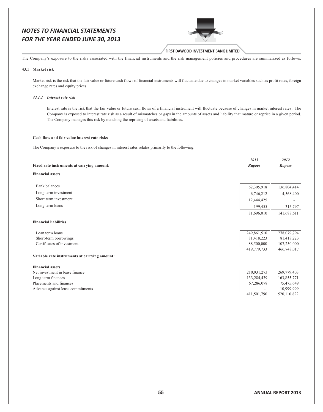**FIRST DAWOOD INVESTMENT BANK LIMITED** 

The Company's exposure to the risks associated with the financial instruments and the risk management policies and procedures are summarized as follows:

#### 43.1 Market risk

Market risk is the risk that the fair value or future cash flows of financial instruments will fluctuate due to changes in market variables such as profit rates, foreign exchange rates and equity prices.

#### 43.1.1 Interest rate risk

Interest rate is the risk that the fair value or future cash flows of a financial instrument will fluctuate because of changes in market interest rates. The Company is exposed to interest rate risk as a result of mismatches or gaps in the amounts of assets and liability that mature or reprice in a given period. The Company manages this risk by matching the reprising of assets and liabilities.

## Cash flow and fair value interest rate risks

The Company's exposure to the risk of changes in interest rates relates primarily to the following:

|                                               | 2013          | 2012          |
|-----------------------------------------------|---------------|---------------|
| Fixed rate instruments at carrying amount:    | <b>Rupees</b> | <b>Rupees</b> |
| <b>Financial assets</b>                       |               |               |
|                                               |               |               |
| <b>Bank</b> balances                          | 62,305,918    | 136,804,414   |
| Long term investment                          | 6,746,212     | 4,568,400     |
| Short term investment                         | 12,444,425    |               |
| Long term loans                               | 199,455       | 315,797       |
|                                               | 81,696,010    | 141,688,611   |
| <b>Financial liabilities</b>                  |               |               |
|                                               |               |               |
| Loan term loans                               | 249,861,510   | 278,079,794   |
| Short-term borrowings                         | 81,418,223    | 81,418,223    |
| Certificates of investment                    | 88,500,000    | 107,250,000   |
|                                               | 419,779,733   | 466,748,017   |
| Variable rate instruments at carrying amount: |               |               |
| <b>Financial assets</b>                       |               |               |
| Net investment in lease finance               | 210,931,273   | 269,779,403   |
| Long term finances                            | 133,284,439   | 163,855,771   |
| Placements and finances                       | 67,286,078    | 75,475,649    |
| Advance against lease commitments             |               | 10,999,999    |
|                                               | 411,501,790   | 520,110,822   |
|                                               |               |               |
|                                               |               |               |
|                                               |               |               |
|                                               |               |               |
|                                               |               |               |
|                                               |               |               |
|                                               |               |               |
|                                               |               |               |
|                                               |               |               |
|                                               |               |               |
|                                               |               |               |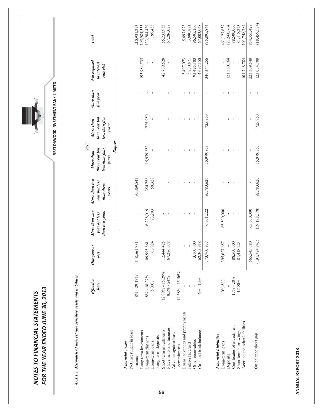| 43.1.1.1 Mismatch of interest rate sensitive assets and liabilities |                             |                       |                                                  |                                                       |                                                                          | FIRST DAWOOD INVESTMENT BANK LIMITED                  |                                |                                         |                        |
|---------------------------------------------------------------------|-----------------------------|-----------------------|--------------------------------------------------|-------------------------------------------------------|--------------------------------------------------------------------------|-------------------------------------------------------|--------------------------------|-----------------------------------------|------------------------|
|                                                                     | Effective<br>Rate           | One year or<br>less   | More than one<br>than two years<br>year but less | More than two<br>year but less<br>than three<br>years | Rupees<br>2013<br>three year but<br>less than four<br>More than<br>years | four year but<br>less than five<br>More than<br>years | More than<br>five year         | Not exposed<br>to interest<br>rate risk | <b>Total</b>           |
| Net investment in lease<br><b>Financial Assets</b>                  |                             |                       |                                                  |                                                       |                                                                          |                                                       |                                |                                         |                        |
| finance                                                             | $8\% - 29.17\%$             | 118,561,731           | ı                                                | 92,369,542                                            | ı                                                                        | $\blacksquare$                                        |                                |                                         | 210,931,273            |
| Long term investments                                               |                             |                       |                                                  |                                                       |                                                                          |                                                       | $\sim 1$                       | 195,984,535                             | 195,984,535            |
| Long-term finances                                                  | $8\% - 18.27\%$<br>$5.00\%$ | 66,924<br>109,995,861 | 6,228,019<br>73,203                              | 354,756<br>59,328                                     | 15,979,853                                                               | 725,950                                               | $\sim 10-10-10$                |                                         | 133,284,439<br>199,455 |
| Long term deposits<br>Long-term loans                               |                             |                       | $\mathbf{I}$                                     | $\mathbf{I}$                                          |                                                                          | $\mathbf{I}$                                          |                                |                                         |                        |
| Short term investments                                              | $12.99\% - 15.29\%$         | 12,444,425            | $\mathbf{I}$                                     |                                                       |                                                                          |                                                       |                                | 42,789,528                              | 55,233,953             |
| Placements and finances                                             | $8.5\% - 24\%$              | 67,286,078            | $\blacksquare$                                   |                                                       |                                                                          |                                                       | $\mathbf{I}$                   |                                         | 67,286,078             |
| Advance against lease<br>commitments                                | $14.38\% - 15.56\%$         |                       | $\mathbf{I}$                                     |                                                       | $\mathbf I$                                                              | $\mathbf{I}$                                          |                                |                                         |                        |
| Loans, advances and prepayments                                     |                             |                       | $\mathbf{L}$                                     | $\mathbf{I}$                                          | $\sim$ 1 $\sim$                                                          | $\mathbf{L}$                                          | <b>The Committee Committee</b> | 5,497,073                               | 5,497,073              |
| Interest accrued                                                    |                             |                       | $\mathbf{I}$                                     | $\mathbf{H}=\mathbf{H}+\mathbf{H}$                    | $\mathbf{1}$                                                             |                                                       |                                | 3,880,871                               | 3,880,871              |
| Other receivables                                                   |                             | 3,100,000             | $\blacksquare$                                   |                                                       | $\blacksquare$                                                           | $\mathbf{1}=\mathbf{1}$                               |                                | 93,495,100                              | 96,595,100             |
| Cash and bank balances                                              | $6\% - 13\%$                | 62,305,918            |                                                  |                                                       |                                                                          |                                                       |                                | 4,697,150                               | 67,003,068             |
|                                                                     |                             | 373,760,937           | 6,301,222                                        | 92,783,626                                            | 15,979,853                                                               | 725,950                                               | $\mathbf{I}$                   | 346,344,256                             | 835,895,844            |
| <b>Financial Liabilities</b>                                        |                             |                       |                                                  |                                                       |                                                                          |                                                       |                                |                                         |                        |
| Long-term loans                                                     | $0\% - 5\%$                 | 395,627,657           | 65,500,000                                       |                                                       |                                                                          |                                                       |                                |                                         | 461,127,657            |
| Deposits                                                            |                             |                       |                                                  | $\mathbf{I}$                                          | $\blacksquare$                                                           | T,                                                    | <b>The Committee Committee</b> | 121,560,764                             | 121,560,764            |
| Certificates of investment                                          | $17% - 20%$                 | 88,500,000            |                                                  | $\mathbf{1}$                                          | $\mathbf{I}$                                                             | $\mathbf{1}$                                          |                                |                                         | 88,500,000             |
| Short-term borrowings                                               | $17.00\%$                   | 81,418,223            |                                                  | $\sim 1$                                              | $\sim 1$                                                                 | $\sim 10^{-1}$                                        |                                |                                         | 81,418,223             |
| Accrued and other liabilities                                       |                             |                       |                                                  |                                                       | $\overline{\phantom{a}}$                                                 | $\blacksquare$                                        |                                | 101,748,784                             | 101,748,784            |
|                                                                     |                             | 565,545,880           | 65,500,000                                       |                                                       |                                                                          |                                                       | $\mathbf{L}_{\mathrm{max}}$    | 223,309,548                             | 854,355,428            |
| On balance sheet gap                                                |                             | (191, 784, 943)       | (59, 198, 778)                                   | 92,783,626                                            | 15,979,853                                                               | 725,950                                               | $\sim$ 1                       | 123,034,708                             | (18, 459, 584)         |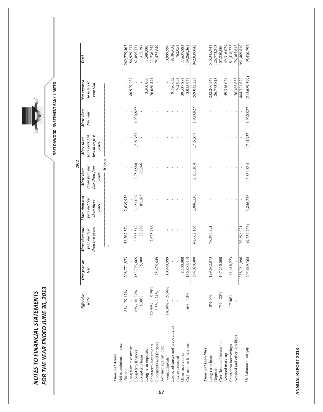| FOR THE YEAR ENDED JUNE 30, 2013<br>NOTES TO FINANCIAL STATEMENTS |                             |                       |                                                     |                                                       |                                                                          |                                                       | FIRST DAWOOD INVESTMENT BANK LIMITED |                                         |                        |
|-------------------------------------------------------------------|-----------------------------|-----------------------|-----------------------------------------------------|-------------------------------------------------------|--------------------------------------------------------------------------|-------------------------------------------------------|--------------------------------------|-----------------------------------------|------------------------|
|                                                                   | Effective<br>Rate           | One year or<br>less   | than one<br>than two years<br>year but less<br>More | More than two<br>year but less<br>than three<br>years | Rupees<br>2012<br>three year but<br>less than four<br>More than<br>years | four year but<br>less than five<br>More than<br>years | More than<br>five year               | Not exposed<br>to interest<br>rate risk | Total                  |
| Net investment in lease<br><b>Financial Assets</b>                |                             |                       | $\mathbf{i}$<br>$\bar{1}$                           |                                                       |                                                                          |                                                       |                                      |                                         |                        |
| finance                                                           | $8\% - 29.17\%$             | 208,771,873           | 58,367,574                                          | 2,639,956                                             |                                                                          |                                                       |                                      |                                         | 269,779,403            |
| Long term investment                                              |                             |                       |                                                     |                                                       |                                                                          |                                                       |                                      | 186,929,237                             | 186,929,237            |
| Long-term finances<br>Long-term loans                             | $8\% - 18.27\%$<br>$5.00\%$ | 153,793,465<br>75,000 | 2,535,517<br>83,288                                 | 1,121,017<br>85,263                                   | 72,246<br>2,759,588                                                      | 1,715,357                                             | 1,930,827                            |                                         | 315,797<br>163,855,771 |
| Long term deposits                                                |                             |                       |                                                     |                                                       |                                                                          |                                                       | $\mathbf{I}$                         | 3,500,000                               | 3,500,000              |
| Short term investments                                            | $12.99\% - 15.29\%$         |                       | 7,675,786                                           |                                                       | $\blacksquare$                                                           |                                                       |                                      | 26,060,471                              | 33,736,257             |
| Placements and finances                                           | $8.5\% - 24\%$              | 75,475,649            |                                                     |                                                       | $\blacksquare$                                                           |                                                       | $\overline{\phantom{a}}$             |                                         | 75,475,649             |
| Advance against lease<br>commitments                              | $14.38\% - 15.56\%$         | 10,999,999            |                                                     |                                                       | $\mathbf I$                                                              | $\mathbf{I}$                                          | $\mathbf{I}$                         |                                         | 10,999,999             |
| Loans, advances and prepayments                                   |                             |                       |                                                     | $\mathbf I$                                           | $\mathbf I$                                                              |                                                       | $\mathbf{I}$                         | 9,186,632                               | 9,186,632              |
| Interest accrued                                                  |                             |                       | $\mathbf{I}$                                        | $\mathbf{I}$                                          | $\mathbf{I}$                                                             |                                                       | $\blacksquare$                       | 762,053                                 | 762,053                |
| Other receivables                                                 |                             | 8,100,000             | $\blacksquare$                                      |                                                       |                                                                          |                                                       | $\mathbf{I}$                         | 39,537,883                              | 47,637,883             |
| Cash and bank balances                                            | $6\% - 13\%$                | 136,804,414           |                                                     |                                                       |                                                                          |                                                       |                                      | 3,055,947                               | 139,860,361            |
|                                                                   |                             | 594,020,400           | 68,662,165                                          | 3,846,236                                             | 2,831,834                                                                | 1,715,357                                             | 1,930,827                            | 269,032,223                             | 942,039,042            |
| <b>Financial Liabilities</b><br>Long-term loans                   | $0\% - 5\%$                 | 199,682,873           | 78,396,921                                          |                                                       |                                                                          |                                                       |                                      | 232,266,147                             | 510,345,941            |
| Deposits                                                          |                             |                       |                                                     |                                                       |                                                                          |                                                       |                                      | 126,773,813                             | 126,773,813            |
| Certificates of investment                                        | $17\% - 20\%$               | 107,250,000           |                                                     | $\mathbf I$                                           | $\blacksquare$                                                           |                                                       | $\mathbf{I}$                         |                                         | 107,250,000            |
| Accrued mark-up                                                   |                             |                       | $\mathbf{I}$                                        | $\mathbf{I}$                                          | $\mathbf{I}$                                                             | $\mathbf{I}$                                          | $\mathbf{I}$                         | 49,316,029                              | 49,316,029             |
| Short-term borrowings                                             | $17.00\%$                   | 81,418,223            | $\mathbf{I}$                                        | $\blacksquare$                                        | $\mathbf{I}$                                                             | $\mathbf{I}$                                          | $\mathbf{I}$                         |                                         | 81,418,223             |
| Accrued and other liabilities                                     |                             |                       |                                                     | $\blacksquare$                                        |                                                                          | $\mathbf I$                                           | $\blacksquare$                       | 76,365,833                              | 76,365,833             |
|                                                                   |                             | 388,351,096           | 78,396,921                                          |                                                       |                                                                          |                                                       |                                      | 484,721,822                             | 951,469,839            |
| On balance sheet gap                                              |                             | 205,669,304           | (9, 734, 756)                                       | 3,846,236                                             | 2,831,834                                                                | 1,715,357                                             | 1,930,827                            | (215,689,599)                           | (9,430,797)            |

**ADNNA LREPO** RT 2013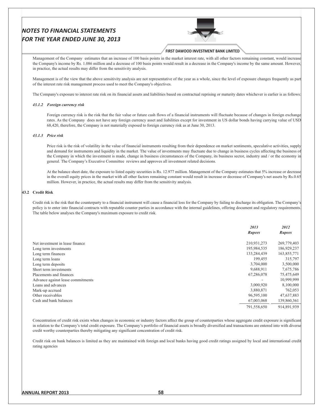

#### FIRST DAWOOD INVESTMENT BANK LIMITED

Management of the Company estimates that an increase of 100 basis points in the market interest rate, with all other factors remaining constant, would increase the Company's income by Rs. 1.086 million and a decrease of 100 basis points would result in a decrease in the Company's income by the same amount. However, in practice, the actual results may differ from the sensitivity analysis.

Management is of the view that the above sensitivity analysis are not representative of the year as a whole, since the level of exposure changes frequently as part of the interest rate risk management process used to meet the Company's objectives.

The Company's exposure to interest rate risk on its financial assets and liabilities based on contractual reprising or maturity dates whichever is earlier is as follows:

#### 43.1.2 Foreign currency risk

Foreign currency risk is the risk that the fair value or future cash flows of a financial instruments will fluctuate because of changes in foreign exchange rates. As the Company does not have any foreign currency asset and liabilities except for investment in US dollar bonds having carrying value of USD 68,420, therefore, the Company is not materially exposed to foreign currency risk as at June 30, 2013.

#### 43.1.3 Price risk

Price risk is the risk of volatility in the value of financial instruments resulting from their dependence on market sentiments, speculative activities, supply and demand for instruments and liquidity in the market. The value of investments may fluctuate due to change in business cycles affecting the business of the Company in which the investment is made, change in business circumstances of the Company, its business sector, industry and / or the economy in general. The Company's Executive Committee reviews and approves all investment related decisions.

At the balance sheet date, the exposure to listed equity securities is Rs. 12.977 million. Management of the Company estimates that 5% increase or decrease in the overall equity prices in the market with all other factors remaining constant would result in increase or decrease of Company's net assets by Rs.0.65 million. However, in practice, the actual results may differ from the sensitivity analysis.

#### 43.2 Credit Risk

Credit risk is the risk that the counterparty to a financial instrument will cause a financial loss for the Company by failing to discharge its obligation. The Company's policy is to enter into financial contracts with reputable counter parties in accordance with the internal guidelines, offering document and regulatory requirements. The table below analyses the Company's maximum exposure to credit risk.

|                                   | 2013<br><b>Rupees</b> | 2012<br><b>Rupees</b> |
|-----------------------------------|-----------------------|-----------------------|
| Net investment in lease finance   | 210,931,273           | 269,779,403           |
| Long term investments             | 195,984,535           | 186,929,237           |
| Long term finances                | 133,284,439           | 163,855,771           |
| Long term loans                   | 199,455               | 315,797               |
| Long term deposits                | 3,704,000             | 3,500,000             |
| Short term investments            | 9,688,911             | 7,675,786             |
| Placements and finances           | 67,286,078            | 75,475,649            |
| Advance against lease commitments | ۰                     | 10,999,999            |
| Loans and advances                | 3,000,920             | 8,100,000             |
| Mark-up accrued                   | 3,880,871             | 762,053               |
| Other receivables                 | 96,595,100            | 47,637,883            |
| Cash and bank balances            | 67,003,068            | 139,860,361           |
|                                   | 791,558,650           | 914,891,939           |

Concentration of credit risk exists when changes in economic or industry factors affect the group of counterparties whose aggregate credit exposure is significant in relation to the Company's total credit exposure. The Company's portfolio of financial assets is broadly diversified and transactions are entered into with diverse credit worthy counterparties thereby mitigating any significant concentration of credit risk.

Credit risk on bank balances is limited as they are maintained with foreign and local banks having good credit ratings assigned by local and international credit rating agencies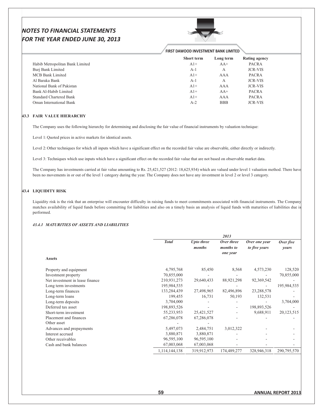

|                                 | <b>FIRST DAWOOD INVESTMENT BANK LIMITED</b> |            |                |  |
|---------------------------------|---------------------------------------------|------------|----------------|--|
|                                 | <b>Short term</b>                           | Long term  | Rating agency  |  |
| Habib Metropolitan Bank Limited | $A1+$                                       | $AA+$      | <b>PACRA</b>   |  |
| Burj Bank Limited               | $A-1$                                       | А          | <b>JCR-VIS</b> |  |
| MCB Bank Limited                | $A1+$                                       | AAA        | <b>PACRA</b>   |  |
| Al Baraka Bank                  | A-1                                         | A          | <b>JCR-VIS</b> |  |
| National Bank of Pakistan       | $A1+$                                       | AAA        | <b>JCR-VIS</b> |  |
| Bank Al-Habib Limited           | $A1+$                                       | $AA+$      | <b>PACRA</b>   |  |
| <b>Standard Chartered Bank</b>  | $A1+$                                       | AAA        | <b>PACRA</b>   |  |
| Oman International Bank         | $A-2$                                       | <b>BBB</b> | <b>JCR-VIS</b> |  |

#### **43.3 FAIR VALUE HIERARCHY**

The Company uses the following hierarchy for determining and disclosing the fair value of financial instruments by valuation technique:

Level 1: Quoted prices in active markets for identical assets.

Level 2: Other techniques for which all inputs which have a significant effect on the recorded fair value are observable, either directly or indirectly.

Level 3: Techniques which use inputs which have a significant effect on the recorded fair value that are not based on observable market data.

The Company has investments carried at fair value amounting to Rs. 25,421,527 (2012: 18,625,934) which are valued under level 1 valuation method. There have been no movements in or out of the level 1 category during the year. The Company does not have any investment in level 2 or level 3 category.

## 43.4 LIQUIDITY RISK

Liquidity risk is the risk that an enterprise will encounter difficulty in raising funds to meet commitments associated with financial instruments. The Company matches availability of liquid funds before committing for liabilities and also on a timely basis an analysis of liquid funds with maturities of liabilities due is performed.

#### *43.4.1 MATURITIES OF ASSETS AND LIABILITIES*

|                                 |               |                      | 2013                    |                                |                    |
|---------------------------------|---------------|----------------------|-------------------------|--------------------------------|--------------------|
|                                 | <b>Total</b>  | Upto three<br>months | Over three<br>months to | Over one year<br>to five years | Over five<br>years |
| <b>Assets</b>                   |               |                      | one year                |                                |                    |
| Property and equipment          | 4,795,768     | 85,450               | 8,568                   | 4,573,230                      | 128,520            |
| Investment property             | 70,855,000    |                      |                         |                                | 70,855,000         |
| Net investment in lease finance | 210,931,273   | 29,640,433           | 88,921,298              | 92,369,542                     |                    |
| Long term investments           | 195,984,535   |                      |                         |                                | 195,984,535        |
| Long-term finances              | 133,284,439   | 27,498,965           | 82,496,896              | 23,288,578                     |                    |
| Long-term loans                 | 199,455       | 16,731               | 50,193                  | 132,531                        |                    |
| Long-term deposits              | 3,704,000     |                      |                         |                                | 3,704,000          |
| Deferred tax asset              | 198,893,526   |                      | ۰                       | 198,893,526                    |                    |
| Short-term investment           | 55,233,953    | 25,421,527           |                         | 9,688,911                      | 20,123,515         |
| Placement and finances          | 67,286,078    | 67,286,078           |                         |                                |                    |
| Other asset                     |               |                      |                         |                                |                    |
| Advances and prepayments        | 5,497,073     | 2,484,751            | 3,012,322               |                                |                    |
| Interest accrued                | 3,880,871     | 3,880,871            |                         |                                |                    |
| Other receivables               | 96,595,100    | 96,595,100           |                         |                                |                    |
| Cash and bank balances          | 67,003,068    | 67,003,068           |                         |                                |                    |
|                                 | 1,114,144,138 | 319,912,973          | 174,489,277             | 328,946,318                    | 290,795,570        |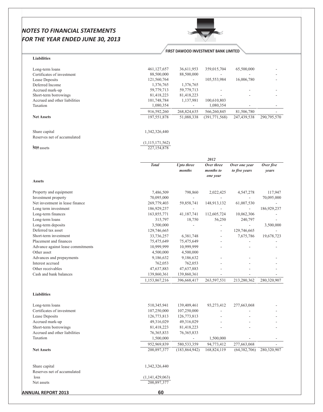

#### **FIRST DAWOOD INVESTMENT BANK LIMITED**

## Liabilities

| Long-term loans                                        | 461,127,657                  | 36,611,953                  | 359,015,704              | 65,500,000     |              |
|--------------------------------------------------------|------------------------------|-----------------------------|--------------------------|----------------|--------------|
| Certificates of investment                             | 88,500,000                   | 88,500,000                  |                          |                |              |
| Lease Deposits                                         | 121,560,764                  | $\sim$                      | 105,553,984              | 16,006,780     |              |
| Deferred Income                                        | 1,376,765                    | 1,376,765                   |                          |                |              |
| Accrued mark-up                                        | 59,779,713                   | 59,779,713                  |                          |                |              |
| Short-term borrowings<br>Accrued and other liabilities | 81,418,223<br>101,748,784    | 81,418,223                  | 100,610,803              |                |              |
| Taxation                                               | 1,080,354                    | 1,137,981<br>$\sim$         | 1,080,354                |                |              |
|                                                        | 916,592,260                  | 268,824,635                 | 566,260,845              | 81,506,780     |              |
| <b>Net Assets</b>                                      | 197,551,878                  | 51,088,338                  | (391,771,568)            | 247,439,538    | 290,795,570  |
| Share capital                                          | 1,342,326,440                |                             |                          |                |              |
| Reserves net of accumulated                            |                              |                             |                          |                |              |
|                                                        | (1,115,171,562)              |                             |                          |                |              |
| <b>Nee</b> assets                                      | 227,154,878                  |                             |                          |                |              |
|                                                        |                              |                             | 2012                     |                |              |
|                                                        | <b>Total</b>                 | <b>Upto three</b>           | Over three               | Over one year  | Over five    |
|                                                        |                              | months                      | months to<br>one year    | to five years  | years        |
| <b>Assets</b>                                          |                              |                             |                          |                |              |
| Property and equipment                                 | 7,486,509                    | 798,860                     | 2,022,425                | 4,547,278      | 117,947      |
| Investment property                                    | 70,095,000                   | $\overline{\phantom{a}}$    | $\overline{\phantom{a}}$ | $\sim$         | 70,095,000   |
| Net investment in lease finance                        | 269,779,403                  | 59,858,741                  | 148,913,132              | 61,007,530     | $\mathbf{r}$ |
| Long term investment                                   | 186,929,237                  | $\blacksquare$              | $\overline{\phantom{a}}$ | ÷.             | 186,929,237  |
| Long-term finances                                     | 163,855,771                  | 41,187,741                  | 112,605,724              | 10,062,306     |              |
| Long-term loans                                        | 315,797                      | 18,750                      | 56,250                   | 240,797        |              |
| Long-term deposits                                     | 3,500,000                    | $\mathcal{L}_{\mathcal{A}}$ | ÷.                       | $\sim$         | 3,500,000    |
| Deferred tax asset                                     | 129,746,665                  |                             |                          | 129,746,665    |              |
| Short-term investment                                  | 33,736,257                   | 6,381,748                   | $\overline{\phantom{a}}$ | 7,675,786      | 19,678,723   |
| Placement and finances                                 | 75,475,649                   | 75,475,649                  | $\overline{\phantom{a}}$ | L.             |              |
| Advance against lease commitments                      | 10,999,999                   | 10,999,999                  |                          |                |              |
| Other asset                                            | 4,500,000                    | 4,500,000                   |                          |                |              |
| Advances and prepayments                               | 9,186,632                    | 9,186,632                   |                          |                |              |
| Interest accrued<br>Other receivables                  | 762,053                      | 762,053                     |                          |                |              |
| Cash and bank balances                                 | 47,637,883                   | 47,637,883                  |                          |                |              |
|                                                        | 139,860,361<br>1,153,867,216 | 139,860,361<br>396,668,417  | $\sim$<br>263,597,531    | 213,280,362    | 280,320,907  |
|                                                        |                              |                             |                          |                |              |
| <b>Liabilities</b>                                     |                              |                             |                          |                |              |
| Long-term loans                                        | 510,345,941                  | 139,409,461                 | 93,273,412               | 277,663,068    |              |
| Certificates of investment                             | 107,250,000                  | 107,250,000                 |                          |                |              |
| Lease Deposits                                         | 126,773,813                  | 126,773,813                 |                          |                |              |
| Accrued mark-up                                        | 49,316,029                   | 49,316,029                  |                          |                |              |
| Short-term borrowings                                  | 81,418,223                   | 81,418,223                  |                          |                |              |
| Accrued and other liabilities                          | 76, 365, 833                 | 76, 365, 833                |                          |                |              |
| Taxation                                               | 1,500,000                    | $\sim$                      | 1,500,000                |                |              |
|                                                        | 952,969,839                  | 580, 533, 359               | 94,773,412               | 277,663,068    |              |
| <b>Net Assets</b>                                      | 200,897,377                  | (183, 864, 942)             | 168,824,119              | (64, 382, 706) | 280,320,907  |
| Share capital                                          | 1,342,326,440                |                             |                          |                |              |
| Reserves net of accumulated                            |                              |                             |                          |                |              |
| loss                                                   | (1,141,429,063)              |                             |                          |                |              |
| Net assets                                             | 200,897,377                  |                             |                          |                |              |
| <b>ANNUAL REPORT 2013</b>                              | 60                           |                             |                          |                |              |
|                                                        |                              |                             |                          |                |              |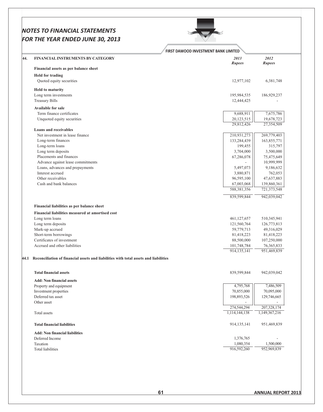#### **NO** *-* **TEMENTS FOR**

| FOR THE YEAR ENDED JUNE 30, 2013                                                     |                                      |                             |
|--------------------------------------------------------------------------------------|--------------------------------------|-----------------------------|
|                                                                                      | FIRST DAWOOD INVESTMENT BANK LIMITED |                             |
| <b>FINANCIAL INSTRUMENTS BY CATEGORY</b>                                             | 2013<br>Rupees                       | 2012<br><b>Rupees</b>       |
| Financial assets as per balance sheet                                                |                                      |                             |
| <b>Held for trading</b>                                                              |                                      |                             |
| Quoted equity securities                                                             | 12,977,102                           | 6,381,748                   |
| <b>Held to maturity</b>                                                              |                                      |                             |
| Long term investments                                                                | 195,984,535                          | 186,929,237                 |
| <b>Treasury Bills</b>                                                                | 12,444,425                           |                             |
| <b>Available for sale</b>                                                            |                                      |                             |
| Term finance certificates                                                            | 9,688,911                            | 7,675,786                   |
| Unquoted equity securities                                                           | 20,123,515                           | 19,678,723                  |
| <b>Loans and receivables</b>                                                         | 29,812,426                           | 27,354,509                  |
| Net investment in lease finance                                                      | 210,931,273                          | 269,779,403                 |
| Long-term finances                                                                   | 133,284,439                          | 163,855,771                 |
| Long-term loans                                                                      | 199,455                              | 315,797                     |
| Long term deposits                                                                   | 3,704,000                            | 3,500,000                   |
| Placements and finances<br>Advance against lease commitments                         | 67,286,078                           | 75,475,649<br>10,999,999    |
| Loans, advances and prepayments                                                      | 5,497,073                            | 9,186,632                   |
| Interest accrued                                                                     | 3,880,871                            | 762,053                     |
| Other receivables                                                                    | 96,595,100                           | 47,637,883                  |
| Cash and bank balances                                                               | 67,003,068                           | 139,860,361                 |
|                                                                                      | 588,381,356                          | 721,373,548                 |
|                                                                                      | 839,599,844                          | 942,039,042                 |
| Financial liabilities as per balance sheet                                           |                                      |                             |
| Financial liabilities measured at amortised cost                                     |                                      |                             |
| Long term loans                                                                      | 461,127,657                          | 510,345,941                 |
| Long term deposits                                                                   | 121,560,764                          | 126,773,813                 |
| Mark-up accrued                                                                      | 59,779,713                           | 49,316,029                  |
| Short-term borrowings<br>Certificates of investment                                  | 81,418,223                           | 81,418,223                  |
| Accrued and other liabilities                                                        | 88,500,000<br>101,748,784            | 107,250,000<br>76, 365, 833 |
|                                                                                      | 914,135,141                          | 951,469,839                 |
| Reconciliation of financial assets and liabilities with total assets and liabilities |                                      |                             |
| <b>Total financial assets</b>                                                        | 839,599,844                          | 942,039,042                 |
| <b>Add: Non financial assets</b>                                                     |                                      |                             |
| Property and equipment                                                               | 4,795,768                            | 7,486,509                   |
| Investment properties                                                                | 70,855,000                           | 70,095,000                  |
| Deferred tax asset                                                                   | 198,893,526                          | 129,746,665                 |
| Other asset                                                                          | 274,544,294                          | 207,328,174                 |
| Total assets                                                                         | 1,114,144,138                        | 1,149,367,216               |
|                                                                                      |                                      |                             |
| <b>Total financial liabilities</b>                                                   | 914,135,141                          | 951,469,839                 |
| <b>Add: Non financial liabilities</b>                                                |                                      |                             |
| Deferred Income                                                                      | 1,376,765                            |                             |
| Taxation                                                                             | 1,080,354                            | 1,500,000                   |
| <b>Total liabilities</b>                                                             | 916,592,260                          | 952,969,839                 |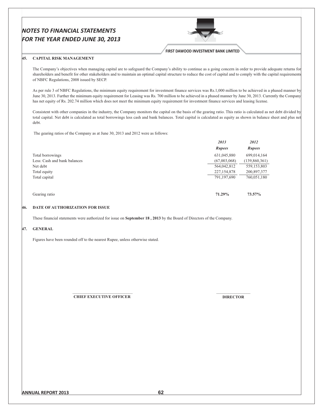

**FIRST DAWOOD INVESTMENT BANK LIMITED** 

 $\cdots$ 

 $\sum_{i=1}^{n} a_i$ 

#### 45. CAPITAL RISK MANAGEMENT

The Company's objectives when managing capital are to safeguard the Company's ability to continue as a going concern in order to provide adequate returns for shareholders and benefit for other stakeholders and to maintain an optimal capital structure to reduce the cost of capital and to comply with the capital requirements of NBFC Regulations, 2008 issued by SECP.

As per rule 3 of NBFC Regulations, the minimum equity requirement for investment finance services was Rs.1,000 million to be achieved in a phased manner by June 30, 2013. Further the minimum equity requirement for Leasing was Rs. 700 million to be achieved in a phased manner by June 30, 2013. Currently the Company has net equity of Rs. 202.74 million which does not meet the minimum equity requirement for investment finance services and leasing license.

Consistent with other companies in the industry, the Company monitors the capital on the basis of the gearing ratio. This ratio is calculated as net debt divided by total capital. Net debt is calculated as total borrowings less cash and bank balances. Total capital is calculated as equity as shown in balance sheet and plus net debt.

The gearing ratios of the Company as at June 30, 2013 and 2012 were as follows:

|                              | <i><b>4013</b></i> | 2012          |
|------------------------------|--------------------|---------------|
|                              | <b>Rupees</b>      | <b>Rupees</b> |
| Total borrowings             | 631,045,880        | 699,014,164   |
| Less: Cash and bank balances | (67,003,068)       | (139,860,361) |
| Net debt                     | 564,042,812        | 559, 153, 803 |
| Total equity                 | 227, 154, 878      | 200,897,377   |
| Total capital                | 791,197,690        | 760,051,180   |
|                              |                    |               |
| Gearing ratio                | 71.29%             | 73.57%        |

#### **DATE OF AUTHORIZATION FOR ISSUE** 46.

These financial statements were authorized for issue on September 18, 2013 by the Board of Directors of the Company.

#### 47. GENERAL

Figures have been rounded off to the nearest Rupee, unless otherwise stated.

**CHIEF EXECUTIVE OFFICER** 

**DIRECTOR**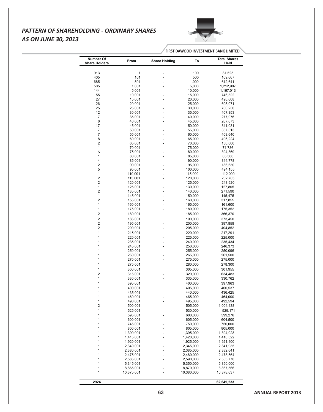# PATTERN OF SHAREHOLDING - ORDINARY SHARES **AS ON JUNE 30, 2013**



FIRST DAWOOD INVESTMENT BANK LIMITED

| <b>Number Of</b>                        |                        |                      |                        | <b>Total Shares</b>    |
|-----------------------------------------|------------------------|----------------------|------------------------|------------------------|
| <b>Share Holders</b>                    | From                   | <b>Share Holding</b> | To                     | Held                   |
| 913                                     |                        |                      |                        | 31,525                 |
| 405                                     | $\mathbf{1}$<br>101    |                      | 100<br>500             | 109,667                |
| 685                                     | 501                    |                      | 1,000                  | 612,641                |
| 505                                     | 1,001                  |                      | 5,000                  | 1,212,907              |
| 144                                     | 5,001                  |                      | 10,000                 | 1,167,013              |
| 55                                      | 10,001                 |                      | 15,000                 | 746,322                |
| 27                                      | 15,001                 |                      | 20,000                 | 496,608                |
| 26<br>25                                | 20,001<br>25,001       |                      | 25,000<br>30,000       | 605,071<br>706,230     |
| 12                                      | 30,001                 |                      | 35,000                 | 407,353                |
| $\overline{7}$                          | 35,001                 |                      | 40,000                 | 277,076                |
| 6                                       | 40,001                 |                      | 45,000                 | 267,673                |
| 17                                      | 45,001                 |                      | 50,000                 | 841,031                |
| $\overline{7}$                          | 50,001                 |                      | 55,000                 | 357,313                |
| $\boldsymbol{7}$                        | 55,001                 |                      | 60,000                 | 408,640                |
| 8<br>$\overline{\mathbf{c}}$            | 60,001<br>65,001       |                      | 65,000<br>70,000       | 496,224<br>136,000     |
| $\mathbf{1}$                            | 70,001                 |                      | 75,000                 | 71,736                 |
| $\,$ 5 $\,$                             | 75,001                 |                      | 80,000                 | 394,369                |
| $\mathbf{1}$                            | 80,001                 |                      | 85,000                 | 83,500                 |
| 4                                       | 85,001                 |                      | 90,000                 | 344,778                |
| $\overline{\mathbf{c}}$                 | 90,001                 |                      | 95,000                 | 186,630                |
| $\,$ 5 $\,$                             | 95,001                 |                      | 100,000                | 494,155                |
| $\mathbf{1}$<br>$\overline{\mathbf{c}}$ | 110,001<br>115,001     |                      | 115,000<br>120,000     | 112,000<br>232,783     |
| $\sqrt{2}$                              | 120,001                |                      | 125,000                | 248,620                |
| $\mathbf{1}$                            | 125,001                |                      | 130,000                | 127,805                |
| $\boldsymbol{2}$                        | 135,001                |                      | 140,000                | 271,590                |
| $\mathbf{1}$                            | 145,001                |                      | 150,000                | 145,475                |
| $\boldsymbol{2}$                        | 155,001                |                      | 160,000                | 317,855                |
| $\mathbf{1}$<br>$\mathbf{1}$            | 160,001                |                      | 165,000                | 161,600                |
| $\boldsymbol{2}$                        | 175,001<br>180,001     |                      | 180,000<br>185,000     | 175,352<br>366,370     |
| $\overline{\mathbf{c}}$                 |                        |                      |                        |                        |
| $\overline{\mathbf{c}}$                 | 185,001<br>195,001     |                      | 190,000<br>200,000     | 373,450<br>397,858     |
| $\overline{\mathbf{c}}$                 | 200,001                |                      | 205,000                | 404,852                |
| $\mathbf{1}$                            | 215,001                |                      | 220,000                | 217,291                |
| 1                                       | 220,001                |                      | 225,000                | 225,000                |
| 1                                       | 235,001                |                      | 240,000                | 235,434                |
| 1                                       | 245,001                |                      | 250,000                | 246,373                |
| $\mathbf{1}$                            | 250,001                |                      | 255,000                | 250,096                |
| 1                                       | 260,001                |                      | 265,000                | 261,500                |
| 1                                       | 270,001                |                      | 275,000                | 275,000                |
| 1                                       | 275,001                |                      | 280,000                | 278,300                |
| $\mathbf{1}$<br>$\overline{c}$          | 300,001                |                      | 305,000                | 301,955<br>634,483     |
| 1                                       | 315,001<br>330,001     |                      | 320,000<br>335,000     | 330,762                |
| $\mathbf{1}$                            | 395,001                |                      | 400,000                | 397,963                |
| $\mathbf{1}$                            | 400,001                |                      | 405,000                | 400,537                |
| $\mathbf{1}$                            | 435,001                |                      | 440,000                | 436,425                |
| $\mathbf{1}$                            | 460,001                |                      | 465,000                | 464,000                |
| $\mathbf{1}$                            | 490,001                |                      | 495,000                | 492,594                |
| $\overline{c}$                          | 500,001                |                      | 505,000                | 1,004,438              |
| $\mathbf{1}$                            | 525,001                |                      | 530,000                | 529,171                |
| $\mathbf{1}$                            | 595,001                |                      | 600,000                | 599,276                |
| $\mathbf{1}$                            | 600,001                |                      | 605,000                | 604,500                |
| 1<br>1                                  | 745,001<br>800,001     |                      | 750,000<br>805,000     | 750,000<br>805,000     |
| 1                                       | 1,390,001              |                      | 1,395,000              | 1,394,028              |
| $\mathbf{1}$                            | 1,415,001              |                      | 1,420,000              | 1,418,522              |
| 1                                       | 1,920,001              |                      | 1,925,000              | 1,921,400              |
| $\mathbf{1}$                            | 2,340,001              |                      | 2,345,000              | 2,341,935              |
| $\mathbf{1}$                            | 2,380,001              |                      | 2,385,000              | 2,382,641              |
| $\mathbf{1}$                            | 2,475,001              |                      | 2,480,000              | 2,478,564              |
| $\mathbf{1}$                            | 2,585,001              |                      | 2,590,000              | 2,585,770              |
| $\mathbf{1}$<br>$\mathbf{1}$            | 5,345,001<br>8,865,001 |                      | 5,350,000<br>8,870,000 | 5,350,000<br>8,867,566 |
| $\mathbf{1}$                            | 10,375,001             |                      | 10,380,000             | 10,378,637             |
|                                         |                        |                      |                        |                        |
| 2924                                    |                        |                      |                        | 62,649,233             |
|                                         |                        |                      |                        |                        |
|                                         |                        | 63                   |                        |                        |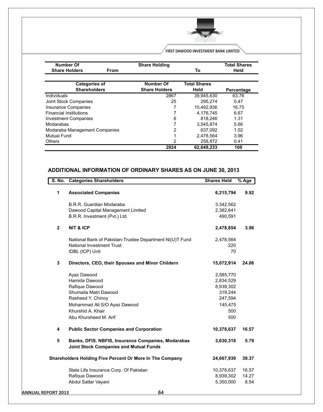

FIRST DAWOOD INVESTMENT BANK LIMITED

| <b>Number Of</b>              | <b>Share Holding</b> |                     | <b>Total Shares</b> |
|-------------------------------|----------------------|---------------------|---------------------|
| <b>Share Holders</b><br>From  |                      | То                  | Held                |
| <b>Categories of</b>          | <b>Number Of</b>     | <b>Total Shares</b> |                     |
| <b>Shareholders</b>           | <b>Share Holders</b> | Held                | <b>Percentage</b>   |
| Individuals                   | 2867                 | 39.945.630          | 63.76               |
| Joint Stock Companies         | 25                   | 295.274             | 0.47                |
| Insurance Companies           |                      | 10.492.936          | 16.75               |
| <b>Financial Institutions</b> |                      | 4.176.745           | 6.67                |
| <b>Investment Companies</b>   | 6                    | 818.246             | 1.31                |
| Modarabas                     |                      | 3,545,874           | 5.66                |
| Modaraba Management Companies | 2                    | 637,092             | 1.02                |
| Mutual Fund                   |                      | 2,478,564           | 3.96                |
| <b>Others</b>                 | 2                    | 258,872             | 0.41                |
|                               | 2924                 | 62,649,233          | 100                 |

# ADDITIONAL INFORMATION OF ORDINARY SHARES AS ON JUNE 30, 2013

|                           | <b>S. No.</b>  | <b>Categories Shareholders</b>                                                                      | <b>Shares Held</b> | % Age |
|---------------------------|----------------|-----------------------------------------------------------------------------------------------------|--------------------|-------|
|                           | $\mathbf{1}$   | <b>Associated Companies</b>                                                                         | 6,215,794          | 9.92  |
|                           |                | B.R.R. Guardian Modaraba                                                                            | 3,342,562          |       |
|                           |                | Dawood Capital Management Limited                                                                   | 2,382,641          |       |
|                           |                | B.R.R. Investment (Pvt.) Ltd.                                                                       | 490,591            |       |
|                           | $\mathbf{2}$   | <b>NIT &amp; ICP</b>                                                                                | 2,478,854          | 3.96  |
|                           |                | National Bank of Pakistan-Trustee Department Ni(U)T Fund                                            | 2,478,564          |       |
|                           |                | National Investment Trust                                                                           | 220                |       |
|                           |                | IDBL (ICP) Unit                                                                                     | 70                 |       |
|                           | $\mathbf{3}$   | Directors, CEO, their Spouses and Minor Childern                                                    | 15,072,914         | 24.06 |
|                           |                | Ayaz Dawood                                                                                         | 2,585,770          |       |
|                           |                | Hamida Dawood                                                                                       | 2,834,529          |       |
|                           |                | Rafique Dawood                                                                                      | 8,939,302          |       |
|                           |                | Shumaila Matri Dawood                                                                               | 319,244            |       |
|                           |                | Rasheed Y. Chinoy                                                                                   | 247,594            |       |
|                           |                | Mohammad Ali S/O Ayaz Dawood                                                                        | 145,475            |       |
|                           |                | Khurshid A. Khair                                                                                   | 500                |       |
|                           |                | Abu Khursheed M. Arif                                                                               | 500                |       |
|                           | 4              | <b>Public Sector Companies and Corporation</b>                                                      | 10,378,637         | 16.57 |
|                           | $5\phantom{1}$ | Banks, DFIS. NBFIS, Insurance Companies, Modarabas<br><b>Joint Stock Companies and Mutual Funds</b> | 3,630,318          | 5.79  |
|                           |                | Shareholders Holding Five Percent Or More In The Company                                            | 24,667,939         | 39.37 |
|                           |                | State Life Insurance Corp. Of Pakistan                                                              | 10,378,637         | 16.57 |
|                           |                | Rafique Dawood                                                                                      | 8,939,302          | 14.27 |
|                           |                | Abdul Sattar Vayani                                                                                 | 5,350,000          | 8.54  |
| <b>ANNUAL REPORT 2013</b> |                | 64                                                                                                  |                    |       |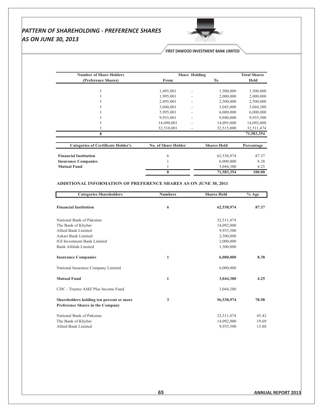# PATTERN OF SHAREHOLDING - PREFERENCE SHARES **AS ON JUNE 30, 2013**



## FIRST DAWOOD INVESTMENT BANK LIMITED

| <b>Number of Share Holders</b>            |                            | <b>Share Holding</b> |                    | <b>Total Shares</b> |
|-------------------------------------------|----------------------------|----------------------|--------------------|---------------------|
| (Preference Shares)                       | From                       |                      | To                 | <b>Held</b>         |
|                                           |                            |                      |                    |                     |
|                                           | 1,495,001                  |                      | 1,500,000          | 1,500,000           |
|                                           | 1,995,001                  |                      | 2,000,000          | 2,000,000           |
|                                           | 2,495,001                  |                      | 2,500,000          | 2,500,000           |
|                                           | 3,040,001                  |                      | 3,045,000          | 3,044,380           |
|                                           | 5,995,001                  |                      | 6,000,000          | 6,000,000           |
|                                           | 9,935,001                  |                      | 9,940,000          | 9,935,500           |
|                                           | 14,090,001                 |                      | 14,095,000         | 14,092,000          |
|                                           | 32,510,001                 | ۰                    | 32,515,000         | 32,511,474          |
| 8                                         |                            |                      |                    | 71,583,354          |
| <b>Categories of Certificate Holder's</b> | <b>No. of Share Holder</b> |                      | <b>Shares Held</b> | Percentage          |
|                                           |                            |                      |                    |                     |
| <b>Financial Institution</b>              | 6                          |                      | 62,538,974         | 87.37               |
| <b>Insurance Companies</b>                |                            |                      | 6,000,000          | 8.38                |
| <b>Mutual Fund</b>                        |                            |                      | 3,044,380          | 4.25                |
|                                           | 8                          |                      | 71,583,354         | 100.00              |

## ADDITIONAL INFORMATION OF PREFERENCE SHARES AS ON JUNE 30, 2011

| <b>Categories Shareholders</b>                                               | <b>Numbers</b> | <b>Shares Held</b> | $\sqrt[6]{\phantom{1}}$ Age |
|------------------------------------------------------------------------------|----------------|--------------------|-----------------------------|
| <b>Financial Institution</b>                                                 | 6              | 62,538,974         | 87.37                       |
| National Bank of Pakistan                                                    |                | 32,511,474         |                             |
| The Bank of Khyber                                                           |                | 14,092,000         |                             |
| Allied Bank Limited                                                          |                | 9,935,500          |                             |
| Askari Bank Limited                                                          |                | 2,500,000          |                             |
| <b>IGI</b> Investment Bank Limited                                           |                | 2,000,000          |                             |
| Bank Alfalah Limited                                                         |                | 1,500,000          |                             |
| <b>Insurance Companies</b>                                                   | $\mathbf{1}$   | 6,000,000          | 8.38                        |
| National Insurance Company Limited                                           |                | 6,000,000          |                             |
| <b>Mutual Fund</b>                                                           | $\mathbf{1}$   | 3,044,380          | 4.25                        |
| CDC - Trustee AMZ Plus Income Fund                                           |                | 3,044,380          |                             |
| Shareholders holding ten percent or more<br>Preference Shares in the Company | 3              | 56,538,974         | 78.98                       |
| National Bank of Pakistan                                                    |                | 32,511,474         | 45.42                       |
| The Bank of Khyber                                                           |                | 14,092,000         | 19.69                       |
| Allied Bank Limited                                                          |                | 9.935.500          | 13.88                       |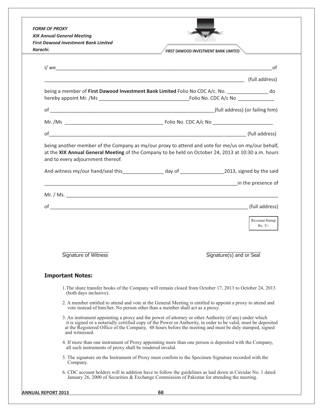| <b>FORM OF PROXY</b><br><b>XIX Annual General Meeting</b>                    |                                                                                                                                                                                                                                                                                                                                  |
|------------------------------------------------------------------------------|----------------------------------------------------------------------------------------------------------------------------------------------------------------------------------------------------------------------------------------------------------------------------------------------------------------------------------|
| <b>First Dawood Investment Bank Limited</b>                                  |                                                                                                                                                                                                                                                                                                                                  |
| Karachi.                                                                     | <b>FIRST DAWOOD INVESTMENT BANK LIMITED</b>                                                                                                                                                                                                                                                                                      |
|                                                                              | 0f                                                                                                                                                                                                                                                                                                                               |
|                                                                              |                                                                                                                                                                                                                                                                                                                                  |
|                                                                              | being a member of First Dawood Investment Bank Limited Folio No CDC A/c. No. _________________ do                                                                                                                                                                                                                                |
|                                                                              |                                                                                                                                                                                                                                                                                                                                  |
|                                                                              |                                                                                                                                                                                                                                                                                                                                  |
|                                                                              |                                                                                                                                                                                                                                                                                                                                  |
| and to every adjournment thereof.                                            | being another member of the Company as my/our proxy to attend and vote for me/us on my/our behalf,<br>at the XIX Annual General Meeting of the Company to be held on October 24, 2013 at 10:30 a.m. hours                                                                                                                        |
|                                                                              | And witness my/our hand/seal this__________________ day of ____________________2013, signed by the said                                                                                                                                                                                                                          |
|                                                                              | <b>CONSERVERSE ASSESSMENT PROPERTY ASSESSMENT PROPERTY ASSESSMENT PROPERTY ASSESSMENT PROPERTY AND ACCOMPANY</b>                                                                                                                                                                                                                 |
|                                                                              |                                                                                                                                                                                                                                                                                                                                  |
|                                                                              |                                                                                                                                                                                                                                                                                                                                  |
|                                                                              |                                                                                                                                                                                                                                                                                                                                  |
|                                                                              | Revenue Stamp<br>$Rs. 5/-$                                                                                                                                                                                                                                                                                                       |
| Signature of Witness                                                         | Signature(s) and or Seal                                                                                                                                                                                                                                                                                                         |
| <b>Important Notes:</b>                                                      |                                                                                                                                                                                                                                                                                                                                  |
| (both days inclusive).                                                       | 1. The share transfer books of the Company will remain closed from October 17, 2013 to October 24, 2013                                                                                                                                                                                                                          |
| vote instead of him/her. No person other than a member shall act as a proxy. | 2. A member entitled to attend and vote at the General Meeting is entitled to appoint a proxy to attend and                                                                                                                                                                                                                      |
| and witnessed.                                                               | 3. An instrument appointing a proxy and the power of attorney or other Authority (if any) under which<br>it is signed or a notarially certified copy of the Power or Authority, in order to be valid, must be deposited<br>at the Registered Office of the Company, 48 hours before the meeting and must be duly stamped, signed |
| all such instruments of proxy shall be rendered invalid.                     | 4. If more than one instrument of Proxy appointing more than one person is deposited with the Company,                                                                                                                                                                                                                           |
| Company.                                                                     | 5. The signature on the Instrument of Proxy must confirm to the Specimen Signature recorded with the                                                                                                                                                                                                                             |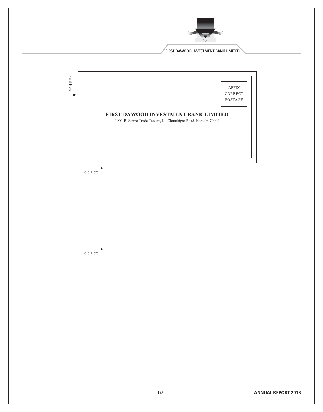